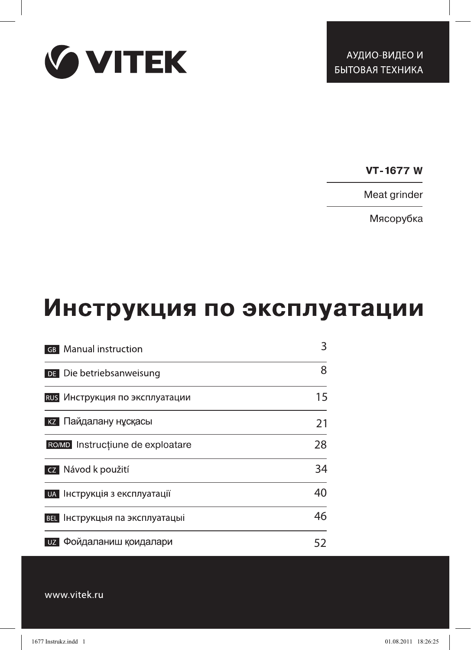

**W**

Meat grinder

Мясорубка

# Инструкция по эксплуатации

| <b>GB</b> Manual instruction          | 3  |
|---------------------------------------|----|
| DE Die betriebsanweisung              | 8  |
| RUS Инструкция по эксплуатации        | 15 |
| кz Пайдалану нұсқасы                  | 21 |
| ROMD Instructiune de exploatare       | 28 |
| cz Návod k použití                    | 34 |
| и и нструкція з експлуатації          | 40 |
| <b>ВЕL</b> Інструкцыя па эксплуатацыі | 46 |
| Фойдаланиш қоидалари<br>UZ            | 52 |

www.vitek.ru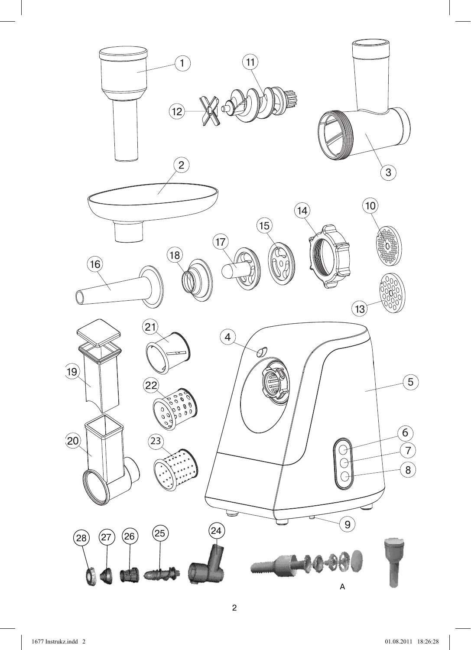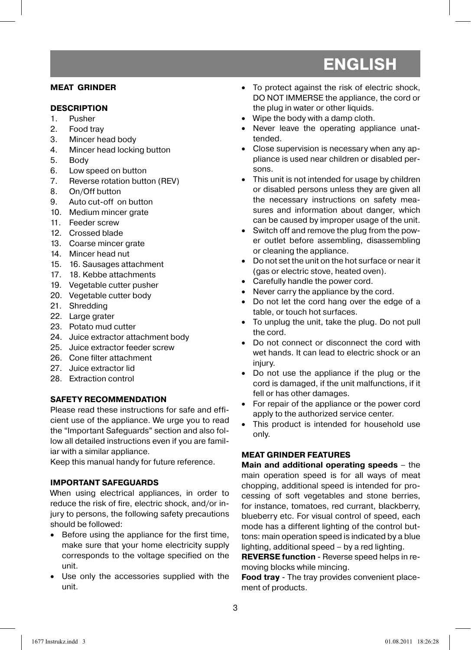#### **MEAT GRINDER**

#### **DESCRIPTION**

- 1. Pusher
- 2. Food tray
- 3. Mincer head body
- 4. Mincer head locking button
- 5. Body
- 6. Low speed on button
- 7. Reverse rotation button (REV)
- 8. On/Off button
- 9. Auto cut-off on button
- 10. Medium mincer grate
- 11. Feeder screw
- 12. Crossed blade
- 13. Coarse mincer grate
- 14. Mincer head nut
- 15. 16. Sausages attachment
- 17. 18. Kebbe attachments
- 19. Vegetable cutter pusher
- 20. Vegetable cutter body
- 21. Shredding
- 22. Large grater
- 23. Potato mud cutter
- 24. Juice extractor attachment body
- 25. Juice extractor feeder screw
- 26. Cone filter attachment
- 27. Juice extractor lid
- 28. Extraction control

#### **SAFETY RECOMMENDATION**

Please read these instructions for safe and efficient use of the appliance. We urge you to read the "Important Safeguards" section and also follow all detailed instructions even if you are familiar with a similar appliance.

Keep this manual handy for future reference.

#### **IMPORTANT SAFEGUARDS**

When using electrical appliances, in order to reduce the risk of fire, electric shock, and/or injury to persons, the following safety precautions should be followed:

- Before using the appliance for the first time, make sure that your home electricity supply corresponds to the voltage specified on the unit.
- Use only the accessories supplied with the unit.
- To protect against the risk of electric shock, DO NOT IMMERSE the appliance, the cord or the plug in water or other liquids.
- Wipe the body with a damp cloth.
- Never leave the operating appliance unattended.
- Close supervision is necessary when any appliance is used near children or disabled persons.
- This unit is not intended for usage by children or disabled persons unless they are given all the necessary instructions on safety measures and information about danger, which can be caused by improper usage of the unit.
- Switch off and remove the plug from the power outlet before assembling, disassembling or cleaning the appliance.
- Do not set the unit on the hot surface or near it (gas or electric stove, heated oven).
- Carefully handle the power cord.
- Never carry the appliance by the cord.
- Do not let the cord hang over the edge of a table, or touch hot surfaces.
- To unplug the unit, take the plug. Do not pull the cord.
- Do not connect or disconnect the cord with wet hands. It can lead to electric shock or an injury.
- Do not use the appliance if the plug or the cord is damaged, if the unit malfunctions, if it fell or has other damages.
- For repair of the appliance or the power cord apply to the authorized service center.
- This product is intended for household use only.

#### **MEAT GRINDER FEATURES**

**Main and additional operating speeds** – the main operation speed is for all ways of meat chopping, additional speed is intended for processing of soft vegetables and stone berries, for instance, tomatoes, red currant, blackberry, blueberry etc. For visual control of speed, each mode has a different lighting of the control buttons: main operation speed is indicated by a blue lighting, additional speed – by a red lighting.

**REVERSE function** - Reverse speed helps in removing blocks while mincing.

**Food tray** - The tray provides convenient placement of products.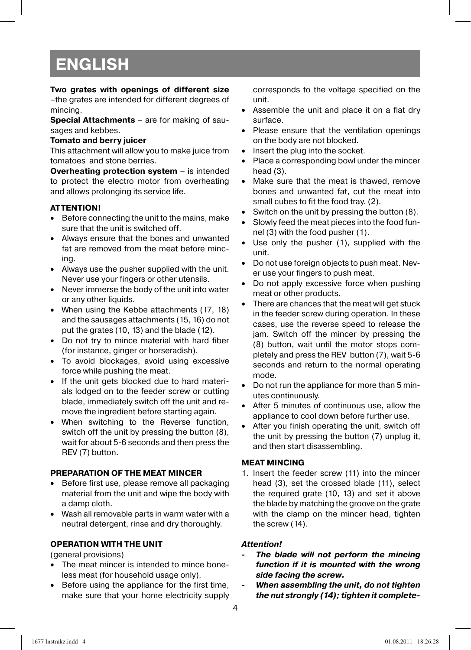#### **Two grates with openings of different size**

–the grates are intended for different degrees of mincing.

**Special Attachments** – are for making of sausages and kebbes.

#### **Tomato and berry juicer**

This attachment will allow you to make juice from tomatoes and stone berries.

**Overheating protection system** – is intended to protect the electro motor from overheating and allows prolonging its service life.

#### **ATTENTION!**

- Before connecting the unit to the mains, make sure that the unit is switched off.
- Always ensure that the bones and unwanted fat are removed from the meat before mincing.
- Always use the pusher supplied with the unit. Never use your fingers or other utensils.
- Never immerse the body of the unit into water or any other liquids.
- When using the Kebbe attachments (17, 18) and the sausages attachments (15, 16) do not put the grates (10, 13) and the blade (12).
- Do not try to mince material with hard fiber (for instance, ginger or horseradish).
- To avoid blockages, avoid using excessive force while pushing the meat.
- If the unit gets blocked due to hard materials lodged on to the feeder screw or cutting blade, immediately switch off the unit and remove the ingredient before starting again.
- When switching to the Reverse function, switch off the unit by pressing the button (8), wait for about 5-6 seconds and then press the REV (7) button.

#### **PREPARATION OF THE MEAT MINCER**

- Before first use, please remove all packaging material from the unit and wipe the body with a damp cloth.
- Wash all removable parts in warm water with a neutral detergent, rinse and dry thoroughly.

#### **OPERATION WITH THE UNIT**

(general provisions)

- The meat mincer is intended to mince boneless meat (for household usage only).
- Before using the appliance for the first time, make sure that your home electricity supply

corresponds to the voltage specified on the unit.

- Assemble the unit and place it on a flat dry surface.
- Please ensure that the ventilation openings on the body are not blocked.
- Insert the plug into the socket.
- Place a corresponding bowl under the mincer head (3).
- Make sure that the meat is thawed, remove bones and unwanted fat, cut the meat into small cubes to fit the food tray. (2).
- Switch on the unit by pressing the button (8).
- Slowly feed the meat pieces into the food funnel (3) with the food pusher (1).
- Use only the pusher (1), supplied with the unit.
- Do not use foreign objects to push meat. Never use your fingers to push meat.
- Do not apply excessive force when pushing meat or other products.
- There are chances that the meat will get stuck in the feeder screw during operation. In these cases, use the reverse speed to release the jam. Switch off the mincer by pressing the (8) button, wait until the motor stops completely and press the REV button (7), wait 5-6 seconds and return to the normal operating mode.
- Do not run the appliance for more than 5 minutes continuously.
- After 5 minutes of continuous use, allow the appliance to cool down before further use.
- After you finish operating the unit, switch off the unit by pressing the button (7) unplug it, and then start disassembling.

#### **MEAT MINCING**

1. Insert the feeder screw (11) into the mincer head (3), set the crossed blade (11), select the required grate (10, 13) and set it above the blade by matching the groove on the grate with the clamp on the mincer head, tighten the screw (14).

#### *Attention!*

- The blade will not perform the mincing *function if it is mounted with the wrong side facing the screw.*
- *When assembling the unit, do not tighten the nut strongly (14); tighten it complete-*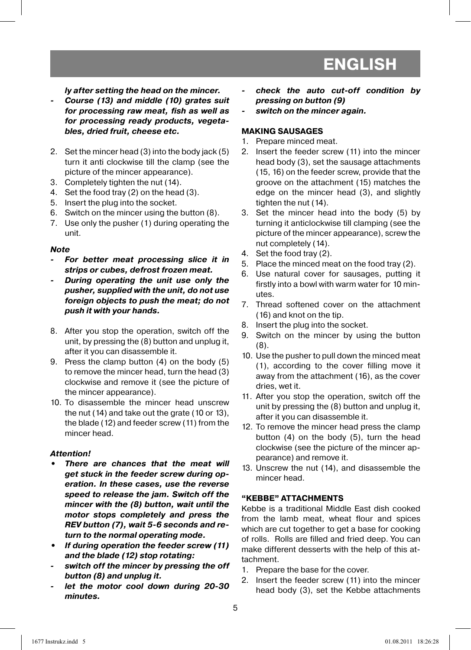*ly after setting the head on the mincer.*

- *Course (13) and middle (10) grates suit for processing raw meat, fish as well as for processing ready products, vegetables, dried fruit, cheese etc.*
- 2. Set the mincer head (3) into the body jack (5) turn it anti clockwise till the clamp (see the picture of the mincer appearance).
- 3. Completely tighten the nut (14).
- 4. Set the food tray (2) on the head (3).
- 5. Insert the plug into the socket.
- 6. Switch on the mincer using the button (8).
- 7. Use only the pusher (1) during operating the unit.

#### *Note*

- *For better meat processing slice it in strips or cubes, defrost frozen meat.*
- *During operating the unit use only the pusher, supplied with the unit, do not use foreign objects to push the meat; do not push it with your hands.*
- 8. After you stop the operation, switch off the unit, by pressing the (8) button and unplug it, after it you can disassemble it.
- 9. Press the clamp button (4) on the body (5) to remove the mincer head, turn the head (3) clockwise and remove it (see the picture of the mincer appearance).
- 10. To disassemble the mincer head unscrew the nut (14) and take out the grate (10 or 13), the blade (12) and feeder screw (11) from the mincer head.

#### *Attention!*

- *There are chances that the meat will get stuck in the feeder screw during operation. In these cases, use the reverse speed to release the jam. Switch off the mincer with the (8) button, wait until the motor stops completely and press the REV button (7), wait 5-6 seconds and return to the normal operating mode.*
- *If during operation the feeder screw (11) and the blade (12) stop rotating:*
- *switch off the mincer by pressing the off button (8) and unplug it.*
- let the motor cool down during 20-30 *minutes.*
- *check the auto cut-off condition by pressing on button (9)*
- *switch on the mincer again.*

#### **MAKING SAUSAGES**

- 1. Prepare minced meat.
- 2. Insert the feeder screw (11) into the mincer head body (3), set the sausage attachments (15, 16) on the feeder screw, provide that the groove on the attachment (15) matches the edge on the mincer head (3), and slightly tighten the nut (14).
- 3. Set the mincer head into the body (5) by turning it anticlockwise till clamping (see the picture of the mincer appearance), screw the nut completely (14).
- 4. Set the food tray (2).
- 5. Place the minced meat on the food tray (2).
- 6. Use natural cover for sausages, putting it firstly into a bowl with warm water for 10 minutes.
- 7. Thread softened cover on the attachment (16) and knot on the tip.
- 8. Insert the plug into the socket.
- 9. Switch on the mincer by using the button (8).
- 10. Use the pusher to pull down the minced meat (1), according to the cover filling move it away from the attachment (16), as the cover dries, wet it.
- 11. After you stop the operation, switch off the unit by pressing the (8) button and unplug it, after it you can disassemble it.
- 12. To remove the mincer head press the clamp button (4) on the body (5), turn the head clockwise (see the picture of the mincer appearance) and remove it.
- 13. Unscrew the nut (14), and disassemble the mincer head.

#### **"KEBBE" ATTACHMENTS**

Kebbe is a traditional Middle East dish cooked from the lamb meat, wheat flour and spices which are cut together to get a base for cooking of rolls. Rolls are filled and fried deep. You can make different desserts with the help of this attachment.

- 1. Prepare the base for the cover.
- 2. Insert the feeder screw (11) into the mincer head body (3), set the Kebbe attachments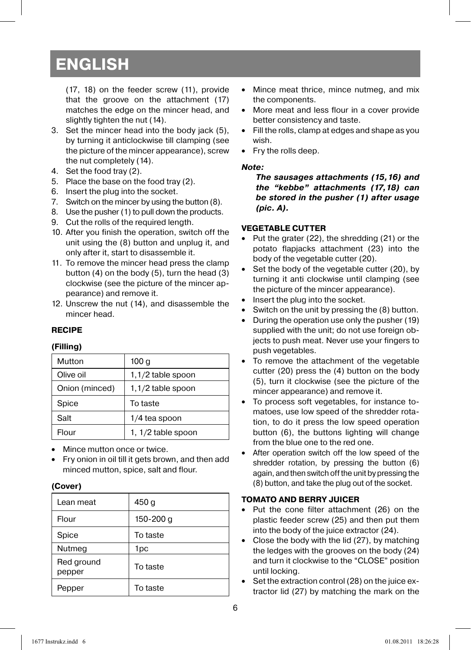(17, 18) on the feeder screw (11), provide that the groove on the attachment (17) matches the edge on the mincer head, and slightly tighten the nut (14).

- 3. Set the mincer head into the body jack (5), by turning it anticlockwise till clamping (see the picture of the mincer appearance), screw the nut completely (14).
- 4. Set the food tray (2).
- 5. Place the base on the food tray (2).
- 6. Insert the plug into the socket.
- 7. Switch on the mincer by using the button (8).
- 8. Use the pusher (1) to pull down the products.
- 9. Cut the rolls of the required length.
- 10. After you finish the operation, switch off the unit using the (8) button and unplug it, and only after it, start to disassemble it.
- 11. To remove the mincer head press the clamp button (4) on the body (5), turn the head (3) clockwise (see the picture of the mincer appearance) and remove it.
- 12. Unscrew the nut (14), and disassemble the mincer head.

#### **RECIPE**

#### **(Filling)**

| Mutton         | 100 g               |
|----------------|---------------------|
| Olive oil      | 1,1/2 table spoon   |
| Onion (minced) | $1,1/2$ table spoon |
| Spice          | To taste            |
| Salt           | 1/4 tea spoon       |
| Flour          | 1, 1/2 table spoon  |

- Mince mutton once or twice.
- Fry onion in oil till it gets brown, and then add minced mutton, spice, salt and flour.

#### **(Cover)**

| Lean meat            | 450 <sub>g</sub> |
|----------------------|------------------|
| Flour                | 150-200 g        |
| Spice                | To taste         |
| Nutmeg               | 1pc              |
| Red ground<br>pepper | To taste         |
| Pepper               | To taste         |

- Mince meat thrice, mince nutmeg, and mix the components.
- More meat and less flour in a cover provide better consistency and taste.
- Fill the rolls, clamp at edges and shape as you wish.
- Fry the rolls deep.

#### *Note:*

*The sausages attachments (15,16) and the "kebbe" attachments (17,18) can be stored in the pusher (1) after usage (pic. A).*

#### **VEGETABLE CUTTER**

- Put the grater (22), the shredding (21) or the potato flapjacks attachment (23) into the body of the vegetable cutter (20).
- Set the body of the vegetable cutter (20), by turning it anti clockwise until clamping (see the picture of the mincer appearance).
- Insert the plug into the socket.
- Switch on the unit by pressing the (8) button.
- During the operation use only the pusher (19) supplied with the unit; do not use foreign objects to push meat. Never use your fingers to push vegetables.
- To remove the attachment of the vegetable cutter (20) press the (4) button on the body (5), turn it clockwise (see the picture of the mincer appearance) and remove it.
- To process soft vegetables, for instance tomatoes, use low speed of the shredder rotation, to do it press the low speed operation button (6), the buttons lighting will change from the blue one to the red one.
- After operation switch off the low speed of the shredder rotation, by pressing the button (6) again, and then switch off the unit by pressing the (8) button, and take the plug out of the socket.

#### **TOMATO AND BERRY JUICER**

- Put the cone filter attachment (26) on the plastic feeder screw (25) and then put them into the body of the juice extractor (24).
- Close the body with the lid (27), by matching the ledges with the grooves on the body (24) and turn it clockwise to the "CLOSE" position until locking.
- Set the extraction control (28) on the juice extractor lid (27) by matching the mark on the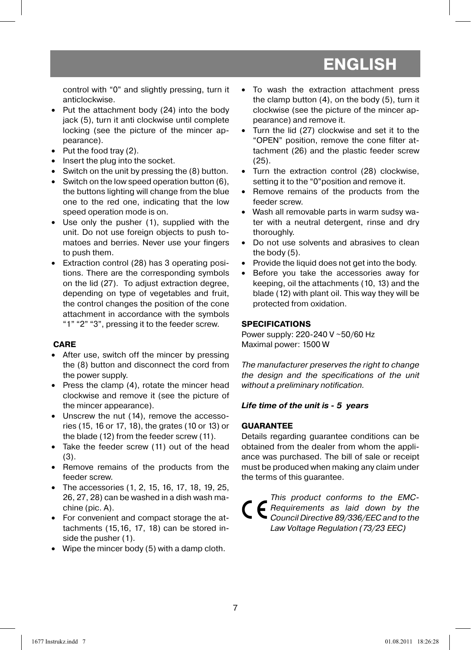control with "0" and slightly pressing, turn it anticlockwise.

- Put the attachment body (24) into the body jack (5), turn it anti clockwise until complete locking (see the picture of the mincer appearance).
- Put the food tray (2).
- Insert the plug into the socket.
- Switch on the unit by pressing the (8) button.
- Switch on the low speed operation button (6), the buttons lighting will change from the blue one to the red one, indicating that the low speed operation mode is on.
- Use only the pusher (1), supplied with the unit. Do not use foreign objects to push tomatoes and berries. Never use your fingers to push them.
- Extraction control (28) has 3 operating positions. There are the corresponding symbols on the lid (27). To adjust extraction degree, depending on type of vegetables and fruit, the control changes the position of the cone attachment in accordance with the symbols "1" "2" "3", pressing it to the feeder screw.

#### **CARE**

- After use, switch off the mincer by pressing the (8) button and disconnect the cord from the power supply.
- Press the clamp (4), rotate the mincer head clockwise and remove it (see the picture of the mincer appearance).
- Unscrew the nut (14), remove the accessories (15, 16 or 17, 18), the grates (10 or 13) or the blade (12) from the feeder screw (11).
- Take the feeder screw (11) out of the head (3).
- Remove remains of the products from the feeder screw.
- The accessories (1, 2, 15, 16, 17, 18, 19, 25, 26, 27, 28) can be washed in a dish wash machine (pic. A).
- For convenient and compact storage the attachments (15,16, 17, 18) can be stored inside the pusher (1).
- Wipe the mincer body (5) with a damp cloth.
- To wash the extraction attachment press the clamp button (4), on the body (5), turn it clockwise (see the picture of the mincer appearance) and remove it.
- Turn the lid (27) clockwise and set it to the "OPEN" position, remove the cone filter attachment (26) and the plastic feeder screw (25).
- Turn the extraction control (28) clockwise, setting it to the "0"position and remove it.
- Remove remains of the products from the feeder screw.
- Wash all removable parts in warm sudsy water with a neutral detergent, rinse and dry thoroughly.
- Do not use solvents and abrasives to clean the body (5).
- Provide the liquid does not get into the body.
- Before you take the accessories away for keeping, oil the attachments (10, 13) and the blade (12) with plant oil. This way they will be protected from oxidation.

#### **SPECIFICATIONS**

Power supply: 220-240 V ~50/60 Hz Maximal power: 1500 W

The manufacturer preserves the right to change the design and the specifications of the unit without a preliminary notification.

#### *Life time of the unit is - 5 years*

#### **GUARANTEE**

Details regarding guarantee conditions can be obtained from the dealer from whom the appliance was purchased. The bill of sale or receipt must be produced when making any claim under the terms of this guarantee.

This product conforms to the EMC-Requirements as laid down by the Council Directive 89/336/EEC and to the Law Voltage Regulation (73/23 EEC)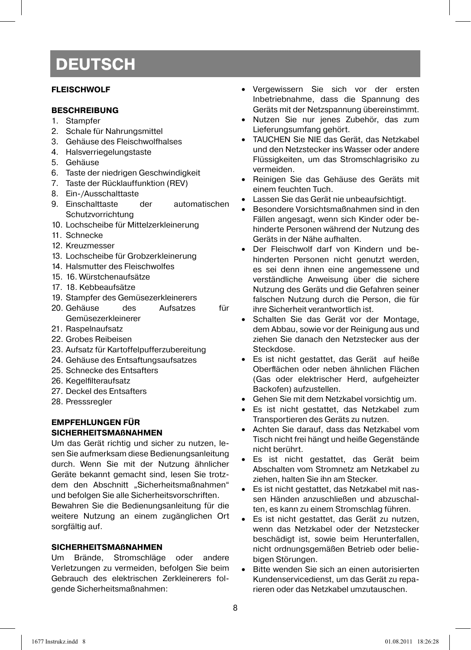#### **FLEISCHWOLF**

#### **BESCHREIBUNG**

- 1. Stampfer
- 2. Schale für Nahrungsmittel
- 3. Gehäuse des Fleischwolfhalses
- 4. Halsverriegelungstaste
- 5. Gehäuse
- 6. Taste der niedrigen Geschwindigkeit
- 7. Taste der Rücklauffunktion (REV)
- 8. Ein-/Ausschalttaste
- 9. Einschalttaste der automatischen **Schutzvorrichtung**
- 10. Lochscheibe für Mittelzerkleinerung
- 11. Schnecke
- 12. Kreuzmesser
- 13. Lochscheibe für Grobzerkleinerung
- 14. Halsmutter des Fleischwolfes
- 15. 16. Würstchenaufsätze
- 17. 18. Kebbeaufsätze
- 19. Stampfer des Gemüsezerkleinerers
- 20. Gehäuse des Aufsatzes für Gemüsezerkleinerer
- 21. Raspelnaufsatz
- 22. Grobes Reibeisen
- 23. Aufsatz für Kartoffelpufferzubereitung
- 24. Gehäuse des Entsaftungsaufsatzes
- 25. Schnecke des Entsafters
- 26. Kegelfilteraufsatz
- 27. Deckel des Entsafters
- 28. Presssregler

#### **EMPFEHLUNGEN FÜR SICHERHEITSMAßNAHMEN**

Um das Gerät richtig und sicher zu nutzen, lesen Sie aufmerksam diese Bedienungsanleitung durch. Wenn Sie mit der Nutzung ähnlicher Geräte bekannt gemacht sind, lesen Sie trotzdem den Abschnitt "Sicherheitsmaßnahmen" und befolgen Sie alle Sicherheitsvorschriften.

Bewahren Sie die Bedienungsanleitung für die weitere Nutzung an einem zugänglichen Ort sorgfältig auf.

#### **SICHERHEITSMAßNAHMEN**

Um Brände, Stromschläge oder andere Verletzungen zu vermeiden, befolgen Sie beim Gebrauch des elektrischen Zerkleinerers folgende Sicherheitsmaßnahmen:

- Vergewissern Sie sich vor der ersten Inbetriebnahme, dass die Spannung des Geräts mit der Netzspannung übereinstimmt.
- Nutzen Sie nur jenes Zubehör, das zum Lieferungsumfang gehört.
- TAUCHEN Sie NIE das Gerät, das Netzkabel und den Netzstecker ins Wasser oder andere Flüssigkeiten, um das Stromschlagrisiko zu vermeiden.
- Reinigen Sie das Gehäuse des Geräts mit einem feuchten Tuch.
- Lassen Sie das Gerät nie unbeaufsichtigt.
- Besondere Vorsichtsmaßnahmen sind in den Fällen angesagt, wenn sich Kinder oder behinderte Personen während der Nutzung des Geräts in der Nähe aufhalten.
- Der Fleischwolf darf von Kindern und behinderten Personen nicht genutzt werden, es sei denn ihnen eine angemessene und verständliche Anweisung über die sichere Nutzung des Geräts und die Gefahren seiner falschen Nutzung durch die Person, die für ihre Sicherheit verantwortlich ist.
- Schalten Sie das Gerät vor der Montage, dem Abbau, sowie vor der Reinigung aus und ziehen Sie danach den Netzstecker aus der Steckdose.
- Es ist nicht gestattet, das Gerät auf heiße Oberflächen oder neben ähnlichen Flächen (Gas oder elektrischer Herd, aufgeheizter Backofen) aufzustellen.
- Gehen Sie mit dem Netzkabel vorsichtig um.
- Es ist nicht gestattet, das Netzkabel zum Transportieren des Geräts zu nutzen.
- Achten Sie darauf, dass das Netzkabel vom Tisch nicht frei hängt und heiße Gegenstände nicht berührt.
- Es ist nicht gestattet, das Gerät beim Abschalten vom Stromnetz am Netzkabel zu ziehen, halten Sie ihn am Stecker.
- Es ist nicht gestattet, das Netzkabel mit nassen Händen anzuschließen und abzuschalten, es kann zu einem Stromschlag führen.
- Es ist nicht gestattet, das Gerät zu nutzen, wenn das Netzkabel oder der Netzstecker beschädigt ist, sowie beim Herunterfallen, nicht ordnungsgemäßen Betrieb oder beliebigen Störungen.
- Bitte wenden Sie sich an einen autorisierten Kundenservicedienst, um das Gerät zu reparieren oder das Netzkabel umzutauschen.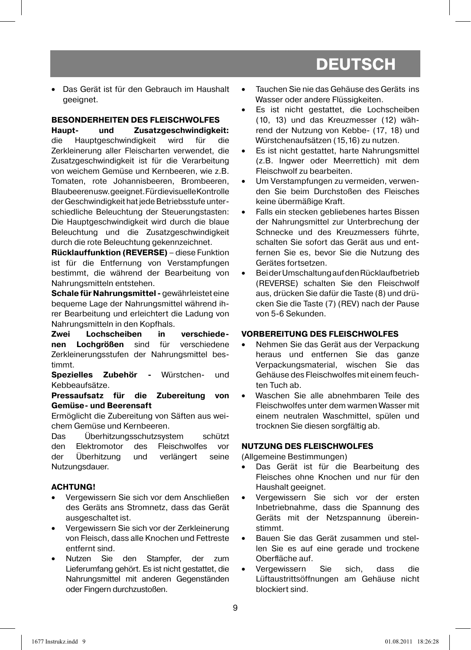• Das Gerät ist für den Gebrauch im Haushalt geeignet.

#### **BESONDERHEITEN DES FLEISCHWOLFES**

**Haupt- und Zusatzgeschwindigkeit:**  die Hauptgeschwindigkeit wird für die Zerkleinerung aller Fleischarten verwendet, die Zusatzgeschwindigkeit ist für die Verarbeitung von weichem Gemüse und Kernbeeren, wie z.B. Tomaten, rote Johannisbeeren, Brombeeren, Blaubeeren usw. geeignet. Für die visuelle Kontrolle der Geschwindigkeit hat jede Betriebsstufe unterschiedliche Beleuchtung der Steuerungstasten: Die Hauptgeschwindigkeit wird durch die blaue Beleuchtung und die Zusatzgeschwindigkeit durch die rote Beleuchtung gekennzeichnet.

**Rücklauffunktion (REVERSE)** – diese Funktion ist für die Entfernung von Verstampfungen bestimmt, die während der Bearbeitung von Nahrungsmitteln entstehen.

**Schale für Nahrungsmittel -** gewährleistet eine bequeme Lage der Nahrungsmittel während ihrer Bearbeitung und erleichtert die Ladung von Nahrungsmitteln in den Kopfhals.

**Zwei Lochscheiben in verschiedenen Lochgrößen** sind für verschiedene Zerkleinerungsstufen der Nahrungsmittel bestimmt.

**Spezielles Zubehör -** Würstchen- und Kebbeaufsätze.

**Pressaufsatz für die Zubereitung von Gemüse- und Beerensaft**

Ermöglicht die Zubereitung von Säften aus weichem Gemüse und Kernbeeren.

Das Überhitzungsschutzsystem schützt den Elektromotor des Fleischwolfes vor der Überhitzung und verlängert seine Nutzungsdauer.

#### **ACHTUNG!**

- Vergewissern Sie sich vor dem Anschließen des Geräts ans Stromnetz, dass das Gerät ausgeschaltet ist.
- Vergewissern Sie sich vor der Zerkleinerung von Fleisch, dass alle Knochen und Fettreste entfernt sind.
- Nutzen Sie den Stampfer, der zum Lieferumfang gehört. Es ist nicht gestattet, die Nahrungsmittel mit anderen Gegenständen oder Fingern durchzustoßen.
- Tauchen Sie nie das Gehäuse des Geräts ins Wasser oder andere Flüssigkeiten.
- Es ist nicht gestattet, die Lochscheiben (10, 13) und das Kreuzmesser (12) während der Nutzung von Kebbe- (17, 18) und Würstchenaufsätzen (15,16) zu nutzen.
- Es ist nicht gestattet, harte Nahrungsmittel (z.B. Ingwer oder Meerrettich) mit dem Fleischwolf zu bearbeiten.
- Um Verstampfungen zu vermeiden, verwenden Sie beim Durchstoßen des Fleisches keine übermäßige Kraft.
- Falls ein stecken gebliebenes hartes Bissen der Nahrungsmittel zur Unterbrechung der Schnecke und des Kreuzmessers führte, schalten Sie sofort das Gerät aus und entfernen Sie es, bevor Sie die Nutzung des Gerätes fortsetzen.
- Bei der Umschaltung auf den Rücklaufbetrieb (REVERSE) schalten Sie den Fleischwolf aus, drücken Sie dafür die Taste (8) und drücken Sie die Taste (7) (REV) nach der Pause von 5-6 Sekunden.

#### **VORBEREITUNG DES FLEISCHWOLFES**

- Nehmen Sie das Gerät aus der Verpackung heraus und entfernen Sie das ganze Verpackungsmaterial, wischen Sie das Gehäuse des Fleischwolfes mit einem feuchten Tuch ab.
- Waschen Sie alle abnehmbaren Teile des Fleischwolfes unter dem warmen Wasser mit einem neutralen Waschmittel, spülen und trocknen Sie diesen sorgfältig ab.

#### **NUTZUNG DES FLEISCHWOLFES**

(Allgemeine Bestimmungen)

- Das Gerät ist für die Bearbeitung des Fleisches ohne Knochen und nur für den Haushalt geeignet.
- Vergewissern Sie sich vor der ersten Inbetriebnahme, dass die Spannung des Geräts mit der Netzspannung übereinstimmt.
- Bauen Sie das Gerät zusammen und stellen Sie es auf eine gerade und trockene Oberfläche auf.
- Vergewissern Sie sich, dass die Lüftaustrittsöffnungen am Gehäuse nicht blockiert sind.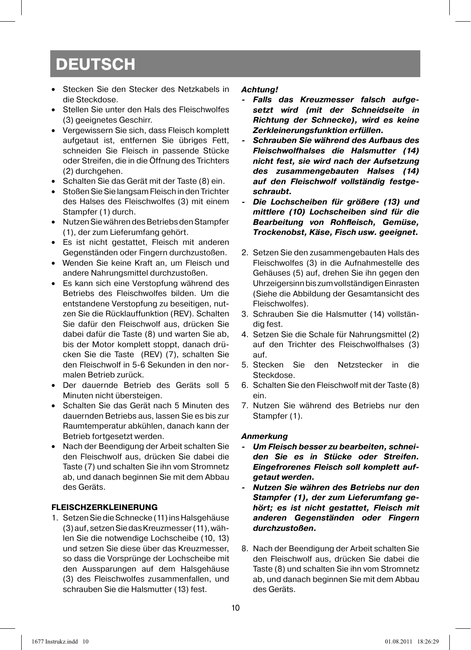- Stecken Sie den Stecker des Netzkabels in die Steckdose.
- Stellen Sie unter den Hals des Fleischwolfes (3) geeignetes Geschirr.
- Vergewissern Sie sich, dass Fleisch komplett aufgetaut ist, entfernen Sie übriges Fett, schneiden Sie Fleisch in passende Stücke oder Streifen, die in die Öffnung des Trichters (2) durchgehen.
- Schalten Sie das Gerät mit der Taste (8) ein.
- Stoßen Sie Sie langsam Fleisch in den Trichter des Halses des Fleischwolfes (3) mit einem Stampfer (1) durch.
- Nutzen Sie währen des Betriebs den Stampfer (1), der zum Lieferumfang gehört.
- Es ist nicht gestattet, Fleisch mit anderen Gegenständen oder Fingern durchzustoßen.
- Wenden Sie keine Kraft an, um Fleisch und andere Nahrungsmittel durchzustoßen.
- Es kann sich eine Verstopfung während des Betriebs des Fleischwolfes bilden. Um die entstandene Verstopfung zu beseitigen, nutzen Sie die Rücklauffunktion (REV). Schalten Sie dafür den Fleischwolf aus, drücken Sie dabei dafür die Taste (8) und warten Sie ab, bis der Motor komplett stoppt, danach drücken Sie die Taste (REV) (7), schalten Sie den Fleischwolf in 5-6 Sekunden in den normalen Betrieb zurück.
- Der dauernde Betrieb des Geräts soll 5 Minuten nicht übersteigen.
- Schalten Sie das Gerät nach 5 Minuten des dauernden Betriebs aus, lassen Sie es bis zur Raumtemperatur abkühlen, danach kann der Betrieb fortgesetzt werden.
- Nach der Beendigung der Arbeit schalten Sie den Fleischwolf aus, drücken Sie dabei die Taste (7) und schalten Sie ihn vom Stromnetz ab, und danach beginnen Sie mit dem Abbau des Geräts.

#### **FLEISCHZERKLEINERUNG**

1. Setzen Sie die Schnecke (11) ins Halsgehäuse (3) auf, setzen Sie das Kreuzmesser (11), wählen Sie die notwendige Lochscheibe (10, 13) und setzen Sie diese über das Kreuzmesser, so dass die Vorsprünge der Lochscheibe mit den Aussparungen auf dem Halsgehäuse (3) des Fleischwolfes zusammenfallen, und schrauben Sie die Halsmutter (13) fest.

#### *Achtung!*

- *Falls das Kreuzmesser falsch aufgesetzt wird (mit der Schneidseite in Richtung der Schnecke), wird es keine Zerkleinerungsfunktion erfüllen.*
- *Schrauben Sie während des Aufbaus des Fleischwolfhalses die Halsmutter (14) nicht fest, sie wird nach der Aufsetzung des zusammengebauten Halses (14) auf den Fleischwolf vollständig festgeschraubt.*
- *Die Lochscheiben für größere (13) und mittlere (10) Lochscheiben sind für die*  **Bearbeitung von Rohfleisch, Gemüse,** *Trockenobst, Käse, Fisch usw. geeignet.*
- 2. Setzen Sie den zusammengebauten Hals des Fleischwolfes (3) in die Aufnahmestelle des Gehäuses (5) auf, drehen Sie ihn gegen den Uhrzeigersinn bis zum vollständigen Einrasten (Siehe die Abbildung der Gesamtansicht des Fleischwolfes).
- 3. Schrauben Sie die Halsmutter (14) vollständig fest.
- 4. Setzen Sie die Schale für Nahrungsmittel (2) auf den Trichter des Fleischwolfhalses (3) auf.
- 5. Stecken Sie den Netzstecker in die Steckdose.
- 6. Schalten Sie den Fleischwolf mit der Taste (8) ein.
- 7. Nutzen Sie während des Betriebs nur den Stampfer (1).

#### *Anmerkung*

- *Um Fleisch besser zu bearbeiten, schneiden Sie es in Stücke oder Streifen. Eingefrorenes Fleisch soll komplett aufgetaut werden.*
- *Nutzen Sie währen des Betriebs nur den Stampfer (1), der zum Lieferumfang gehört; es ist nicht gestattet, Fleisch mit anderen Gegenständen oder Fingern durchzustoßen.*
- 8. Nach der Beendigung der Arbeit schalten Sie den Fleischwolf aus, drücken Sie dabei die Taste (8) und schalten Sie ihn vom Stromnetz ab, und danach beginnen Sie mit dem Abbau des Geräts.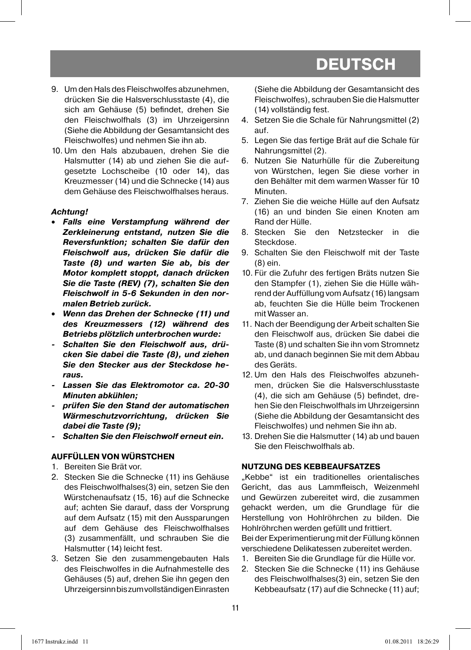- 9. Um den Hals des Fleischwolfes abzunehmen, drücken Sie die Halsverschlusstaste (4), die sich am Gehäuse (5) befindet, drehen Sie den Fleischwolfhals (3) im Uhrzeigersinn (Siehe die Abbildung der Gesamtansicht des Fleischwolfes) und nehmen Sie ihn ab.
- 10. Um den Hals abzubauen, drehen Sie die Halsmutter (14) ab und ziehen Sie die aufgesetzte Lochscheibe (10 oder 14), das Kreuzmesser (14) und die Schnecke (14) aus dem Gehäuse des Fleischwolfhalses heraus.

#### *Achtung!*

- *Falls eine Verstampfung während der Zerkleinerung entstand, nutzen Sie die Reversfunktion; schalten Sie dafür den Fleischwolf aus, drücken Sie dafür die Taste (8) und warten Sie ab, bis der Motor komplett stoppt, danach drücken Sie die Taste (REV) (7), schalten Sie den Fleischwolf in 5-6 Sekunden in den normalen Betrieb zurück.*
- *Wenn das Drehen der Schnecke (11) und des Kreuzmessers (12) während des Betriebs plötzlich unterbrochen wurde:*
- *Schalten Sie den Fleischwolf aus, drücken Sie dabei die Taste (8), und ziehen Sie den Stecker aus der Steckdose heraus.*
- *Lassen Sie das Elektromotor ca. 20-30 Minuten abkühlen;*
- *prüfen Sie den Stand der automatischen Wärmeschutzvorrichtung, drücken Sie dabei die Taste (9);*
- *Schalten Sie den Fleischwolf erneut ein.*

#### **AUFFÜLLEN VON WÜRSTCHEN**

- 1. Bereiten Sie Brät vor.
- 2. Stecken Sie die Schnecke (11) ins Gehäuse des Fleischwolfhalses(3) ein, setzen Sie den Würstchenaufsatz (15, 16) auf die Schnecke auf; achten Sie darauf, dass der Vorsprung auf dem Aufsatz (15) mit den Aussparungen auf dem Gehäuse des Fleischwolfhalses (3) zusammenfällt, und schrauben Sie die Halsmutter (14) leicht fest.
- 3. Setzen Sie den zusammengebauten Hals des Fleischwolfes in die Aufnahmestelle des Gehäuses (5) auf, drehen Sie ihn gegen den Uhrzeigersinn bis zum vollständigen Einrasten

(Siehe die Abbildung der Gesamtansicht des Fleischwolfes), schrauben Sie die Halsmutter (14) vollständig fest.

- 4. Setzen Sie die Schale für Nahrungsmittel (2) auf.
- 5. Legen Sie das fertige Brät auf die Schale für Nahrungsmittel (2).
- 6. Nutzen Sie Naturhülle für die Zubereitung von Würstchen, legen Sie diese vorher in den Behälter mit dem warmen Wasser für 10 Minuten.
- 7. Ziehen Sie die weiche Hülle auf den Aufsatz (16) an und binden Sie einen Knoten am Rand der Hülle.
- 8. Stecken Sie den Netzstecker in die Steckdose.
- 9. Schalten Sie den Fleischwolf mit der Taste (8) ein.
- 10. Für die Zufuhr des fertigen Bräts nutzen Sie den Stampfer (1), ziehen Sie die Hülle während der Auffüllung vom Aufsatz (16) langsam ab, feuchten Sie die Hülle beim Trockenen mit Wasser an.
- 11. Nach der Beendigung der Arbeit schalten Sie den Fleischwolf aus, drücken Sie dabei die Taste (8) und schalten Sie ihn vom Stromnetz ab, und danach beginnen Sie mit dem Abbau des Geräts.
- 12. Um den Hals des Fleischwolfes abzunehmen, drücken Sie die Halsverschlusstaste (4), die sich am Gehäuse (5) befindet, drehen Sie den Fleischwolfhals im Uhrzeigersinn (Siehe die Abbildung der Gesamtansicht des Fleischwolfes) und nehmen Sie ihn ab.
- 13. Drehen Sie die Halsmutter (14) ab und bauen Sie den Fleischwolfhals ab.

#### **NUTZUNG DES KEBBEAUFSATZES**

"Kebbe" ist ein traditionelles orientalisches Gericht, das aus Lammfleisch, Weizenmehl und Gewürzen zubereitet wird, die zusammen gehackt werden, um die Grundlage für die Herstellung von Hohlröhrchen zu bilden. Die Hohlröhrchen werden gefüllt und frittiert.

Bei der Experimentierung mit der Füllung können verschiedene Delikatessen zubereitet werden.

- 1. Bereiten Sie die Grundlage für die Hülle vor.
- 2. Stecken Sie die Schnecke (11) ins Gehäuse des Fleischwolfhalses(3) ein, setzen Sie den Kebbeaufsatz (17) auf die Schnecke (11) auf;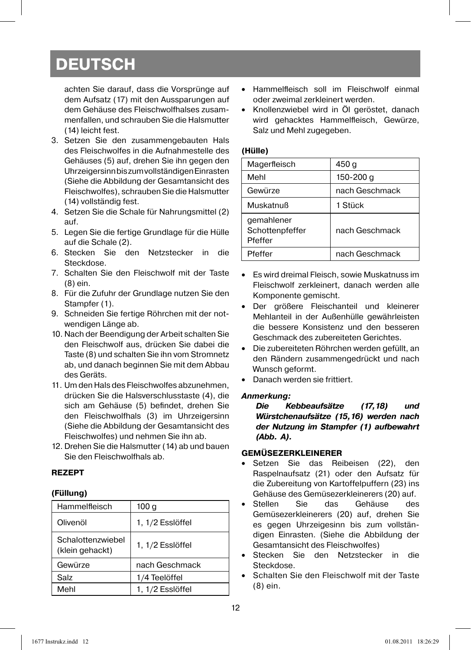achten Sie darauf, dass die Vorsprünge auf dem Aufsatz (17) mit den Aussparungen auf dem Gehäuse des Fleischwolfhalses zusammenfallen, und schrauben Sie die Halsmutter (14) leicht fest.

- 3. Setzen Sie den zusammengebauten Hals des Fleischwolfes in die Aufnahmestelle des Gehäuses (5) auf, drehen Sie ihn gegen den Uhrzeigersinn bis zum vollständigen Einrasten (Siehe die Abbildung der Gesamtansicht des Fleischwolfes), schrauben Sie die Halsmutter (14) vollständig fest.
- 4. Setzen Sie die Schale für Nahrungsmittel (2) auf.
- 5. Legen Sie die fertige Grundlage für die Hülle auf die Schale (2).
- 6. Stecken Sie den Netzstecker in die Steckdose.
- 7. Schalten Sie den Fleischwolf mit der Taste (8) ein.
- 8. Für die Zufuhr der Grundlage nutzen Sie den Stampfer (1).
- 9. Schneiden Sie fertige Röhrchen mit der notwendigen Länge ab.
- 10. Nach der Beendigung der Arbeit schalten Sie den Fleischwolf aus, drücken Sie dabei die Taste (8) und schalten Sie ihn vom Stromnetz ab, und danach beginnen Sie mit dem Abbau des Geräts.
- 11. Um den Hals des Fleischwolfes abzunehmen, drücken Sie die Halsverschlusstaste (4), die sich am Gehäuse (5) befindet, drehen Sie den Fleischwolfhals (3) im Uhrzeigersinn (Siehe die Abbildung der Gesamtansicht des Fleischwolfes) und nehmen Sie ihn ab.
- 12. Drehen Sie die Halsmutter (14) ab und bauen Sie den Fleischwolfhals ab.

#### **REZEPT**

#### **(Füllung)**

| Hammelfleisch                        | 100 g            |
|--------------------------------------|------------------|
| Olivenöl                             | 1, 1/2 Esslöffel |
| Schalottenzwiebel<br>(klein gehackt) | 1, 1/2 Esslöffel |
| Gewürze                              | nach Geschmack   |
| Salz                                 | 1/4 Teelöffel    |
| Mehl                                 | 1, 1/2 Esslöffel |

- Hammelfleisch soll im Fleischwolf einmal oder zweimal zerkleinert werden.
- Knollenzwiebel wird in Öl geröstet, danach wird gehacktes Hammelfleisch, Gewürze, Salz und Mehl zugegeben.

#### **(Hülle)**

| Magerfleisch                             | 450 g          |
|------------------------------------------|----------------|
| Mehl                                     | 150-200 g      |
| Gewürze                                  | nach Geschmack |
| Muskatnuß                                | 1 Stück        |
| gemahlener<br>Schottenpfeffer<br>Pfeffer | nach Geschmack |
| Pfeffer                                  | nach Geschmack |

- Es wird dreimal Fleisch, sowie Muskatnuss im Fleischwolf zerkleinert, danach werden alle Komponente gemischt.
- Der größere Fleischanteil und kleinerer Mehlanteil in der Außenhülle gewährleisten die bessere Konsistenz und den besseren Geschmack des zubereiteten Gerichtes.
- Die zubereiteten Röhrchen werden gefüllt, an den Rändern zusammengedrückt und nach Wunsch geformt.
- Danach werden sie frittiert.

#### *Anmerkung:*

*Die Kebbeaufsätze (17,18) und Würstchenaufsätze (15,16) werden nach der Nutzung im Stampfer (1) aufbewahrt (Abb. A).* 

#### **GEMÜSEZERKLEINERER**

- Setzen Sie das Reibeisen (22), den Raspelnaufsatz (21) oder den Aufsatz für die Zubereitung von Kartoffelpuffern (23) ins Gehäuse des Gemüsezerkleinerers (20) auf.
- Stellen Sie das Gehäuse des Gemüsezerkleinerers (20) auf, drehen Sie es gegen Uhrzeigesinn bis zum vollständigen Einrasten. (Siehe die Abbildung der Gesamtansicht des Fleischwolfes)
- Stecken Sie den Netzstecker in die Steckdose.
- Schalten Sie den Fleischwolf mit der Taste (8) ein.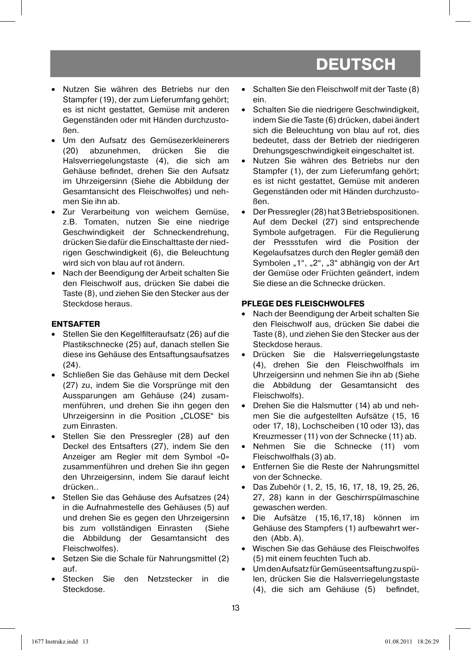- Nutzen Sie währen des Betriebs nur den Stampfer (19), der zum Lieferumfang gehört; es ist nicht gestattet, Gemüse mit anderen Gegenständen oder mit Händen durchzustoßen.
- Um den Aufsatz des Gemüsezerkleinerers (20) abzunehmen, drücken Sie die Halsverriegelungstaste (4), die sich am Gehäuse befindet, drehen Sie den Aufsatz im Uhrzeigersinn (Siehe die Abbildung der Gesamtansicht des Fleischwolfes) und nehmen Sie ihn ab.
- Zur Verarbeitung von weichem Gemüse, z.B. Tomaten, nutzen Sie eine niedrige Geschwindigkeit der Schneckendrehung, drücken Sie dafür die Einschalttaste der niedrigen Geschwindigkeit (6), die Beleuchtung wird sich von blau auf rot ändern.
- Nach der Beendigung der Arbeit schalten Sie den Fleischwolf aus, drücken Sie dabei die Taste (8), und ziehen Sie den Stecker aus der Steckdose heraus.

#### **ENTSAFTER**

- Stellen Sie den Kegelfilteraufsatz (26) auf die Plastikschnecke (25) auf, danach stellen Sie diese ins Gehäuse des Entsaftungsaufsatzes (24).
- Schließen Sie das Gehäuse mit dem Deckel (27) zu, indem Sie die Vorsprünge mit den Aussparungen am Gehäuse (24) zusammenführen, und drehen Sie ihn gegen den Uhrzeigersinn in die Position "CLOSE" bis zum Einrasten.
- Stellen Sie den Pressregler (28) auf den Deckel des Entsafters (27), indem Sie den Anzeiger am Regler mit dem Symbol «0» zusammenführen und drehen Sie ihn gegen den Uhrzeigersinn, indem Sie darauf leicht drücken..
- Stellen Sie das Gehäuse des Aufsatzes (24) in die Aufnahmestelle des Gehäuses (5) auf und drehen Sie es gegen den Uhrzeigersinn bis zum vollständigen Einrasten (Siehe die Abbildung der Gesamtansicht des Fleischwolfes).
- Setzen Sie die Schale für Nahrungsmittel (2) auf.
- Stecken Sie den Netzstecker in die Steckdose.
- Schalten Sie den Fleischwolf mit der Taste (8) ein.
- Schalten Sie die niedrigere Geschwindigkeit, indem Sie die Taste (6) drücken, dabei ändert sich die Beleuchtung von blau auf rot, dies bedeutet, dass der Betrieb der niedrigeren Drehungsgeschwindigkeit eingeschaltet ist.
- Nutzen Sie währen des Betriebs nur den Stampfer (1), der zum Lieferumfang gehört; es ist nicht gestattet, Gemüse mit anderen Gegenständen oder mit Händen durchzustoßen.
- Der Pressregler (28) hat 3 Betriebspositionen. Auf dem Deckel (27) sind entsprechende Symbole aufgetragen. Für die Regulierung der Pressstufen wird die Position der Kegelaufsatzes durch den Regler gemäß den Symbolen "1", "2", "3" abhängig von der Art der Gemüse oder Früchten geändert, indem Sie diese an die Schnecke drücken.

#### **PFLEGE DES FLEISCHWOLFES**

- Nach der Beendigung der Arbeit schalten Sie den Fleischwolf aus, drücken Sie dabei die Taste (8), und ziehen Sie den Stecker aus der Steckdose heraus.
- Drücken Sie die Halsverriegelungstaste (4), drehen Sie den Fleischwolfhals im Uhrzeigersinn und nehmen Sie ihn ab (Siehe die Abbildung der Gesamtansicht des Fleischwolfs).
- Drehen Sie die Halsmutter (14) ab und nehmen Sie die aufgestellten Aufsätze (15, 16 oder 17, 18), Lochscheiben (10 oder 13), das Kreuzmesser (11) von der Schnecke (11) ab.
- Nehmen Sie die Schnecke (11) vom Fleischwolfhals (3) ab.
- Entfernen Sie die Reste der Nahrungsmittel von der Schnecke.
- Das Zubehör (1, 2, 15, 16, 17, 18, 19, 25, 26, 27, 28) kann in der Geschirrspülmaschine gewaschen werden.
- Die Aufsätze (15,16,17,18) können im Gehäuse des Stampfers (1) aufbewahrt werden (Abb. A).
- Wischen Sie das Gehäuse des Fleischwolfes (5) mit einem feuchten Tuch ab.
- Um den Aufsatz für Gemüseentsaftung zu spülen, drücken Sie die Halsverriegelungstaste (4), die sich am Gehäuse (5) befindet,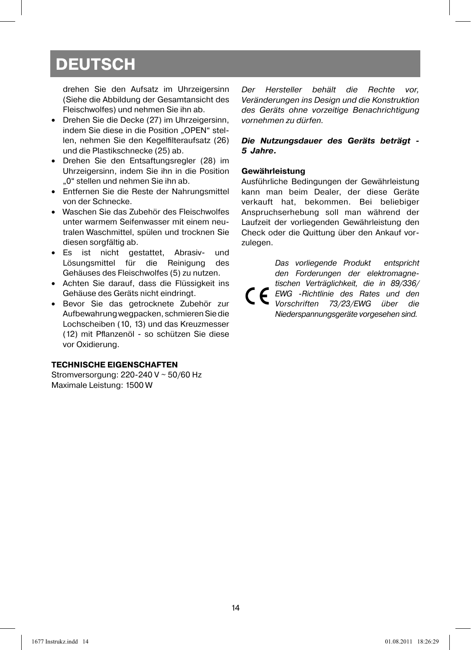drehen Sie den Aufsatz im Uhrzeigersinn (Siehe die Abbildung der Gesamtansicht des Fleischwolfes) und nehmen Sie ihn ab.

- Drehen Sie die Decke (27) im Uhrzeigersinn, indem Sie diese in die Position "OPEN" stellen, nehmen Sie den Kegelfilteraufsatz (26) und die Plastikschnecke (25) ab.
- Drehen Sie den Entsaftungsregler (28) im Uhrzeigersinn, indem Sie ihn in die Position "0" stellen und nehmen Sie ihn ab.
- Entfernen Sie die Reste der Nahrungsmittel von der Schnecke.
- Waschen Sie das Zubehör des Fleischwolfes unter warmem Seifenwasser mit einem neutralen Waschmittel, spülen und trocknen Sie diesen sorgfältig ab.
- Es ist nicht gestattet, Abrasiv- und Lösungsmittel für die Reinigung des Gehäuses des Fleischwolfes (5) zu nutzen.
- Achten Sie darauf, dass die Flüssigkeit ins Gehäuse des Geräts nicht eindringt.
- Bevor Sie das getrocknete Zubehör zur Aufbewahrung wegpacken, schmieren Sie die Lochscheiben (10, 13) und das Kreuzmesser (12) mit Pflanzenöl - so schützen Sie diese vor Oxidierung.

#### **TECHNISCHE EIGENSCHAFTEN**

Stromversorgung: 220-240 V ~ 50/60 Hz Maximale Leistung: 1500 W

Der Hersteller behält die Rechte vor, Veränderungen ins Design und die Konstruktion des Geräts ohne vorzeitige Benachrichtigung vornehmen zu dürfen.

#### *Die Nutzungsdauer des Geräts beträgt - 5 Jahre.*

#### **Gewährleistung**

Ausführliche Bedingungen der Gewährleistung kann man beim Dealer, der diese Geräte verkauft hat, bekommen. Bei beliebiger Anspruchserhebung soll man während der Laufzeit der vorliegenden Gewährleistung den Check oder die Quittung über den Ankauf vorzulegen.

Das vorliegende Produkt entspricht den Forderungen der elektromagnetischen Verträglichkeit, die in 89/336/  $\epsilon$ EWG -Richtlinie des Rates und den Vorschriften 73/23/EWG über die Niederspannungsgeräte vorgesehen sind.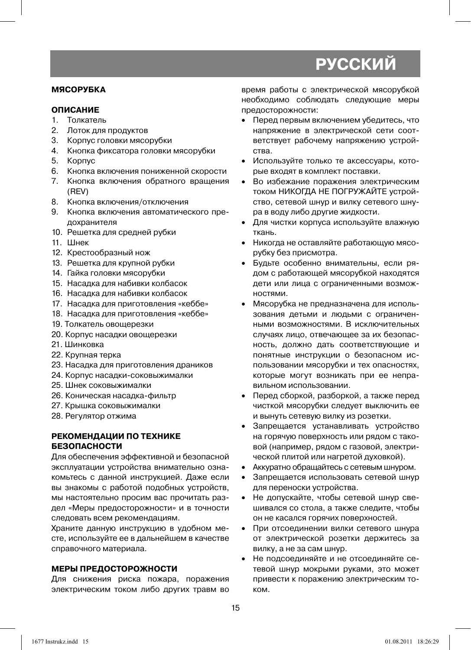#### **МЯСОРУБКА**

#### **ОПИСАНИЕ**

- 1. Толкатель
- 2. Лоток для продуктов
- 3. Корпус головки мясорубки
- 4. Кнопка фиксатора головки мясорубки
- 5. Корпус
- 6. Кнопка включения пониженной скорости
- 7. Кнопка включения обратного вращения (REV)
- 8. Кнопка включения/отключения
- 9. Кнопка включения автоматического предохранителя
- 10. Решетка для средней рубки
- 11. Шнек
- 12. Крестообразный нож
- 13. Решетка для крупной рубки
- 14. Гайка головки мясорубки
- 15. Насадка для набивки колбасок
- 16. Насадка для набивки колбасок
- 17. Насадка для приготовления «кеббе»
- 18. Насадка для приготовления «кеббе»
- 19. Толкатель овощерезки
- 20. Корпус насадки овощерезки
- 21. Шинковка
- 22. Крупная терка
- 23. Насадка для приготовления драников
- 24. Корпус насадки-соковыжималки
- 25. Шнек соковыжималки
- 26. Коническая насадка-фильтр
- 27. Крышка соковыжималки
- 28. Регулятор отжима

#### **РЕКОМЕНДАЦИИ ПО ТЕХНИКЕ БЕЗОПАСНОСТИ**

Для обеспечения эффективной и безопасной эксплуатации устройства внимательно ознакомьтесь с данной инструкцией. Даже если вы знакомы с работой подобных устройств, мы настоятельно просим вас прочитать раздел «Меры предосторожности» и в точности следовать всем рекомендациям.

Храните данную инструкцию в удобном месте, используйте ее в дальнейшем в качестве справочного материала.

### **МЕРЫ ПРЕДОСТОРОЖНОСТИ**

Для снижения риска пожара, поражения электрическим током либо других травм во время работы с электрической мясорубкой необходимо соблюдать следующие меры предосторожности:

- Перед первым включением убедитесь, что напряжение в электрической сети соответствует рабочему напряжению устройства.
- Используйте только те аксессуары, которые входят в комплект поставки.
- Во избежание поражения электрическим током НИКОГДА НЕ ПОГРУЖАЙТЕ устройство, сетевой шнур и вилку сетевого шнура в воду либо другие жидкости.
- Для чистки корпуса используйте влажную ткань.
- Никогда не оставляйте работающую мясорубку без присмотра.
- Будьте особенно внимательны, если рядом с работающей мясорубкой находятся дети или лица с ограниченными возможностями.
- Мясорубка не предназначена для использования детьми и людьми с ограниченными возможностями. В исключительных случаях лицо, отвечающее за их безопасность, должно дать соответствующие и понятные инструкции о безопасном использовании мясорубки и тех опасностях, которые могут возникать при ее неправильном использовании.
- Перед сборкой, разборкой, а также перед чисткой мясорубки следует выключить ее и вынуть сетевую вилку из розетки.
- Запрещается устанавливать устройство на горячую поверхность или рядом с таковой (например, рядом с газовой, электрической плитой или нагретой духовкой).
- Аккуратно обращайтесь с сетевым шнуром.
- Запрещается использовать сетевой шнур для переноски устройства.
- Не допускайте, чтобы сетевой шнур свешивался со стола, а также следите, чтобы он не касался горячих поверхностей.
- При отсоединении вилки сетевого шнура от электрической розетки держитесь за вилку, а не за сам шнур.
- Не подсоединяйте и не отсоединяйте сетевой шнур мокрыми руками, это может привести к поражению электрическим током.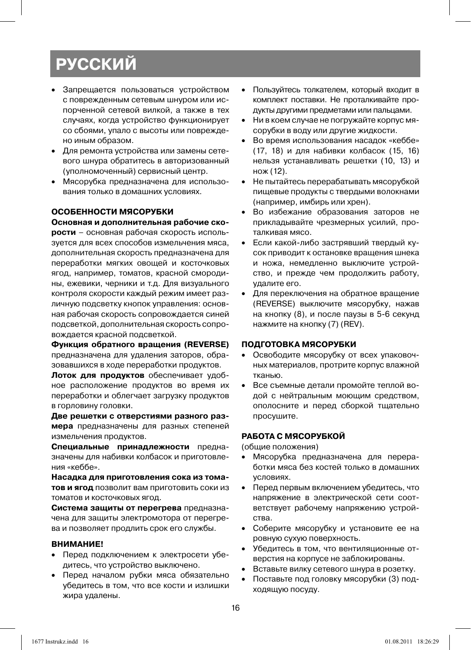- Запрещается пользоваться устройством с поврежденным сетевым шнуром или испорченной сетевой вилкой, а также в тех случаях, когда устройство функционирует со сбоями, упало с высоты или повреждено иным образом.
- Для ремонта устройства или замены сетевого шнура обратитесь в авторизованный (уполномоченный) сервисный центр.
- Мясорубка предназначена для использования только в домашних условиях.

#### **ОСОБЕННОСТИ МЯСОРУБКИ**

#### **Основная и дополнительная рабочие ско-**

**рости** – основная рабочая скорость используется для всех способов измельчения мяса, дополнительная скорость предназначена для переработки мягких овощей и косточковых ягод, например, томатов, красной смородины, ежевики, черники и т.д. Для визуального контроля скорости каждый режим имеет различную подсветку кнопок управления: основная рабочая скорость сопровождается синей подсветкой, дополнительная скорость сопровождается красной подсветкой.

**Функция обратного вращения (REVERSE)**  предназначена для удаления заторов, образовавшихся в ходе переработки продуктов.

**Лоток для продуктов** обеспечивает удобное расположение продуктов во время их переработки и облегчает загрузку продуктов в горловину головки.

**Две решетки с отверстиями разного размера** предназначены для разных степеней измельчения продуктов.

**Специальные принадлежности** предназначены для набивки колбасок и приготовления «кеббе».

**Насадка для приготовления сока из томатов и ягод** позволит вам приготовить соки из томатов и косточковых ягод.

**Система защиты от перегрева** предназначена для защиты электромотора от перегрева и позволяет продлить срок его службы.

#### **ВНИМАНИЕ!**

- Перед подключением к электросети убедитесь, что устройство выключено.
- Перед началом рубки мяса обязательно убедитесь в том, что все кости и излишки жира удалены.
- Пользуйтесь толкателем, который входит в комплект поставки. Не проталкивайте продукты другими предметами или пальцами.
- Ни в коем случае не погружайте корпус мясорубки в воду или другие жидкости.
- Во время использования насадок «кеббе» (17, 18) и для набивки колбасок (15, 16) нельзя устанавливать решетки (10, 13) и нож (12).
- Не пытайтесь перерабатывать мясорубкой пищевые продукты с твердыми волокнами (например, имбирь или хрен).
- Во избежание образования заторов не прикладывайте чрезмерных усилий, проталкивая мясо.
- Если какой-либо застрявший твердый кусок приводит к остановке вращения шнека и ножа, немедленно выключите устройство, и прежде чем продолжить работу, удалите его.
- Для переключения на обратное вращение (REVERSE) выключите мясорубку, нажав на кнопку (8), и после паузы в 5-6 секунд нажмите на кнопку (7) (REV).

#### **ПОДГОТОВКА МЯСОРУБКИ**

- Освободите мясорубку от всех упаковочных материалов, протрите корпус влажной тканью.
- Все съемные детали промойте теплой водой с нейтральным моющим средством, ополосните и перед сборкой тщательно просушите.

#### **РАБОТА С МЯСОРУБКОЙ**

(общие положения)

- Мясорубка предназначена для переработки мяса без костей только в домашних условиях.
- Перед первым включением убедитесь, что напряжение в электрической сети соответствует рабочему напряжению устройства.
- Соберите мясорубку и установите ее на ровную сухую поверхность.
- Убедитесь в том, что вентиляционные отверстия на корпусе не заблокированы.
- Вставьте вилку сетевого шнура в розетку.
- Поставьте под головку мясорубки (3) подходящую посуду.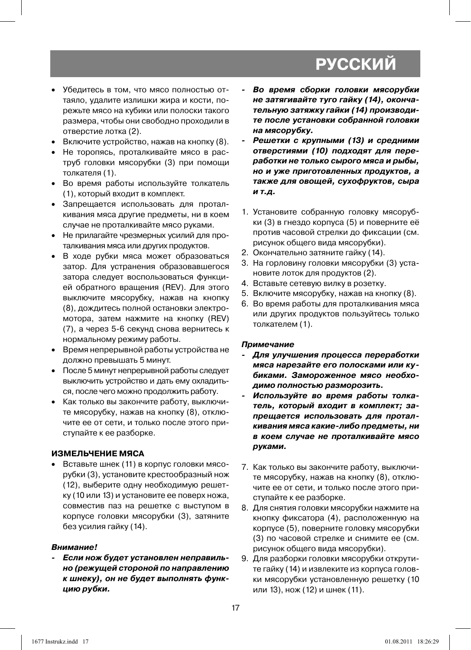- Убедитесь в том, что мясо полностью оттаяло, удалите излишки жира и кости, порежьте мясо на кубики или полоски такого размера, чтобы они свободно проходили в отверстие лотка (2).
- Включите устройство, нажав на кнопку (8).
- Не торопясь, проталкивайте мясо в раструб головки мясорубки (3) при помощи толкателя (1).
- Во время работы используйте толкатель (1), который входит в комплект.
- Запрещается использовать для проталкивания мяса другие предметы, ни в коем случае не проталкивайте мясо руками.
- Не прилагайте чрезмерных усилий для проталкивания мяса или других продуктов.
- В ходе рубки мяса может образоваться затор. Для устранения образовавшегося затора следует воспользоваться функцией обратного вращения (REV). Для этого выключите мясорубку, нажав на кнопку (8), дождитесь полной остановки электромотора, затем нажмите на кнопку (REV) (7), а через 5-6 секунд снова вернитесь к нормальному режиму работы.
- Время непрерывной работы устройства не должно превышать 5 минут.
- После 5 минут непрерывной работы следует выключить устройство и дать ему охладиться, после чего можно продолжить работу.
- Как только вы закончите работу, выключите мясорубку, нажав на кнопку (8), отключите ее от сети, и только после этого приступайте к ее разборке.

#### **ИЗМЕЛЬЧЕНИЕ МЯСА**

• Вставьте шнек (11) в корпус головки мясорубки (3), установите крестообразный нож (12), выберите одну необходимую решетку (10 или 13) и установите ее поверх ножа, совместив паз на решетке с выступом в корпусе головки мясорубки (3), затяните без усилия гайку (14).

#### *Внимание!*

*- Если нож будет установлен неправильно (режущей стороной по направлению к шнеку), он не будет выполнять функцию рубки.*

- *Во время сборки головки мясорубки не затягивайте туго гайку (14), окончательную затяжку гайки (14) производите после установки собранной головки на мясорубку.*
- *Решетки с крупными (13) и средними отверстиями (10) подходят для переработки не только сырого мяса и рыбы, но и уже приготовленных продуктов, а также для овощей, сухофруктов, сыра и т.д.*
- 1. Установите собранную головку мясорубки (3) в гнездо корпуса (5) и поверните её против часовой стрелки до фиксации (см. рисунок общего вида мясорубки).
- 2. Окончательно затяните гайку (14).
- 3. На горловину головки мясорубки (3) установите лоток для продуктов (2).
- 4. Вставьте сетевую вилку в розетку.
- 5. Включите мясорубку, нажав на кнопку (8).
- 6. Во время работы для проталкивания мяса или других продуктов пользуйтесь только толкателем (1).

#### *Примечание*

- *Для улучшения процесса переработки мяса нарезайте его полосками или кубиками. Замороженное мясо необходимо полностью разморозить.*
- *Используйте во время работы толкатель, который входит в комплект; запрещается использовать для проталкивания мяса какие-либо предметы, ни в коем случае не проталкивайте мясо руками.*
- 7. Как только вы закончите работу, выключите мясорубку, нажав на кнопку (8), отключите ее от сети, и только после этого приступайте к ее разборке.
- 8. Для снятия головки мясорубки нажмите на кнопку фиксатора (4), расположенную на корпусе (5), поверните головку мясорубки (3) по часовой стрелке и снимите ее (см. рисунок общего вида мясорубки).
- 9. Для разборки головки мясорубки открутите гайку (14) и извлеките из корпуса головки мясорубки установленную решетку (10 или 13), нож (12) и шнек (11).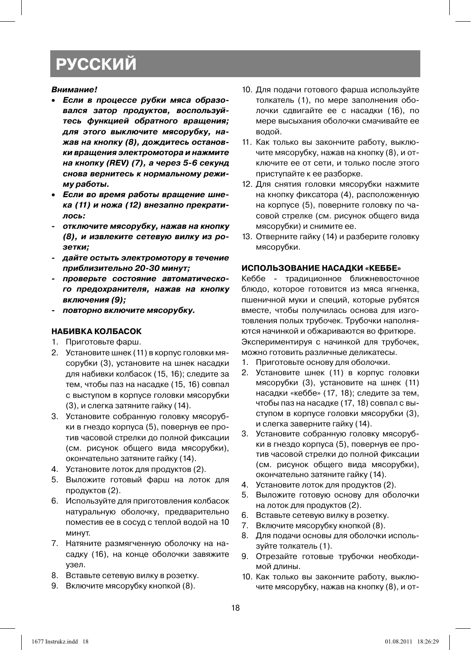#### *Внимание!*

- *Если в процессе рубки мяса образовался затор продуктов, воспользуйтесь функцией обратного вращения; для этого выключите мясорубку, нажав на кнопку (8), дождитесь остановки вращения электромотора и нажмите на кнопку (REV) (7), а через 5-6 секунд снова вернитесь к нормальному режиму работы.*
- *Если во время работы вращение шнека (11) и ножа (12) внезапно прекратилось:*
- *отключите мясорубку, нажав на кнопку (8), и извлеките сетевую вилку из розетки;*
- *дайте остыть электромотору в течение приблизительно 20-30 минут;*
- *проверьте состояние автоматического предохранителя, нажав на кнопку включения (9);*
- *повторно включите мясорубку.*

#### **НАБИВКА КОЛБАСОК**

- 1. Приготовьте фарш.
- 2. Установите шнек (11) в корпус головки мясорубки (3), установите на шнек насадки для набивки колбасок (15, 16); следите за тем, чтобы паз на насадке (15, 16) совпал с выступом в корпусе головки мясорубки (3), и слегка затяните гайку (14).
- 3. Установите собранную головку мясорубки в гнездо корпуса (5), повернув ее против часовой стрелки до полной фиксации (см. рисунок общего вида мясорубки), окончательно затяните гайку (14).
- 4. Установите лоток для продуктов (2).
- 5. Выложите готовый фарш на лоток для продуктов (2).
- 6. Используйте для приготовления колбасок натуральную оболочку, предварительно поместив ее в сосуд с теплой водой на 10 минут.
- 7. Натяните размягченную оболочку на насадку (16), на конце оболочки завяжите узел.
- 8. Вставьте сетевую вилку в розетку.
- 9. Включите мясорубку кнопкой (8).
- 10. Для подачи готового фарша используйте толкатель (1), по мере заполнения оболочки сдвигайте ее с насадки (16), по мере высыхания оболочки смачивайте ее водой.
- 11. Как только вы закончите работу, выключите мясорубку, нажав на кнопку (8), и отключите ее от сети, и только после этого приступайте к ее разборке.
- 12. Для снятия головки мясорубки нажмите на кнопку фиксатора (4), расположенную на корпусе (5), поверните головку по часовой стрелке (см. рисунок общего вида мясорубки) и снимите ее.
- 13. Отверните гайку (14) и разберите головку мясорубки.

#### **ИСПОЛЬЗОВАНИЕ НАСАДКИ «КЕББЕ»**

Кеббе - традиционное ближневосточное блюдо, которое готовится из мяса ягненка, пшеничной муки и специй, которые рубятся вместе, чтобы получилась основа для изготовления полых трубочек. Трубочки наполняются начинкой и обжариваются во фритюре. Экспериментируя с начинкой для трубочек, можно готовить различные деликатесы.

- 1. Приготовьте основу для оболочки.
- 2. Установите шнек (11) в корпус головки мясорубки (3), установите на шнек (11) насадки «кеббе» (17, 18); следите за тем, чтобы паз на насадке (17, 18) совпал с выступом в корпусе головки мясорубки (3), и слегка заверните гайку (14).
- 3. Установите собранную головку мясорубки в гнездо корпуса (5), повернув ее против часовой стрелки до полной фиксации (см. рисунок общего вида мясорубки), окончательно затяните гайку (14).
- 4. Установите лоток для продуктов (2).
- 5. Выложите готовую основу для оболочки на лоток для продуктов (2).
- 6. Вставьте сетевую вилку в розетку.
- 7. Включите мясорубку кнопкой (8).
- 8. Для подачи основы для оболочки используйте толкатель (1).
- 9. Отрезайте готовые трубочки необходимой длины.
- 10. Как только вы закончите работу, выключите мясорубку, нажав на кнопку (8), и от-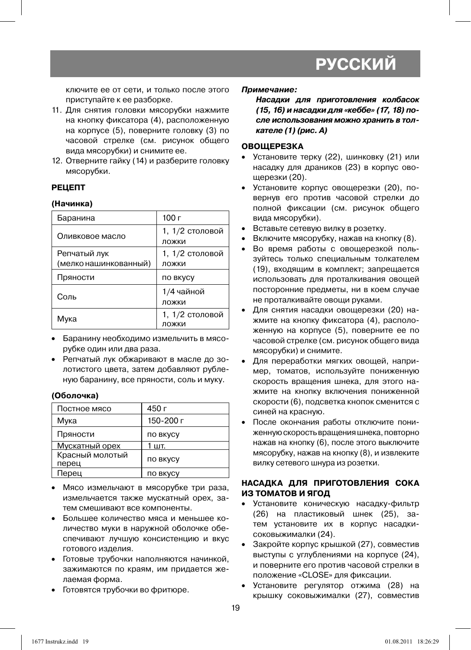ключите ее от сети, и только после этого приступайте к ее разборке.

- 11. Для снятия головки мясорубки нажмите на кнопку фиксатора (4), расположенную на корпусе (5), поверните головку (3) по часовой стрелке (см. рисунок общего вида мясорубки) и снимите ее.
- 12. Отверните гайку (14) и разберите головку мясорубки.

#### **РЕЦЕПТ**

#### **(Начинка)**

| Баранина              | 100 г                    |
|-----------------------|--------------------------|
| Оливковое масло       | 1, 1/2 столовой<br>ложки |
| Репчатый лук          | 1, 1/2 столовой          |
| (мелко нашинкованный) | ложки                    |
| Пряности              | ПО ВКУСУ                 |
| Соль                  | 1/4 чайной<br>ложки      |
| Мука                  | 1, 1/2 столовой<br>ложки |

- Баранину необходимо измельчить в мясорубке один или два раза.
- Репчатый лук обжаривают в масле до золотистого цвета, затем добавляют рубленую баранину, все пряности, соль и муку.

#### **(Оболочка)**

| Постное мясо             | 450 г           |
|--------------------------|-----------------|
| Мука                     | 150-200 г       |
| Пряности                 | <b>ПО ВКУСУ</b> |
| Мускатный орех           | 1 шт.           |
| Красный молотый<br>перец | по вкусу        |
| Перец                    | <b>ПО ВКУСУ</b> |

- Мясо измельчают в мясорубке три раза, измельчается также мускатный орех, затем смешивают все компоненты.
- Большее количество мяса и меньшее количество муки в наружной оболочке обеспечивают лучшую консистенцию и вкус готового изделия.
- Готовые трубочки наполняются начинкой, зажимаются по краям, им придается желаемая форма.
- Готовятся трубочки во фритюре.

#### *Примечание:*

*Насадки для приготовления колбасок (15, 16) и насадки для «кеббе» (17, 18) после использования можно хранить в толкателе (1) (рис. А)*

#### **ОВОЩЕРЕЗКА**

- Установите терку (22), шинковку (21) или насадку для драников (23) в корпус овощерезки (20).
- Установите корпус овощерезки (20), повернув его против часовой стрелки до полной фиксации (см. рисунок общего вида мясорубки).
- Вставьте сетевую вилку в розетку.
- Включите мясорубку, нажав на кнопку (8).
- Во время работы с овощерезкой пользуйтесь только специальным толкателем (19), входящим в комплект; запрещается использовать для проталкивания овощей посторонние предметы, ни в коем случае не проталкивайте овощи руками.
- Для снятия насадки овощерезки (20) нажмите на кнопку фиксатора (4), расположенную на корпусе (5), поверните ее по часовой стрелке (см. рисунок общего вида мясорубки) и снимите.
- Для переработки мягких овощей, например, томатов, используйте пониженную скорость вращения шнека, для этого нажмите на кнопку включения пониженной скорости (6), подсветка кнопок сменится с синей на красную.
- После окончания работы отключите пониженную скорость вращения шнека, повторно нажав на кнопку (6), после этого выключите мясорубку, нажав на кнопку (8), и извлеките вилку сетевого шнура из розетки.

#### **НАСАДКА ДЛЯ ПРИГОТОВЛЕНИЯ СОКА ИЗ ТОМАТОВ И ЯГОД**

- Установите коническую насадку-фильтр (26) на пластиковый шнек (25), затем установите их в корпус насадкисоковыжималки (24).
- Закройте корпус крышкой (27), совместив выступы с углублениями на корпусе (24), и поверните его против часовой стрелки в положение «CLOSE» для фиксации.
- Установите регулятор отжима (28) на крышку соковыжималки (27), совместив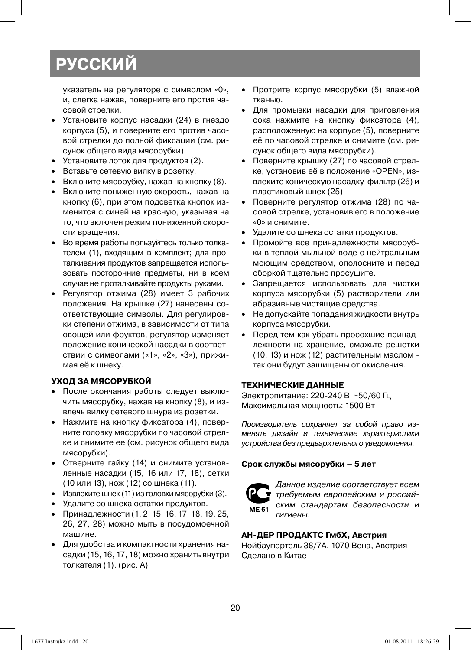указатель на регуляторе с символом «0», и, слегка нажав, поверните его против часовой стрелки.

- Установите корпус насадки (24) в гнездо корпуса (5), и поверните его против часовой стрелки до полной фиксации (см. рисунок общего вида мясорубки).
- Установите лоток для продуктов (2).
- Вставьте сетевую вилку в розетку.
- Включите мясорубку, нажав на кнопку (8).
- Включите пониженную скорость, нажав на кнопку (6), при этом подсветка кнопок изменится с синей на красную, указывая на то, что включен режим пониженной скорости вращения.
- Во время работы пользуйтесь только толкателем (1), входящим в комплект; для проталкивания продуктов запрещается использовать посторонние предметы, ни в коем случае не проталкивайте продукты руками.
- Регулятор отжима (28) имеет 3 рабочих положения. На крышке (27) нанесены соответствующие символы. Для регулировки степени отжима, в зависимости от типа овощей или фруктов, регулятор изменяет положение конической насадки в соответствии с символами («1», «2», «3»), прижимая её к шнеку.

#### **УХОД ЗА МЯСОРУБКОЙ**

- После окончания работы следует выключить мясорубку, нажав на кнопку (8), и извлечь вилку сетевого шнура из розетки.
- Нажмите на кнопку фиксатора (4), поверните головку мясорубки по часовой стрелке и снимите ее (см. рисунок общего вида мясорубки).
- Отверните гайку (14) и снимите установленные насадки (15, 16 или 17, 18), сетки (10 или 13), нож (12) со шнека (11).
- Извлеките шнек (11) из головки мясорубки (3).
- Удалите со шнека остатки продуктов.
- Принадлежности (1, 2, 15, 16, 17, 18, 19, 25, 26, 27, 28) можно мыть в посудомоечной машине.
- Для удобства и компактности хранения насадки (15, 16, 17, 18) можно хранить внутри толкателя (1). (рис. А)
- Протрите корпус мясорубки (5) влажной тканью.
- Для промывки насадки для приговления сока нажмите на кнопку фиксатора (4), расположенную на корпусе (5), поверните её по часовой стрелке и снимите (см. рисунок общего вида мясорубки).
- Поверните крышку (27) по часовой стрелке, установив её в положение «OPEN», извлеките коническую насадку-фильтр (26) и пластиковый шнек (25).
- Поверните регулятор отжима (28) по часовой стрелке, установив его в положение «0» и снимите.
- Удалите со шнека остатки продуктов.
- Промойте все принадлежности мясорубки в теплой мыльной воде с нейтральным моющим средством, ополосните и перед сборкой тщательно просушите.
- Запрещается использовать для чистки корпуса мясорубки (5) растворители или абразивные чистящие средства.
- Не допускайте попадания жидкости внутрь корпуса мясорубки.
- Перед тем как убрать просохшие принадлежности на хранение, смажьте решетки (10, 13) и нож (12) растительным маслом так они будут защищены от окисления.

#### **ТЕХНИЧЕСКИЕ ДАННЫЕ**

Электропитание: 220-240 В ~50/60 Гц Максимальная мощность: 1500 Вт

Производитель сохраняет за собой право изменять дизайн и технические характеристики устройства без предварительного уведомления.

#### **Срок службы мясорубки – 5 лет**



Данное изделие соответствует всем требуемым европейским и российским стандартам безопасности и гигиены.

#### **АН-ДЕР ПРОДАКТС ГмбХ, Австрия**

Нойбаугюртель 38/7А, 1070 Вена, Австрия Сделано в Китае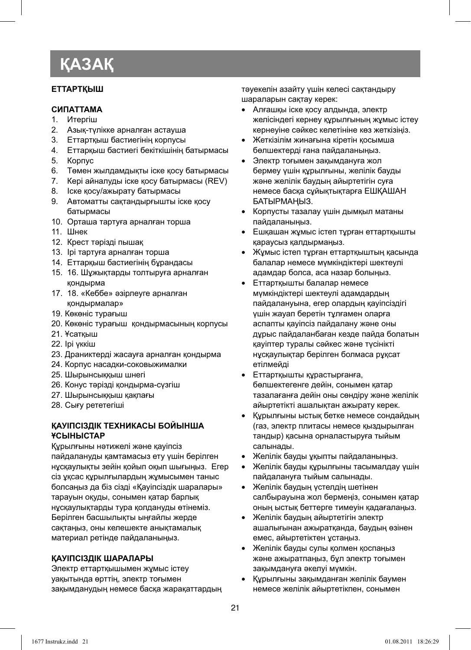## **ҚАЗАҚ**

#### **ЕТТАРТҚЫШ**

#### **СИПАТТАМА**

- 1. Итергіш
- 2. Азық-түлікке арналған астауша
- 3. Еттартқыш бастиегінің корпусы<br>4. Еттарқыш бастиегі бекіткішінің
- 4. Еттарқыш бастиегі бекіткішінің батырмасы
- 5. Корпус
- 6. Төмен жылдамдықты іске қосу батырмасы
- 7. Кері айналуды іске қосу батырмасы (REV)
- 8. Іске қосу/ажырату батырмасы
- 9. Автоматты сақтандырғышты іске қосу батырмасы
- 10. Орташа тартуға арналған торша
- 11. Шнек
- 12. Крест тəрізді пышақ
- 13. Ірі тартуға арналған торша
- 14. Еттарқыш бастиегінің бұрандасы
- 15. 16. Шұжықтарды толтыруға арналған қондырма
- 17. 18. «Кеббе» əзірлеуге арналған қондырмалар»
- 19. Көкөніс турағыш
- 20. Көкөніс турағыш қондырмасының корпусы
- 21. Ұсатқыш
- 22. Ірі үккіш
- 23. Драниктерді жасауға арналған қондырма
- 24. Корпус насадки-соковыжималки
- 25. Шырынсыққыш шнегі
- 26. Конус тəрізді қондырма-сүзгіш
- 27. Шырынсыққыш қақпағы
- 28. Сығу рететегіші

#### **ҚАУІПСІЗДІК ТЕХНИКАСЫ БОЙЫНША ҰСЫНЫСТАР**

Құрылғыны нəтижелі жəне қауіпсіз пайдалануды қамтамасыз ету үшін берілген нұсқаулықты зейін қойып оқып шығыңыз. Егер сіз ұқсас құрылғылардың жұмысымен таныс болсаңыз да біз сізді «Қауіпсіздік шаралары» тарауын оқуды, сонымен қатар барлық нұсқаулықтарды тура қолдануды өтінеміз. Берілген басшылықты ыңғайлы жерде сақтаңыз, оны келешекте анықтамалық материал ретінде пайдаланыңыз.

#### **ҚАУІПСІЗДІК ШАРАЛАРЫ**

Электр еттартқышымен жұмыс істеу уақытында өрттің, электр тоғымен зақымданудың немесе басқа жарақаттардың тəуекелін азайту үшін келесі сақтандыру шараларын сақтау керек:

- Алғашқы іске қосу алдында, электр желісіндегі кернеу құрылғының жұмыс істеу кернеуіне сəйкес келетініне көз жеткізіңіз.
- Жеткізілім жинағына кіретін қосымша бөлшектерді ғана пайдаланыңыз.
- Электр тоғымен зақымдануға жол бермеу үшін құрылғыны, желілік бауды жəне желілік баудың айыртетігін суға немесе басқа сұйықтықтарға ЕШҚАШАН БАТЫРМАҢЫЗ.
- Корпусты тазалау үшін дымқыл матаны пайдаланыңыз.
- Ешқашан жұмыс істеп тұрған еттартқышты қараусыз қалдырмаңыз.
- Жұмыс істеп тұрған еттартқыштың қасында балалар немесе мүмкіндіктері шектеулі адамдар болса, аса назар болыңыз.
- Еттартқышты балалар немесе мүмкіндіктері шектеулі адамдардың пайдалануына, егер олардың қауіпсіздігі үшін жауап беретін тұлғамен оларға аспапты қауіпсіз пайдалану жəне оны дұрыс пайдаланбаған кезде пайда болатын қауіптер туралы сəйкес жəне түсінікті нұсқаулықтар берілген болмаса рұқсат етілмейді
- Еттартқышты құрастырғанға, бөлшектегенге дейін, сонымен қатар тазалағанға дейін оны сөндіру жəне желілік айыртетікті ашалықтан ажырату керек.
- Құрылғыны ыстық бетке немесе сондайдың (газ, электр плитасы немесе қыздырылған тандыр) қасына орналастыруға тыйым салынады.
- Желілік бауды ұқыпты пайдаланыңыз.
- Желілік бауды құрылғыны тасымалдау үшін пайдалануға тыйым салынады.
- Желілік баудың үстелдің шетінен салбырауына жол бермеңіз, сонымен қатар оның ыстық беттерге тимеуін қадағалаңыз.
- Желілік баудың айыртетігін электр ашалығынан ажыратқанда, баудың өзінен емес, айыртетіктен ұстаңыз.
- Желілік бауды сулы қолмен қоспаңыз жəне ажыратпаңыз, бұл электр тоғымен зақымдануға əкелуі мүмкін.
- Құрылғыны зақымданған желілік баумен немесе желілік айыртетікпен, сонымен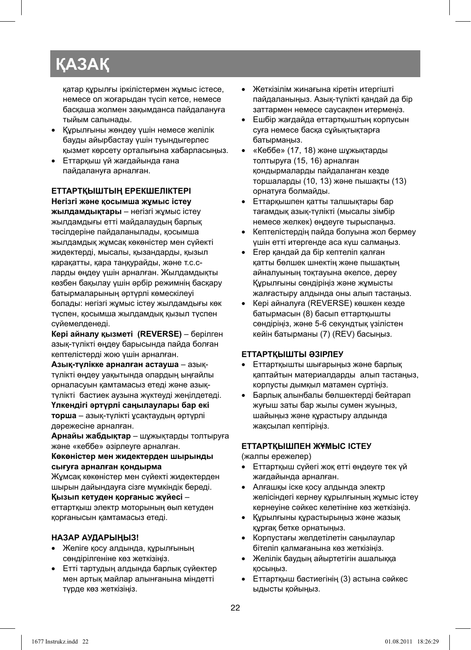## **ҚАЗАҚ**

қатар құрылғы іркілістермен жұмыс істесе, немесе ол жоғарыдан түсіп кетсе, немесе басқаша жолмен зақымданса пайдалануға тыйым салынады.

- Құрылғыны жөндеу үшін немесе желілік бауды айырбастау үшін туындыгерлес қызмет көрсету орталығына хабарласыңыз.
- Еттарқыш үй жағдайында ғана пайдалануға арналған.

**ЕТТАРТҚЫШТЫҢ ЕРЕКШЕЛІКТЕРІ Негізгі жəне қосымша жұмыс істеу жылдамдықтары** – негізгі жұмыс істеу жылдамдығы етті майдалаудың барлық тəсілдеріне пайдаланылады, қосымша жылдамдық жұмсақ көкөністер мен сүйекті жидектерді, мысалы, қызандарды, қызыл қарақатты, қара таңқурайды, жəне т.с.сларды өңдеу үшін арналған. Жылдамдықты көзбен бақылау үшін əрбір режимнің басқару батырмаларының əртүрлі көмескілеуі болады: негізгі жұмыс істеу жылдамдығы көк түспен, қосымша жылдамдық қызыл түспен сүйемелденеді.

**Кері айналу қызметі (REVERSE)** – берілген азық-түлікті өңдеу барысында пайда болған кептелістерді жою үшін арналған.

**Азық-түлікке арналған астауша** – азықтүлікті өңдеу уақытында олардың ыңғайлы орналасуын қамтамасыз етеді жəне азықтүлікті бастиек аузына жүктеуді жеңілдетеді.

**Үлкендігі əртүрлі саңылаулары бар екі торша** – азық-түлікті ұсақтаудың əртүрлі дəрежесіне арналған.

**Арнайы жабдықтар** – шұжықтарды толтыруға жəне «кеббе» əзірлеуге арналған.

#### **Көкөністер мен жидектерден шырынды сығуға арналған қондырма**

Жұмсақ көкөністер мен сүйекті жидектерден шырын дайындауға сізге мүмкіндік береді.

#### **Қызып кетуден қорғаныс жүйесі** –

еттартқыш электр моторының өып кетуден қорғанысын қамтамасыз етеді.

#### **НАЗАР АУДАРЫҢЫЗ!**

- Желіге қосу алдында, құрылғының сөндірілгеніне көз жеткізіңіз.
- Етті тартудың алдында барлық сүйектер мен артық майлар алынғанына міндетті түрде көз жеткізіңіз.
- Жеткізілім жинағына кіретін итергішті пайдаланыңыз. Азық-түлікті қандай да бір заттармен немесе саусақпен итермеңіз.
- Ешбір жағдайда еттартқыштың корпусын суға немесе басқа сұйықтықтарға батырмаңыз.
- «Кеббе» (17, 18) жəне шұжықтарды толтыруға (15, 16) арналған қондырмаларды пайдаланған кезде торшаларды (10, 13) жəне пышақты (13) орнатуға болмайды.
- Еттарқышпен қатты талшықтары бар тағамдық азық-түлікті (мысалы зімбір немесе желкек) өңдеуге тырыспаңыз.
- Кептелістердің пайда болуына жол бермеу үшін етті итергенде аса күш салмаңыз.
- Егер қандай да бір кептеліп қалған қатты бөлшек шнектің жəне пышақтың айналуының тоқтауына əкелсе, дереу Құрылғыны сөндіріңіз жəне жұмысты жалғастыру алдында оны алып тастаңыз.
- Кері айналуға (REVERSE) көшкен кезде батырмасын (8) басып еттартқышты сөндіріңіз, жəне 5-6 секундтық үзілістен кейін батырманы (7) (REV) басыңыз.

#### **ЕТТАРТҚЫШТЫ ƏЗІРЛЕУ**

- Еттартқышты шығарыңыз жəне барлық қаптайтын материалдарды алып тастаңыз, корпусты дымқыл матамен сүртіңіз.
- Барлық алынбалы бөлшектерді бейтарап жуғыш заты бар жылы сумен жуыңыз, шайыңыз жəне құрастыру алдында жақсылап кептіріңіз.

#### **ЕТТАРТҚЫШПЕН ЖҰМЫС ІСТЕУ**

(жалпы ережелер)

- Еттартқыш сүйегі жоқ етті өңдеуге тек үй жағдайында арналған.
- Алғашқы іске қосу алдында электр желісіндегі кернеу құрылғының жұмыс істеу кернеуіне сəйкес келетініне көз жеткізіңіз.
- Құрылғыны құрастырыңыз жəне жазық құрғақ бетке орнатыңыз.
- Корпустағы желдетілетін саңылаулар бітеліп қалмағанына көз жеткізіңіз.
- Желілік баудың айыртетігін ашалыққа қосыңыз.
- Еттартқыш бастиегінің (3) астына сəйкес ыдысты қойыңыз.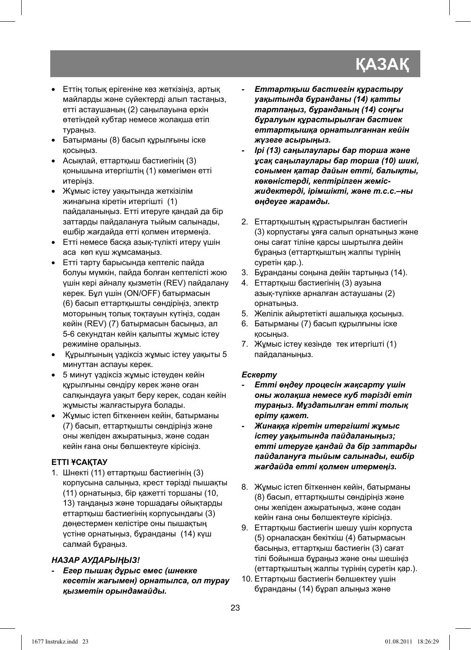## **КАЗАК**

- Еттің толық ерігеніне көз жеткізіңіз, артық майларды жəне сүйектерді алып тастаңыз, етті астаушаның (2) саңылауына еркін өтетіндей кубтар немесе жолақша етіп тураңыз.
- Батырманы (8) басып құрылғыны іске қосыңыз.
- Асықпай, еттартқыш бастиегінің (3) қонышына итергіштің (1) көмегімен етті итеріңіз.
- Жұмыс істеу уақытында жеткізілім жинағына кіретін итергішті (1) пайдаланыңыз. Етті итеруге қандай да бір заттарды пайдалануға тыйым салынады, ешбір жағдайда етті қолмен итермеңіз.
- Етті немесе басқа азық-түлікті итеру үшін аса көп күш жұмсамаңыз.
- Етті тарту барысында кептеліс пайда болуы мүмкін, пайда болған кептелісті жою үшін кері айналу қызметін (REV) пайдалану керек. Бұл үшін (ON/OFF) батырмасын (6) басып еттартқышты сөндіріңіз, электр моторының толық тоқтауын күтіңіз, содан кейін (REV) (7) батырмасын басыңыз, ал 5-6 секундтан кейін қалыпты жұмыс істеу режиміне оралыңыз.
- Құрылғының үздіксіз жұмыс істеу уақыты 5 минуттан аспауы керек.
- 5 минут үздіксіз жұмыс істеуден кейін құрылғыны сөндіру керек жəне оған салқындауға уақыт беру керек, содан кейін жұмысты жалғастыруға болады.
- Жұмыс істеп біткеннен кейін, батырманы (7) басып, еттартқышты сөндіріңіз жəне оны желіден ажыратыңыз, жəне содан кейін ғана оны бөлшектеуге кірісіңіз.

#### **ЕТТІ ҰСАҚТАУ**

1. Шнекті (11) еттартқыш бастиегінің (3) корпусына салыңыз, крест тəрізді пышақты (11) орнатыңыз, бір қажетті торшаны (10, 13) таңдаңыз жəне торшадағы ойықтарды еттартқыш бастиегінің корпусындағы (3) дөңестермен келістіре оны пышақтың үстіне орнатыңыз, бұранданы (14) күш салмай бұраңыз.

#### *НАЗАР АУДАРЫҢЫЗ!*

*- Егер пышақ дұрыс емес (шнекке кесетін жағымен) орнатылса, ол турау қызметін орындамайды.* 

- *Еттартқыш бастиегін құрастыру уақытында бұранданы (14) қатты тартпаңыз, бұранданың (14) соңғы бұралуын құрастырылған бастиек еттартқышқа орнатылғаннан кейін жүзеге асырыңыз.*
- *Ірі (13) саңылаулары бар торша жəне ұсақ саңылаулары бар торша (10) шикі, сонымен қатар дайын етті, балықты, көкөністерді, кептірілген жемісжидектерді, ірімшікті, жəне т.с.с.–ны өңдеуге жарамды.*
- 2. Еттартқыштың құрастырылған бастиегін (3) корпустағы ұяға салып орнатыңыз жəне оны сағат тіліне қарсы шыртылға дейін бұраңыз (еттартқыштың жалпы түрінің суретін қар.).
- 3. Бұранданы соңына дейін тартыңыз (14).
- 4. Еттартқыш бастиегінің (3) аузына азық-түлікке арналған астаушаны (2) орнатыңыз.
- 5. Желілік айыртетікті ашалыққа қосыңыз.
- 6. Батырманы (7) басып құрылғыны іске қосыңыз.
- 7. Жұмыс істеу кезінде тек итергішті (1) пайдаланыңыз.

#### *Ескерту*

- *Етті өңдеу процесін жақсарту үшін оны жолақша немесе куб тəрізді етіп тураңыз. Мұздатылған етті толық еріту қажет.*
- *Жинаққа кіретін итергішті жұмыс істеу уақытында пайдаланыңыз; етті итеруге қандай да бір заттарды пайдалануға тыйым салынады, ешбір жағдайда етті қолмен итермеңіз.*
- 8. Жұмыс істеп біткеннен кейін, батырманы (8) басып, еттартқышты сөндіріңіз жəне оны желіден ажыратыңыз, жəне содан кейін ғана оны бөлшектеуге кірісіңіз.
- 9. Еттартқыш бастиегін шешу үшін корпуста (5) орналасқан бекіткіш (4) батырмасын басыңыз, еттартқыш бастиегін (3) сағат тілі бойынша бұраңыз жəне оны шешіңіз (еттартқыштың жалпы түрінің суретін қар.).
- 10. Еттартқыш бастиегін бөлшектеу үшін бұранданы (14) бұрап алыңыз жəне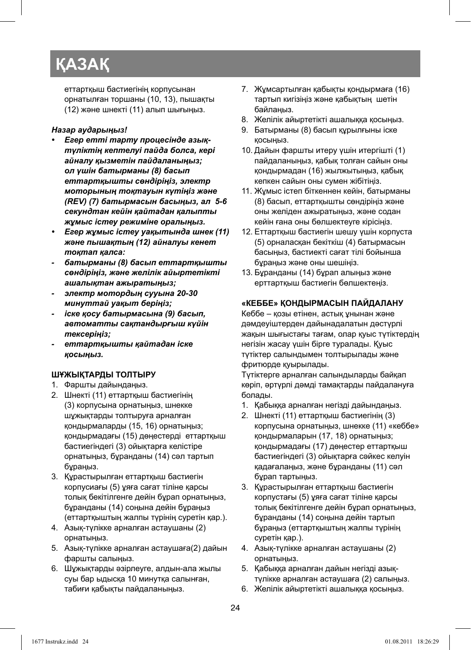## **ҚАЗАҚ**

еттартқыш бастиегінің корпусынан орнатылған торшаны (10, 13), пышақты (12) жəне шнекті (11) алып шығыңыз.

#### *Назар аударыңыз!*

- *Егер етті тарту процесінде азықтүліктің кептелуі пайда болса, кері айналу қызметін пайдаланыңыз; ол үшін батырманы (8) басып еттартқышты сөндіріңіз, электр моторының тоқтауын күтіңіз жəне (REV) (7) батырмасын басыңыз, ал 5-6 секундтан кейін қайтадан қалыпты жұмыс істеу режиміне оралыңыз.*
- *Егер жұмыс істеу уақытында шнек (11) жəне пышақтың (12) айналуы кенет тоқтап қалса:*
- *батырманы (8) басып еттартқышты сөндіріңіз, жəне желілік айыртетікті ашалықтан ажыратыңыз;*
- *электр мотордың сууына 20-30 минуттай уақыт беріңіз;*
- *іске қосу батырмасына (9) басып, автоматты сақтандырғыш күйін тексеріңіз;*
- *еттартқышты қайтадан іске қосыңыз.*

#### **ШҰЖЫҚТАРДЫ ТОЛТЫРУ**

- 1. Фаршты дайындаңыз.
- 2. Шнекті (11) еттартқыш бастиегінің (3) корпусына орнатыңыз, шнекке шұжықтарды толтыруға арналған қондырмаларды (15, 16) орнатыңыз; қондырмадағы (15) дөңестерді еттартқыш бастиегіндегі (3) ойықтарға келістіре орнатыңыз, бұранданы (14) сəл тартып бұраңыз.
- 3. Құрастырылған еттартқыш бастиегін корпусиағы (5) ұяға сағат тіліне қарсы толық бекітілгенге дейін бұрап орнатыңыз, бұранданы (14) соңына дейін бұраңыз (еттартқыштың жалпы түрінің суретін қар.).
- 4. Азық-түлікке арналған астаушаны (2) орнатыңыз.
- 5. Азық-түлікке арналған астаушаға(2) дайын фаршты салыңыз.
- 6. Шұжықтарды əзірлеуге, алдын-ала жылы суы бар ыдысқа 10 минутқа салынған, табиғи қабықты пайдаланыңыз.
- 7. Жұмсартылған қабықты қондырмаға (16) тартып кигізіңіз жəне қабықтың шетін байлаңыз.
- 8. Желілік айыртетікті ашалыққа қосыңыз.
- 9. Батырманы (8) басып құрылғыны іске қосыңыз.
- 10. Дайын фаршты итеру үшін итергішті (1) пайдаланыңыз, қабық толған сайын оны қондырмадан (16) жылжытыңыз, қабық кепкен сайын оны сумен жібітіңіз.
- 11. Жұмыс істеп біткеннен кейін, батырманы (8) басып, еттартқышты сөндіріңіз жəне оны желіден ажыратыңыз, жəне содан кейін ғана оны бөлшектеуге кірісіңіз.
- 12. Еттартқыш бастиегін шешу үшін корпуста (5) орналасқан бекіткіш (4) батырмасын басыңыз, бастиекті сағат тілі бойынша бұраңыз жəне оны шешіңіз.
- 13. Бұранданы (14) бұрап алыңыз жəне ерттартқыш бастиегін бөлшектеңіз.

#### **«КЕББЕ» ҚОНДЫРМАСЫН ПАЙДАЛАНУ**

Кеббе – қозы етінен, астық ұнынан жəне дəмдеуіштерден дайынадалатын дəстүрлі жақын шығыстағы тағам, олар қуыс түтіктердің негізін жасау үшін бірге туралады. Қуыс түтіктер салындымен толтырылады жəне фритюрде қуырылады.

Түтіктерге арналған салындыларды байқап көріп, əртүрлі дəмді тамақтарды пайдалануға болады.

- 1. Қабыққа арналған негізді дайындаңыз.
- 2. Шнекті (11) еттартқыш бастиегінің (3) корпусына орнатыңыз, шнекке (11) «кеббе» қондырмаларын (17, 18) орнатыңыз; қондырмадағы (17) дөңестер еттартқыш бастиегіндегі (3) ойықтарға сəйкес келуін қадағалаңыз, жəне бұранданы (11) сəл бұрап тартыңыз.
- 3. Құрастырылған еттартқыш бастиегін корпустағы (5) ұяға сағат тіліне қарсы толық бекітілгенге дейін бұрап орнатыңыз, бұранданы (14) соңына дейін тартып бұраңыз (еттартқыштың жалпы түрінің суретін қар.).
- 4. Азық-түлікке арналған астаушаны (2) орнатыңыз.
- 5. Қабыққа арналған дайын негізді азықтүлікке арналған астаушаға (2) салыңыз.
- 6. Желілік айыртетікті ашалыққа қосыңыз.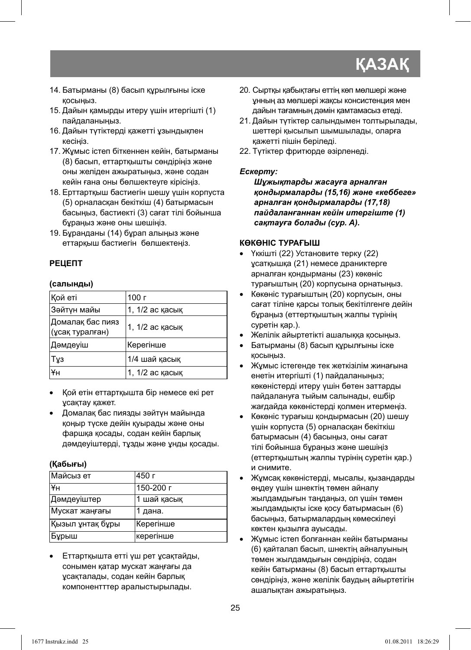## **КАЗАК**

- 14. Батырманы (8) басып құрылғыны іске қосыңыз.
- 15. Дайын қамырды итеру үшін итергішті (1) пайдаланыңыз.
- 16. Дайын түтіктерді қажетті ұзындықпен кесіңіз.
- 17. Жұмыс істеп біткеннен кейін, батырманы (8) басып, еттартқышты сөндіріңіз жəне оны желіден ажыратыңыз, жəне содан кейін ғана оны бөлшектеуге кірісіңіз.
- 18. Ерттартқыш бастиегін шешу үшін корпуста (5) орналасқан бекіткіш (4) батырмасын басыңыз, бастиекті (3) сағат тілі бойынша бұраңыз жəне оны шешіңіз.
- 19. Бұранданы (14) бұрап алыңыз жəне еттарқыш бастиегін бөлшектеңіз.

#### **РЕЦЕПТ**

#### **(салынды)**

| Кой еті                             | 100 г           |
|-------------------------------------|-----------------|
| Зәйтүн майы                         | 1, 1/2 ас касык |
| Домалақ бас пияз<br>(ұсақ туралған) | 1, 1/2 ас қасық |
| Дәмдеуіш                            | Керегінше       |
| ∣Т⊻з                                | 1/4 шай касык   |
| ¥н                                  | 1, 1/2 ас касык |

- Қой етін еттартқышта бір немесе екі рет ұсақтау қажет.
- Домалақ бас пиязды зəйтүн майында қоңыр түске дейін қуырады жəне оны фаршқа қосады, содан кейін барлық дəмдеуіштерді, тұзды жəне ұнды қосады.

#### **(Қабығы)**

| ∣Майсыз ет       | 450 г       |
|------------------|-------------|
| lҰн              | 150-200 г   |
| Дәмдеуіштер      | 1 шай қасық |
| Мускат жаңғағы   | 1 дана.     |
| Қызыл ұнтақ бұры | Керегінше   |
| Бұрыш            | керегінше   |

• Еттартқышта етті үш рет ұсақтайды, сонымен қатар мускат жаңғағы да ұсақталады, содан кейін барлық компонентттер аралыстырылады.

- 20. Сыртқы қабықтағы еттің көп мөлшері жəне ұнның аз мөлшері жақсы консистенция мен дайын тағамның дəмін қамтамасыз етеді.
- 21. Дайын түтіктер салындымен толтырылады, шеттері қысылып шымшылады, оларға қажетті пішін беріледі.
- 22. Түтіктер фритюрде əзірленеді.

#### *Ескерту:*

*Шұжықтарды жасауға арналған қондырмаларды (15,16) жəне «кеббеге» арналған қондырмаларды (17,18) пайдаланғаннан кейін итергіште (1) сақтауға болады (сур. A).*

#### **КӨКӨНІС ТУРАҒЫШ**

- Үккішті (22) Установите терку (22) ұсатқышқа (21) немесе драниктерге арналған қондырманы (23) көкөніс турағыштың (20) корпусына орнатыңыз.
- Көкөніс турағыштың (20) корпусын, оны сағат тіліне қарсы толық бекітілгенге дейін бұраңыз (еттертқыштың жалпы түрінің суретін қар.).
- Желілік айыртетікті ашалыққа қосыңыз.
- Батырманы (8) басып құрылғыны іске қосыңыз.
- Жұмыс істегенде тек жеткізілім жинағына енетін итергішті (1) пайдаланыңыз; көкөністерді итеру үшін бөтен заттарды пайдалануға тыйым салынады, ешбір жағдайда көкөністерді қолмен итермеңіз.
- Көкөніс турағыш қондырмасын (20) шешу үшін корпуста (5) орналасқан бекіткіш батырмасын (4) басыңыз, оны сағат тілі бойынша бұраңыз жəне шешіңіз (еттертқыштың жалпы түрінің суретін қар.) и снимите.
- Жұмсақ көкөністерді, мысалы, қызандарды өңдеу үшін шнектің төмен айналу жылдамдығын таңдаңыз, ол үшін төмен жылдамдықты іске қосу батырмасын (6) басыңыз, батырмалардың көмескілеуі көктен қызылға ауысады.
- Жұмыс істеп болғаннан кейін батырманы (6) қайталап басып, шнектің айналуының төмен жылдамдығын сөндіріңіз, содан кейін батырманы (8) басып еттартқышты сөндіріңіз, жəне желілік баудың айыртетігін ашалықтан ажыратыңыз.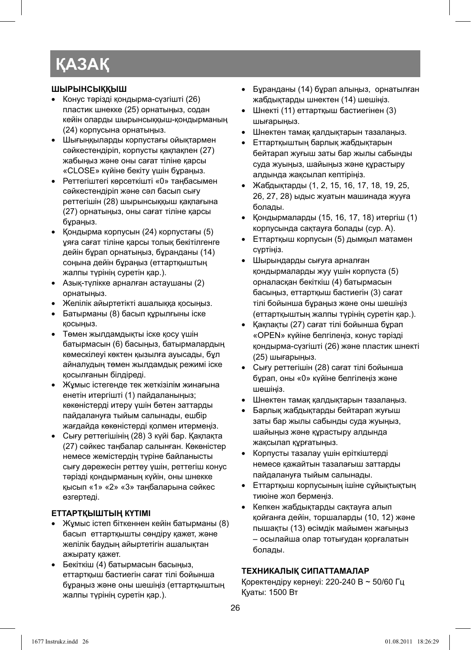## **ҚАЗАҚ**

#### **ШЫРЫНСЫҚҚЫШ**

- Конус тəрізді қондырма-сүзгішті (26) пластик шнекке (25) орнатыңыз, содан кейін оларды шырынсыққыш-қондырманың (24) корпусына орнатыңыз.
- Шығыңқыларды корпустағы ойықтармен сəйкестендіріп, корпусты қақпақпен (27) жабыңыз жəне оны сағат тіліне қарсы «CLOSE» күйіне бекіту үшін бұраңыз.
- Реттегіштегі көрсеткішті «0» таңбасымен сəйкестендіріп жəне сəл басып сығу реттегішін (28) шырынсыққыш қақпағына (27) орнатыңыз, оны сағат тіліне қарсы бұраңыз.
- Қондырма корпусын (24) корпустағы (5) ұяға сағат тіліне қарсы толық бекітілгенге дейін бұрап орнатыңыз, бұранданы (14) соңына дейін бұраңыз (еттартқыштың жалпы түрінің суретін қар.).
- Азық-түлікке арналған астаушаны (2) орнатыңыз.
- Желілік айыртетікті ашалыққа қосыңыз.
- Батырманы (8) басып құрылғыны іске қосыңыз.
- Төмен жылдамдықты іске қосу үшін батырмасын (6) басыңыз, батырмалардың көмескілеуі көктен қызылға ауысады, бұл айналудың төмен жылдамдық режимі іске қосылғанын білдіреді.
- Жұмыс істегенде тек жеткізілім жинағына енетін итергішті (1) пайдаланыңыз; көкөністерді итеру үшін бөтен заттарды пайдалануға тыйым салынады, ешбір жағдайда көкөністерді қолмен итермеңіз.
- Сығу реттегішінің (28) 3 күйі бар. Қақпақта (27) сəйкес таңбалар салынған. Көкөністер немесе жемістердің түріне байланысты сығу дəрежесін реттеу үшін, реттегіш конус тəрізді қондырманың күйін, оны шнекке қысып «1» «2» «3» таңбаларына сəйкес өзгертеді.

#### **ЕТТАРТҚЫШТЫҢ КҮТІМІ**

- Жұмыс істеп біткеннен кейін батырманы (8) басып еттартқышты сөндіру қажет, жəне желілік баудың айыртетігін ашалықтан ажырату қажет.
- Бекіткіш (4) батырмасын басыңыз, еттартқыш бастиегін сағат тілі бойынша бұраңыз жəне оны шешіңіз (еттартқыштың жалпы түрінің суретін қар.).
- Бұранданы (14) бұрап алыңыз, орнатылған жабдықтарды шнектен (14) шешіңіз.
- Шнекті (11) еттартқыш бастиегінен (3) шығарыңыз.
- Шнектен тамақ қалдықтарын тазалаңыз.
- Еттартқыштың барлық жабдықтарын бейтарап жуғыш заты бар жылы сабынды суда жуыңыз, шайыңыз жəне құрастыру алдында жақсылап кептіріңіз.
- Жабдықтарды (1, 2, 15, 16, 17, 18, 19, 25, 26, 27, 28) ыдыс жуатын машинада жууға болады.
- Қондырмаларды (15, 16, 17, 18) итергіш (1) корпусында сақтауға болады (сур. A).
- Еттартқыш корпусын (5) дымқыл матамен сүртіңіз.
- Шырындарды сығуға арналған қондырмаларды жуу үшін корпуста (5) орналасқан бекіткіш (4) батырмасын басыңыз, еттартқыш бастиегін (3) сағат тілі бойынша бұраңыз жəне оны шешіңіз (еттартқыштың жалпы түрінің суретін қар.).
- Қақпақты (27) сағат тілі бойынша бұрап «OPEN» күйіне белгілеңіз, конус тəрізді қондырма-сүзгішті (26) жəне пластик шнекті (25) шығарыңыз.
- Сығу реттегішін (28) сағат тілі бойынша бұрап, оны «0» күйіне белгілеңіз жəне шешіңіз.
- Шнектен тамақ қалдықтарын тазалаңыз.
- Барлық жабдықтарды бейтарап жуғыш заты бар жылы сабынды суда жуыңыз, шайыңыз жəне құрастыру алдында жақсылап құрғатыңыз.
- Корпусты тазалау үшін еріткіштерді немесе қажайтын тазалағыш заттарды пайдалануға тыйым салынады.
- Еттартқыш корпусының ішіне сұйықтықтың тиюіне жол бермеңіз.
- Кепкен жабдықтарды сақтауға алып қойғанға дейін, торшаларды (10, 12) жəне пышақты (13) өсімдік майымен жағыңыз – осылайша олар тотығудан қорғалатын болады.

#### **ТЕХНИКАЛЫҚ СИПАТТАМАЛАР**

Қоректендіру кернеуі: 220-240 В ~ 50/60 Гц Қуаты: 1500 Вт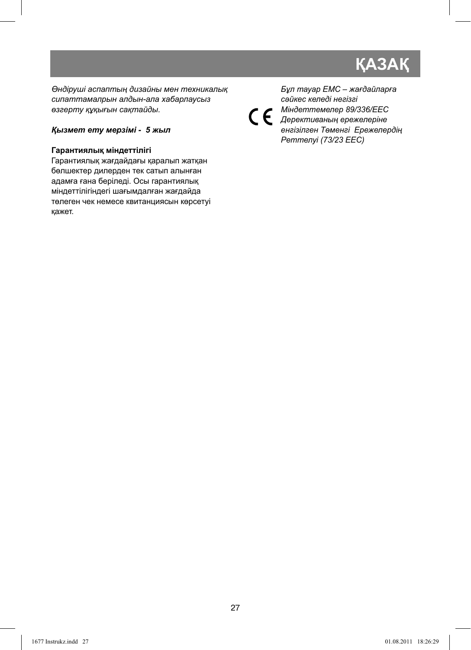## **ҚАЗАҚ**

*Өндіруші аспаптың дизайны мен техникалық сипаттамалрын алдын-ала хабарлаусыз өзгерту құқығын сақтайды.*

#### *Қызмет ету мерзімі - 5 жыл*

#### **Гарантиялық мiндеттiлiгi**

Гарантиялық жағдайдағы қаралып жатқан бөлшектер дилерден тек сатып алынған адамға ғана берiледi. Осы гарантиялық мiндеттiлiгiндегi шағымдалған жағдайда төлеген чек немесе квитанциясын көрсетуi қажет.

 $\epsilon$ 

*Бұл тауар ЕМС – жағдайларға сəйкес келедi негiзгi Мiндеттемелер 89/336/EEC Дерективаның ережелерiне енгiзiлген Төменгi Ережелердiң Реттелуi (73/23 EEC)*

27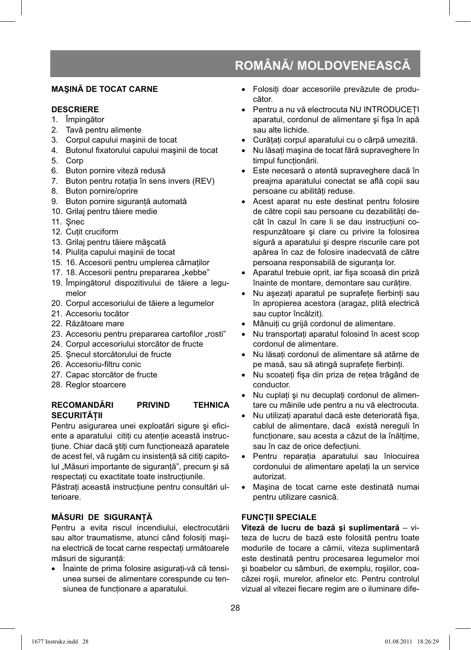#### **MAŞINĂ DE TOCAT CARNE**

#### **DESCRIERE**

- 1. Împingător
- 2. Tavă pentru alimente
- 3. Corpul capului maşinii de tocat
- 4. Butonul fixatorului capului masinii de tocat
- 5. Corp
- 6. Buton pornire viteză redusă
- 7. Buton pentru rotatia în sens invers (REV)
- 8. Buton pornire/oprire
- 9. Buton pornire siguranță automată
- 10. Grilaj pentru tăiere medie
- 11. Şnec
- 12. Cuţit cruciform
- 13. Grilaj pentru tăiere măşcată
- 14. Piuliţa capului maşinii de tocat
- 15. 16. Accesorii pentru umplerea cârnatilor
- 17. 18. Accesorii pentru prepararea "kebbe"
- 19. Împingătorul dispozitivului de tăiere a legumelor
- 20. Corpul accesoriului de tăiere a legumelor
- 21. Accesoriu tocător
- 22. Răzătoare mare
- 23. Accesoriu pentru prepararea cartofilor "rosti"
- 24. Corpul accesoriului storcător de fructe
- 25. Şnecul storcătorului de fructe
- 26. Accesoriu-filtru conic
- 27. Capac storcător de fructe
- 28. Reglor stoarcere

#### **RECOMANDĂRI PRIVIND TEHNICA SECURITĂŢII**

Pentru asigurarea unei exploatări sigure și eficiente a aparatului citiți cu atenție această instructiune. Chiar dacă știți cum funcționează aparatele de acest fel, vă rugăm cu insistență să cititi capitolul "Măsuri importante de siguranță", precum și să respectaţi cu exactitate toate instrucţiunile.

Păstrati această instructiune pentru consultări ulterioare.

#### **MĂSURI DE SIGURANŢĂ**

Pentru a evita riscul incendiului, electrocutării sau altor traumatisme, atunci când folosiți mașina electrică de tocat carne respectaţi următoarele măsuri de siguranţă:

• Înainte de prima folosire asiguraţi-vă că tensiunea sursei de alimentare corespunde cu tensiunea de funcționare a aparatului.

- Folositi doar accesoriile prevăzute de producător.
- Pentru a nu vă electrocuta NU INTRODUCEŢI aparatul, cordonul de alimentare și fișa în apă sau alte lichide.
- Curățați corpul aparatului cu o cârpă umezită.
- Nu lăsati mașina de tocat fără supraveghere în timpul functionării.
- Este necesară o atentă supraveghere dacă în preajma aparatului conectat se află copii sau persoane cu abilităţi reduse.
- Acest aparat nu este destinat pentru folosire de către copii sau persoane cu dezabilități decât în cazul în care li se dau instrucţiuni corespunzătoare şi clare cu privire la folosirea sigură a aparatului şi despre riscurile care pot apărea în caz de folosire inadecvată de către persoana responsabilă de siguranta lor.
- Aparatul trebuie oprit, iar fișa scoasă din priză înainte de montare, demontare sau curătire.
- Nu aşezați aparatul pe suprafețe fierbinți sau în apropierea acestora (aragaz, plită electrică sau cuptor încălzit).
- Mânuiţi cu grijă cordonul de alimentare.
- Nu transportati aparatul folosind în acest scop cordonul de alimentare.
- Nu lăsați cordonul de alimentare să atârne de pe masă, sau să atingă suprafete fierbinti.
- Nu scoateți fișa din priza de rețea trăgând de conductor.
- Nu cuplati și nu decuplati cordonul de alimentare cu mâinile ude pentru a nu vă electrocuta.
- Nu utilizați aparatul dacă este deteriorată fișa, cablul de alimentare, dacă există nereguli în funcționare, sau acesta a căzut de la înălțime, sau în caz de orice defectiuni.
- Pentru reparatia aparatului sau înlocuirea cordonului de alimentare apelaţi la un service autorizat.
- Maşina de tocat carne este destinată numai pentru utilizare casnică.

#### **FUNCŢII SPECIALE**

**Viteză de lucru de bază şi suplimentară** – viteza de lucru de bază este folosită pentru toate modurile de tocare a cărnii, viteza suplimentară este destinată pentru procesarea legumelor moi şi boabelor cu sâmburi, de exemplu, roşiilor, coacăzei roșii, murelor, afinelor etc. Pentru controlul vizual al vitezei fiecare regim are o iluminare dife-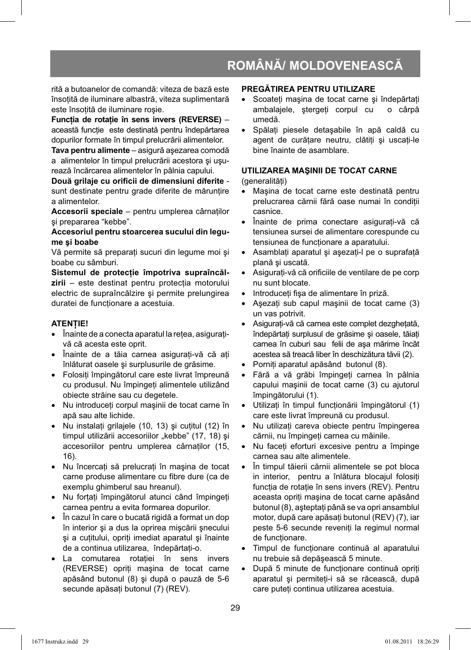rită a butoanelor de comandă: viteza de bază este însotită de iluminare albastră, viteza suplimentară este însoţită de iluminare roşie.

**Funcţia de rotaţie în sens invers (REVERSE)** – această funcție este destinată pentru îndepărtarea dopurilor formate în timpul prelucrării alimentelor.

**Tava pentru alimente** – asigură aşezarea comodă a alimentelor în timpul prelucrării acestora şi uşurează încărcarea alimentelor în pâlnia capului.

Două grilaje cu orificii de dimensiuni diferite sunt destinate pentru grade diferite de mărunțire a alimentelor.

Accesorii speciale - pentru umplerea cârnatilor şi prepararea "kebbe".

**Accesoriul pentru stoarcerea sucului din legume şi boabe**

Vă permite să preparați sucuri din legume moi și boabe cu sâmburi.

Sistemul de protectie împotriva supraîncălzirii – este destinat pentru protecția motorului electric de supraîncălzire şi permite prelungirea duratei de functionare a acestuia.

#### **ATENŢIE!**

- $\bullet$   $\hat{ }$  inainte de a conecta aparatul la retea, asigurativă că acesta este oprit.
- Înainte de a tăia carnea asiguraţi-vă că aţi înlăturat oasele şi surplusurile de grăsime.
- Folosiţi împingătorul care este livrat împreună cu produsul. Nu împingeţi alimentele utilizând obiecte străine sau cu degetele.
- Nu introduceţi corpul maşinii de tocat carne în apă sau alte lichide.
- Nu instalati grilajele (10, 13) și cutitul (12) în timpul utilizării accesoriilor "kebbe" (17, 18) și accesoriilor pentru umplerea cârnaţilor (15, 16).
- Nu încercaţi să prelucraţi în maşina de tocat carne produse alimentare cu fibre dure (ca de exemplu ghimberul sau hreanul).
- Nu forţaţi împingătorul atunci când împingeţi carnea pentru a evita formarea dopurilor.
- În cazul în care o bucată rigidă a format un dop în interior şi a dus la oprirea mişcării şnecului şi a cuţitului, opriţi imediat aparatul şi înainte de a continua utilizarea, îndepărtati-o.
- La comutarea rotaţiei în sens invers (REVERSE) opriţi maşina de tocat carne apăsând butonul (8) şi după o pauză de 5-6 secunde apăsați butonul (7) (REV).

#### **PREGĂTIREA PENTRU UTILIZARE**

- Scoateti masina de tocat carne și îndepărtati ambalajele, ştergeţi corpul cu o cârpă umedă.
- Spălați piesele detasabile în apă caldă cu agent de curățare neutru, clătiți și uscați-le bine înainte de asamblare.

#### **UTILIZAREA MAŞINII DE TOCAT CARNE**

(generalități)

- Maşina de tocat carne este destinată pentru prelucrarea cărnii fără oase numai în condiţii casnice.
- Înainte de prima conectare asiguraţi-vă că tensiunea sursei de alimentare corespunde cu tensiunea de functionare a aparatului.
- Asamblaţi aparatul şi aşezaţi-l pe o suprafaţă plană şi uscată.
- Asigurati-vă că orificiile de ventilare de pe corp nu sunt blocate.
- Introduceți fișa de alimentare în priză.
- Asezati sub capul masinii de tocat carne (3) un vas potrivit.
- Asiguraţi-vă că carnea este complet dezgheţată, îndepărtati surplusul de grăsime și oasele, tăiati carnea în cuburi sau felii de aşa mărime încât acestea să treacă liber în deschizătura tăvii (2).
- Porniti aparatul apăsând butonul (8).
- Fără a vă grăbi împingeţi carnea în pâlnia capului maşinii de tocat carne (3) cu ajutorul împingătorului (1).
- Utilizaţi în timpul funcţionării împingătorul (1) care este livrat împreună cu produsul.
- Nu utilizati careva obiecte pentru împingerea cărnii, nu împingeţi carnea cu mâinile.
- Nu faceti eforturi excesive pentru a împinge carnea sau alte alimentele.
- În timpul tăierii cărnii alimentele se pot bloca in interior, pentru a înlătura blocajul folosiţi functia de rotatie în sens invers (REV). Pentru aceasta opriţi maşina de tocat carne apăsând butonul (8), aşteptaţi până se va opri ansamblul motor, după care apăsați butonul (REV) (7), iar peste 5-6 secunde reveniti la regimul normal de functionare.
- Timpul de funcţionare continuă al aparatului nu trebuie să depăşească 5 minute.
- După 5 minute de funcţionare continuă opriţi aparatul şi permiteţi-i să se răcească, după care puteţi continua utilizarea acestuia.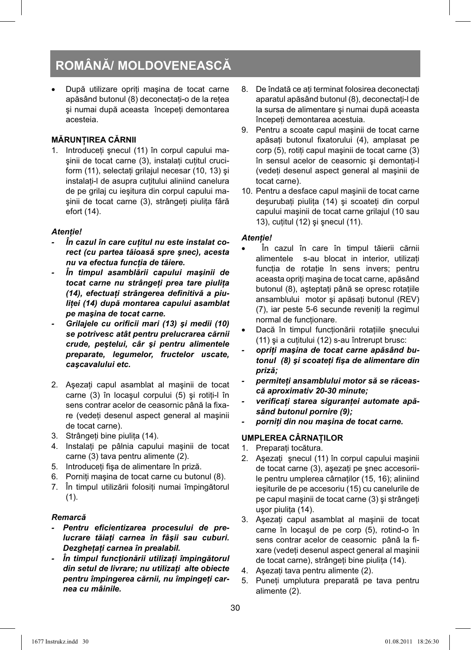După utilizare opriti mașina de tocat carne apăsând butonul (8) deconectaţi-o de la reţea şi numai după aceasta începeţi demontarea acesteia.

#### **MĂRUNŢIREA CĂRNII**

1. Introduceti snecul (11) în corpul capului maşinii de tocat carne (3), instalaţi cuţitul cruciform (11), selectati grilajul necesar (10, 13) și instalati-l de asupra cutitului aliniind canelura de pe grilaj cu ieşitura din corpul capului maşinii de tocat carne (3), strângeţi piuliţa fără efort (14).

#### *Atenţie!*

- *În cazul în care cuţitul nu este instalat corect (cu partea tăioasă spre şnec), acesta nu va efectua funcţia de tăiere.*
- *În timpul asamblării capului maşinii de tocat carne nu strângeţi prea tare piuliţa*  (14), efectuați strângerea definitivă a piu*liţei (14) după montarea capului asamblat pe maşina de tocat carne.*
- *Grilajele cu orificii mari (13) și medii (10) se potrivesc atât pentru prelucrarea cărnii crude, peştelui, câr şi pentru alimentele preparate, legumelor, fructelor uscate, caşcavalului etc.*
- 2. Aşezaţi capul asamblat al maşinii de tocat carne (3) în locașul corpului (5) și rotiți-l în sens contrar acelor de ceasornic până la fixare (vedeţi desenul aspect general al maşinii de tocat carne).
- 3. Strângeţi bine piuliţa (14).
- 4. Instalati pe pâlnia capului mașinii de tocat carne (3) tava pentru alimente (2).
- 5. Introduceți fișa de alimentare în priză.
- 6. Porniţi maşina de tocat carne cu butonul (8).
- 7. În timpul utilizării folositi numai împingătorul (1).

#### *Remarcă*

- Pentru eficientizarea procesului de pre*lucrare tăiaţi carnea în fâşii sau cuburi. Dezgheţaţi carnea în prealabil.*
- *În timpul funcţionării utilizaţi împingătorul din setul de livrare; nu utilizaţi alte obiecte pentru împingerea cărnii, nu împingeţi carnea cu mâinile.*
- 8. De îndată ce ati terminat folosirea deconectati aparatul apăsând butonul (8), deconectaţi-l de la sursa de alimentare şi numai după aceasta începeti demontarea acestuia.
- 9. Pentru a scoate capul maşinii de tocat carne apăsați butonul fixatorului (4), amplasat pe corp (5), rotiti capul masinii de tocat carne (3) în sensul acelor de ceasornic şi demontaţi-l (vedeţi desenul aspect general al maşinii de tocat carne).
- 10. Pentru a desface capul maşinii de tocat carne deşurubaţi piuliţa (14) şi scoateţi din corpul capului maşinii de tocat carne grilajul (10 sau 13), cuţitul (12) şi şnecul (11).

#### *Atenţie!*

- În cazul în care în timpul tăierii cărnii alimentele s-au blocat in interior, utilizati functia de rotatie în sens invers; pentru aceasta opriti masina de tocat carne, apăsând butonul (8), aşteptaţi până se opresc rotaţiile ansamblului motor și apăsați butonul (REV) (7), iar peste 5-6 secunde reveniti la regimul normal de functionare.
- Dacă în timpul funcţionării rotaţiile şnecului (11) și a cutitului (12) s-au întrerupt brusc:
- *opriţi maşina de tocat carne apăsând butonul (8) şi scoateţi fi şa de alimentare din priză;*
- *permiteţi ansamblului motor să se răcească aproximativ 20-30 minute;*
- verificati starea sigurantei automate apă*sând butonul pornire (9);*
- *porniţi din nou maşina de tocat carne.*

#### **UMPLEREA CÂRNAŢILOR**

- 1. Preparati tocătura.
- 2. Aşezaţi şnecul (11) în corpul capului maşinii de tocat carne (3), asezati pe snec accesoriile pentru umplerea cârnaţilor (15, 16); aliniind ieşiturile de pe accesoriu (15) cu canelurile de pe capul maşinii de tocat carne (3) şi strângeţi uşor piuliţa (14).
- 3. Aşezaţi capul asamblat al maşinii de tocat carne în locaşul de pe corp (5), rotind-o în sens contrar acelor de ceasornic până la fixare (vedeţi desenul aspect general al maşinii de tocat carne), strângeţi bine piuliţa (14).
- 4. Așezați tava pentru alimente (2).
- 5. Puneţi umplutura preparată pe tava pentru alimente (2).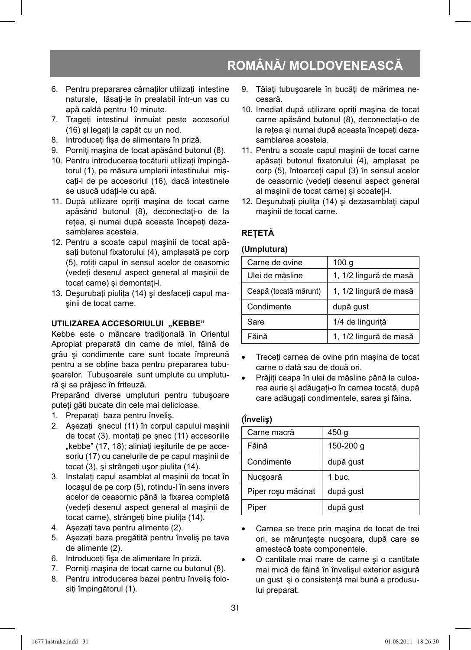- 6. Pentru prepararea cârnatilor utilizati intestine naturale, lăsati-le în prealabil într-un vas cu apă caldă pentru 10 minute.
- 7. Trageti intestinul înmuiat peste accesoriul (16) și legați la capăt cu un nod.
- 8. Introduceți fișa de alimentare în priză.
- 9. Porniti mașina de tocat apăsând butonul (8).
- 10. Pentru introducerea tocăturii utilizati împingătorul (1), pe măsura umplerii intestinului mişcati-l de pe accesoriul (16), dacă intestinele se usucă udați-le cu apă.
- 11. După utilizare opriti masina de tocat carne apăsând butonul (8), deconectati-o de la rețea, și numai după aceasta începeți dezasamblarea acesteia.
- 12. Pentru a scoate capul maşinii de tocat apăsați butonul fixatorului (4), amplasată pe corp (5), rotiti capul în sensul acelor de ceasornic (vedeţi desenul aspect general al maşinii de tocat carne) şi demontaţi-l.
- 13. Deşurubați piulița (14) și desfaceți capul maşinii de tocat carne.

#### **UTILIZAREA ACCESORIULUI "KEBBE"**

Kebbe este o mâncare traditională în Orientul Apropiat preparată din carne de miel, făină de grâu şi condimente care sunt tocate împreună pentru a se obtine baza pentru prepararea tubuşoarelor. Tubuşoarele sunt umplute cu umplutură şi se prăjesc în friteuză.

Preparând diverse umpluturi pentru tubuşoare puteţi găti bucate din cele mai delicioase.

- 1. Preparaţi baza pentru înveliş.
- 2. Asezati snecul (11) în corpul capului masinii de tocat (3), montați pe șnec (11) accesoriile "kebbe" (17, 18); aliniați ieșiturile de pe accesoriu (17) cu canelurile de pe capul maşinii de tocat (3), şi strângeţi uşor piuliţa (14).
- 3. Instalaţi capul asamblat al maşinii de tocat în locaşul de pe corp (5), rotindu-l în sens invers acelor de ceasornic până la fixarea completă (vedeţi desenul aspect general al maşinii de tocat carne), strângeti bine piulita (14).
- 4. Asezati tava pentru alimente (2).
- 5. Aşezaţi baza pregătită pentru înveliş pe tava de alimente (2).
- 6. Introduceți fișa de alimentare în priză.
- 7. Porniţi maşina de tocat carne cu butonul (8).
- 8. Pentru introducerea bazei pentru înveliş folosiți împingătorul (1).
- 9. Tăiati tubușoarele în bucăti de mărimea necesară.
- 10. Imediat după utilizare opriţi maşina de tocat carne apăsând butonul (8), deconectaţi-o de la retea și numai după aceasta începeti dezasamblarea acesteia.
- 11. Pentru a scoate capul maşinii de tocat carne apăsați butonul fixatorului (4), amplasat pe corp (5), întoarceti capul (3) în sensul acelor de ceasornic (vedeti desenul aspect general al maşinii de tocat carne) şi scoateţi-l.
- 12. Deşurubaţi piuliţa (14) şi dezasamblaţi capul maşinii de tocat carne.

#### **REŢETĂ**

#### **(Umplutura)**

| Carne de ovine        | 100 g                  |
|-----------------------|------------------------|
| Ulei de măsline       | 1, 1/2 lingură de masă |
| Ceapă (tocată mărunt) | 1, 1/2 lingură de masă |
| Condimente            | după gust              |
| Sare                  | 1/4 de lingurită       |
| Făină                 | 1, 1/2 lingură de masă |

- Treceti carnea de ovine prin masina de tocat carne o dată sau de două ori.
- Prăjiţi ceapa în ulei de măsline până la culoarea aurie şi adăugaţi-o în carnea tocată, după care adăugaţi condimentele, sarea şi făina.

#### **(Înveliş)**

| Carne macră        | 450 g     |
|--------------------|-----------|
| Făină              | 150-200 g |
| Condimente         | după gust |
| Nucșoară           | 1 buc.    |
| Piper rosu măcinat | după gust |
| Piper              | după gust |

- Carnea se trece prin maşina de tocat de trei ori, se mărunțește nucșoara, după care se amestecă toate componentele.
- O cantitate mai mare de carne şi o cantitate mai mică de făină în învelişul exterior asigură un gust şi o consistenţă mai bună a produsului preparat.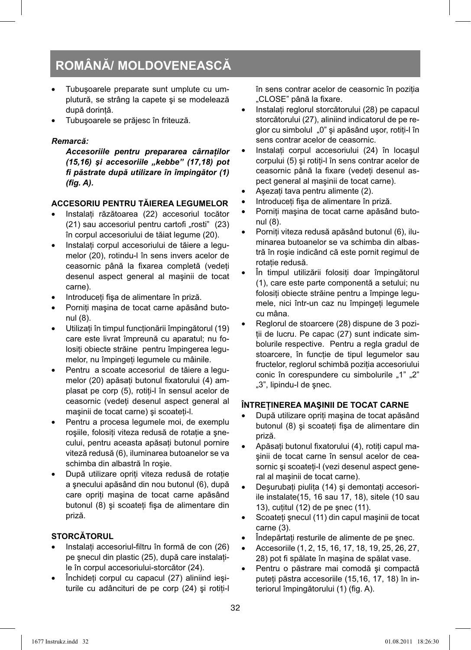- Tubuşoarele preparate sunt umplute cu umplutură, se strâng la capete şi se modelează după dorintă.
- Tubuşoarele se prăjesc în friteuză.

#### *Remarcă:*

*Accesoriile pentru prepararea cârnaţilor (15,16) şi accesoriile "kebbe" (17,18) pot fi păstrate după utilizare în împingător (1) (fig. A).* 

#### **ACCESORIU PENTRU TĂIEREA LEGUMELOR**

- Instalati răzătoarea (22) accesoriul tocător  $(21)$  sau accesoriul pentru cartofi "rosti"  $(23)$ în corpul accesoriului de tăiat legume (20).
- Instalati corpul accesoriului de tăiere a legumelor (20), rotindu-l în sens invers acelor de ceasornic până la fixarea completă (vedeți desenul aspect general al maşinii de tocat carne).
- Introduceti fișa de alimentare în priză.
- Porniţi maşina de tocat carne apăsând butonul (8).
- Utilizaţi în timpul funcţionării împingătorul (19) care este livrat împreună cu aparatul; nu folositi obiecte străine pentru împingerea legumelor, nu împingeţi legumele cu mâinile.
- Pentru a scoate accesoriul de tăiere a legumelor (20) apăsați butonul fixatorului (4) amplasat pe corp (5), rotiţi-l în sensul acelor de ceasornic (vedeti desenul aspect general al maşinii de tocat carne) şi scoateţi-l.
- Pentru a procesa legumele moi, de exemplu roşiile, folosiţi viteza redusă de rotaţie a şnecului, pentru aceasta apăsați butonul pornire viteză redusă (6), iluminarea butoanelor se va schimba din albastră în roşie.
- După utilizare opriti viteza redusă de rotatie a şnecului apăsând din nou butonul (6), după care opriţi maşina de tocat carne apăsând butonul (8) și scoateti fișa de alimentare din priză.

#### **STORCĂTORUL**

- Instalați accesoriul-filtru în formă de con (26) pe şnecul din plastic (25), după care instalaţile în corpul accesoriului-storcător (24).
- Închideţi corpul cu capacul (27) aliniind ieşiturile cu adâncituri de pe corp (24) și rotiti-l

în sens contrar acelor de ceasornic în pozitia "CLOSE" până la fixare.

- Instalaţi reglorul storcătorului (28) pe capacul storcătorului (27), aliniind indicatorul de pe reglor cu simbolul "0" si apăsând usor, rotiti-l în sens contrar acelor de ceasornic.
- Instalati corpul accesoriului (24) în locașul corpului (5) și rotiți-l în sens contrar acelor de ceasornic până la fixare (vedeti desenul aspect general al maşinii de tocat carne).
- Asezati tava pentru alimente (2).
- Introduceți fișa de alimentare în priză.
- Porniti mașina de tocat carne apăsând butonul (8).
- Porniţi viteza redusă apăsând butonul (6), iluminarea butoanelor se va schimba din albastră în roşie indicând că este pornit regimul de rotatie redusă.
- În timpul utilizării folositi doar împingătorul (1), care este parte componentă a setului; nu folosiţi obiecte străine pentru a împinge legumele, nici într-un caz nu împingeti legumele cu mâna.
- Reglorul de stoarcere (28) dispune de 3 pozitii de lucru. Pe capac (27) sunt indicate simbolurile respective. Pentru a regla gradul de stoarcere, în funcție de tipul legumelor sau fructelor, reglorul schimbă pozitia accesoriului conic în corespundere cu simbolurile "1" "2" "3", lipindu-l de şnec.

#### **ÎNTREŢINEREA MAŞINII DE TOCAT CARNE**

- După utilizare opriţi maşina de tocat apăsând butonul (8) și scoateti fișa de alimentare din priză.
- Apăsați butonul fixatorului (4), rotiți capul maşinii de tocat carne în sensul acelor de ceasornic și scoateți-l (vezi desenul aspect general al maşinii de tocat carne).
- Desurubati piulita (14) și demontati accesoriile instalate(15, 16 sau 17, 18), sitele (10 sau 13), cuţitul (12) de pe şnec (11).
- Scoateti şnecul (11) din capul maşinii de tocat carne (3).
- Îndepărtaţi resturile de alimente de pe şnec.
- Accesoriile (1, 2, 15, 16, 17, 18, 19, 25, 26, 27, 28) pot fi spălate în maşina de spălat vase.
- Pentru o păstrare mai comodă şi compactă puteți păstra accesoriile (15,16, 17, 18) în interiorul împingătorului (1) (fig. A).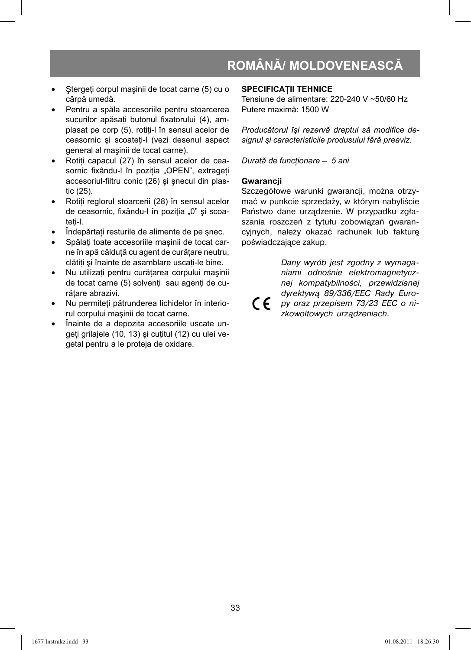- Stergeti corpul maşinii de tocat carne (5) cu o cârpă umedă.
- Pentru a spăla accesoriile pentru stoarcerea sucurilor apăsati butonul fixatorului (4), amplasat pe corp (5), rotiti-l în sensul acelor de ceasornic şi scoateţi-l (vezi desenul aspect general al maşinii de tocat carne).
- Rotiți capacul (27) în sensul acelor de ceasornic fixându-l în pozitia "OPEN", extrageti accesoriul-filtru conic (26) și șnecul din plastic (25).
- Rotiți reglorul stoarcerii (28) în sensul acelor de ceasornic, fixându-l în pozitia "0" și scoateti-l.
- Îndepărtaţi resturile de alimente de pe şnec.
- Spălati toate accesoriile mașinii de tocat carne în apă călduţă cu agent de curăţare neutru, clătiti și înainte de asamblare uscati-le bine.
- Nu utilizati pentru curătarea corpului mașinii de tocat carne (5) solvenţi sau agenţi de curăţare abrazivi.
- Nu permiteti pătrunderea lichidelor în interiorul corpului maşinii de tocat carne.
- Înainte de a depozita accesoriile uscate ungeți grilajele (10, 13) și cuțitul (12) cu ulei vegetal pentru a le proteja de oxidare.

#### **SPECIFICATII TEHNICE**

Tensiune de alimentare: 220-240 V ~50/60 Hz Putere maximă: 1500 W

Producătorul își rezervă dreptul să modifice de*signul şi caracteristicile produsului fără preaviz.*

*Durată de funcţionare – 5 ani*

#### **Gwarancji**

Szczegółowe warunki gwarancji, można otrzymać w punkcie sprzedaży, w którym nabyliście Państwo dane urządzenie. W przypadku zgłaszania roszczeń z tytułu zobowiązań gwarancyjnych, należy okazać rachunek lub fakturę poświadczające zakup.

Dany wyrób jest zgodny z wymaganiami odnośnie elektromagnetycznej kompatybilności, przewidzianej dyrektywą 89/336/EEC Rady Euro- $\epsilon$ py oraz przepisem 73/23 EEC o nizkowoltowych urządzeniach.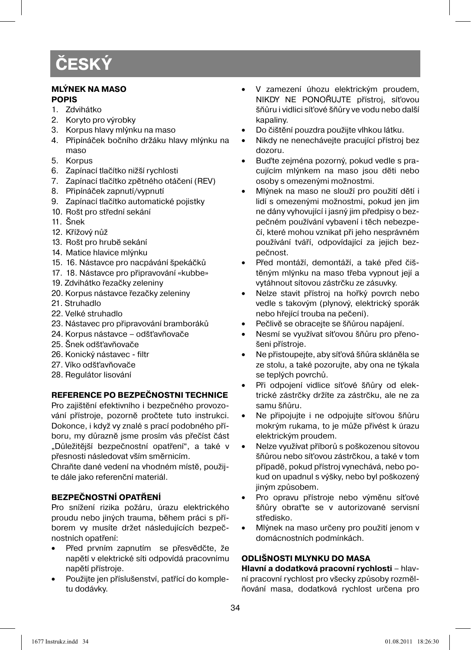#### **MLÝNEK NA MASO POPIS**

- 1. Zdvihátko
- 2. Koryto pro výrobky
- 3. Korpus hlavy mlýnku na maso
- 4. Připínáček bočního držáku hlavy mlýnku na maso
- 5. Korpus
- 6. Zapínací tlačítko nižší rychlosti
- 7. Zapínací tlačítko zpětného otáčení (REV)
- 8. Připínáček zapnutí/vypnutí
- 9. Zapínací tlačítko automatické pojistky
- 10. Rošt pro střední sekání
- 11. Šnek
- 12. Křížový nůž
- 13. Rošt pro hrubě sekání
- 14. Matice hlavice mlýnku
- 15. 16. Nástavce pro nacpávání špekáčků
- 17. 18. Nástavce pro připravování «kubbe»
- 19. Zdvihátko řezačky zeleniny
- 20. Korpus nástavce řezačky zeleniny
- 21. Struhadlo
- 22. Velké struhadlo
- 23. Nástavec pro připravování bramboráků
- 24. Korpus nástavce odšťavňovače
- 25. Šnek odšťavňovače
- 26. Konický nástavec filtr
- 27. Víko odšťavňovače
- 28. Regulátor lisování

#### **REFERENCE PO BEZPEČNOSTNI TECHNICE**

Pro zajištění efektivního i bezpečného provozování přístroje, pozorně pročtete tuto instrukci. Dokonce, i když vy znalé s prací podobného příboru, my důrazně jsme prosím vás přečíst část "Důležitější bezpečnostní opatření", a také v přesnosti následovat vším směrnicím.

Chraňte dané vedení na vhodném místě, použijte dále jako referenční materiál.

#### **BEZPEČNOSTNÍ OPATŘENÍ**

Pro snížení rizika požáru, úrazu elektrického proudu nebo jiných trauma, během práci s příborem vy musíte držet následujících bezpečnostních opatření:

- Před prvním zapnutím se přesvědčte, že napětí v elektrické síti odpovídá pracovnímu napětí přístroje.
- Použijte jen příslušenství, patřící do kompletu dodávky.
- V zamezení úhozu elektrickým proudem, NIKDY NE PONOŘUJTE přístroj, síťovou šňůru i vidlici síťové šňůry ve vodu nebo další kapaliny.
- Do čištění pouzdra použijte vlhkou látku.
- Nikdy ne nenechávejte pracující přístroj bez dozoru.
- Buďte zejména pozorný, pokud vedle s pracujícím mlýnkem na maso jsou děti nebo osoby s omezenými možnostmi.
- Mlýnek na maso ne slouží pro použití dětí i lidí s omezenými možnostmi, pokud jen jim ne dány vyhovující i jasný jim předpisy o bezpečném používání vybavení i těch nebezpečí, které mohou vznikat při jeho nesprávném používání tváří, odpovídající za jejich bezpečnost.
- Před montáží, demontáží, a také před čištěným mlýnku na maso třeba vypnout její a vytáhnout sítovou zástrčku ze zásuvky.
- Nelze stavit přístroj na hořký povrch nebo vedle s takovým (plynový, elektrický sporák nebo hřející trouba na pečení).
- Pečlivě se obracejte se šňůrou napájení.
- Nesmí se využívat síťovou šňůru pro přenošeni přístroje.
- Ne přistoupejte, aby síťová šňůra skláněla se ze stolu, a také pozorujte, aby ona ne týkala se teplých povrchů.
- Při odpojení vidlice síťové šňůry od elektrické zástrčky držíte za zástrčku, ale ne za samu šňůru.
- Ne připojujte i ne odpojujte síťovou šňůru mokrým rukama, to je může přivést k úrazu elektrickým proudem.
- Nelze využívat příborů s poškozenou sítovou šňůrou nebo síťovou zástrčkou, a také v tom případě, pokud přístroj vynechává, nebo pokud on upadnul s výšky, nebo byl poškozený jiným způsobem.
- Pro opravu přístroje nebo výměnu síťové šňůry obraťte se v autorizované servisní středisko.
- Mlýnek na maso určeny pro použití jenom v domácnostních podmínkách.

#### **ODLIŠNOSTI MLYNKU DO MASA**

#### **Hlavní a dodatková pracovní rychlosti** – hlav-

ní pracovní rychlost pro všecky způsoby rozmělňování masa, dodatková rychlost určena pro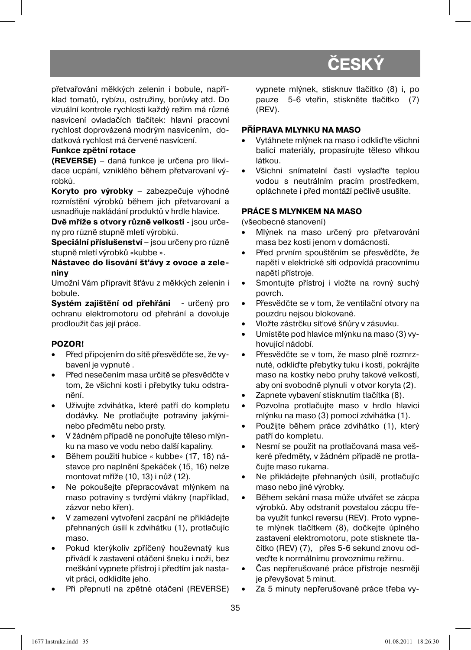přetvařování měkkých zelenin i bobule, například tomatů, rybízu, ostružiny, borůvky atd. Do vizuální kontrole rychlosti každý režim má různé nasvícení ovladačích tlačítek: hlavní pracovní rychlost doprovázená modrým nasvícením, dodatková rychlost má červené nasvícení.

#### **Funkce zpětní rotace**

**(REVERSE)** – daná funkce je určena pro likvidace ucpání, vzniklého během přetvarovaní výrobků.

**Koryto pro výrobky** – zabezpečuje výhodné rozmístění výrobků během jich přetvarovaní a usnadňuje nakládání produktů v hrdle hlavice.

**Dvě mříže s otvory různě velkosti** - jsou určeny pro různě stupně mletí výrobků.

**Speciální příslušenství** – jsou určeny pro různě stupně mletí výrobků «kubbe ».

**Nástavec do lisování šťávy z ovoce a zeleniny** 

Umožní Vám připravit šťávu z měkkých zelenin i bobule.

**Systém zajištění od přehřáni** - určený pro ochranu elektromotoru od přehrání a dovoluje prodloužit čas její práce.

#### **POZOR!**

- Před připojením do sítě přesvědčte se, že vybavení je vypnuté .
- Před nesečením masa určitě se přesvědčte v tom, že všichni kosti i přebytky tuku odstranění.
- Uživujte zdvihátka, které patří do kompletu dodávky. Ne protlačujte potraviny jakýminebo předmětu nebo prsty.
- V žádném případě ne ponořujte těleso mlýnku na maso ve vodu nebo další kapaliny.
- Během použití hubice « kubbe» (17, 18) nástavce pro naplnění špekáček (15, 16) nelze montovat mříže (10, 13) i nůž (12).
- Ne pokoušejte přepracovávat mlýnkem na maso potraviny s tvrdými vlákny (například, zázvor nebo křen).
- V zamezení vytvoření zacpání ne přikládejte přehnaných úsilí k zdvihátku (1), protlačujíc maso.
- Pokud kterýkoliv zpříčený houževnatý kus přivádí k zastavení otáčení šneku i noži, bez meškání vypnete přístroj i předtím jak nastavit práci, odklidíte jeho.
- Při přepnutí na zpětné otáčení (REVERSE)

vypnete mlýnek, stisknuv tlačítko (8) i, po pauze 5-6 vteřin, stiskněte tlačítko (7) (REV).

#### **PŘÍPRAVA MLYNKU NA MASO**

- Vytáhnete mlýnek na maso i odkliďte všichni balicí materiály, propasírujte těleso vlhkou látkou.
- Všichni snímatelní častí vyslaďte teplou vodou s neutrálním pracím prostředkem, opláchnete i před montáží pečlivě usušíte.

#### **PRÁCE S MLYNKEM NA MASO**

(všeobecné stanovení)

- Mlýnek na maso určený pro přetvarování masa bez kosti jenom v domácnosti.
- Před prvním spouštěním se přesvědčte, že napětí v elektrické síti odpovídá pracovnímu napětí přístroje.
- Smontujte přístroj i vložte na rovný suchý povrch.
- Přesvědčte se v tom, že ventilační otvory na pouzdru nejsou blokované.
- Vložte zástrčku síťové šňůry v zásuvku.
- Umístěte pod hlavice mlýnku na maso (3) vyhovující nádobí.
- Přesvědčte se v tom, že maso plně rozmrznuté, odkliďte přebytky tuku i kosti, pokrájíte maso na kostky nebo pruhy takové velkostí, aby oni svobodně plynuli v otvor koryta (2).
- Zapnete vybavení stisknutím tlačítka (8).
- Pozvolna protlačujte maso v hrdlo hlavici mlýnku na maso (3) pomocí zdvihátka (1).
- Použijte během práce zdvihátko (1), který patří do kompletu.
- Nesmí se použit na protlačovaná masa veškeré předměty, v žádném případě ne protlačujte maso rukama.
- Ne přikládejte přehnaných úsilí, protlačujíc maso nebo jiné výrobky.
- Během sekání masa může utvářet se zácpa výrobků. Aby odstranit povstalou zácpu třeba využít funkcí reversu (REV). Proto vypnete mlýnek tlačítkem (8), dočkejte úplného zastavení elektromotoru, pote stisknete tlačítko (REV) (7), přes 5-6 sekund znovu odveďte k normálnímu provoznímu režimu.
- Čas nepřerušované práce přístroje nesmějí je převyšovat 5 minut.
- Za 5 minuty nepřerušované práce třeba vy-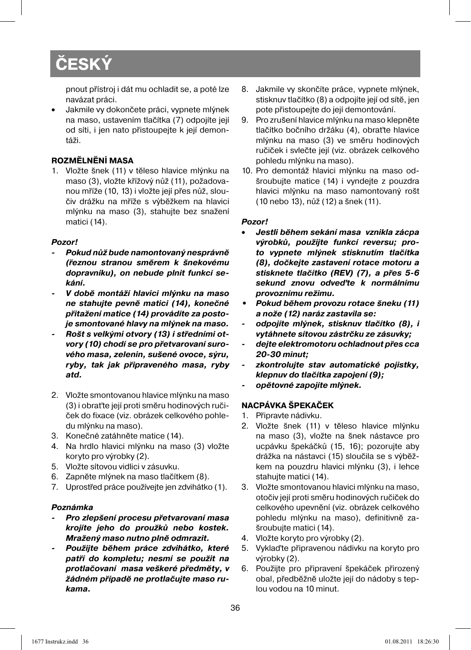pnout přístroj i dát mu ochladit se, a poté lze navázat práci.

• Jakmile vy dokončete práci, vypnete mlýnek na maso, ustavením tlačítka (7) odpojíte její od síti, i jen nato přistoupejte k její demontáži.

#### **ROZMĚLNĚNÍ MASA**

1. Vložte šnek (11) v těleso hlavice mlýnku na maso (3), vložte křížový nůž (11), požadovanou mříže (10, 13) i vložte její přes nůž, sloučiv drážku na mříže s výběžkem na hlavici mlýnku na maso (3), stahujte bez snažení matici (14).

#### *Pozor!*

- *Pokud nůž bude namontovaný nesprávně (řeznou stranou směrem k šnekovému dopravníku), on nebude plnit funkcí sekání.*
- *V době montáží hlavici mlýnku na maso ne stahujte pevně matici (14), konečné přitažení matice (14) provádíte za postoje smontované hlavy na mlýnek na maso.*
- *Rošt s velkými otvory (13) i středními otvory (10) chodí se pro přetvarovaní surového masa, zelenin, sušené ovoce, sýru, ryby, tak jak připraveného masa, ryby atd.*
- 2. Vložte smontovanou hlavice mlýnku na maso (3) i obraťte její proti směru hodinových ručiček do fixace (viz. obrázek celkového pohledu mlýnku na maso).
- 3. Konečné zatáhněte matice (14).
- 4. Na hrdlo hlavici mlýnku na maso (3) vložte koryto pro výrobky (2).
- 5. Vložte sítovou vidlici v zásuvku.
- 6. Zapněte mlýnek na maso tlačítkem (8).
- 7. Uprostřed práce používejte jen zdvihátko (1).

#### *Poznámka*

- *Pro zlepšení procesu přetvarovaní masa krojíte jeho do proužků nebo kostek. Mražený maso nutno plně odmrazit.*
- *Použijte během práce zdvihátko, které patří do kompletu; nesmí se použit na protlačovaní masa veškeré předměty, v žádném případě ne protlačujte maso rukama.*
- 8. Jakmile vy skončíte práce, vypnete mlýnek, stisknuv tlačítko (8) a odpojíte její od sítě, jen pote přistoupejte do její demontování.
- 9. Pro zrušení hlavice mlýnku na maso klepněte tlačítko bočního držáku (4), obraťte hlavice mlýnku na maso (3) ve směru hodinových ručiček i svlečte její (viz. obrázek celkového pohledu mlýnku na maso).
- 10. Pro demontáž hlavici mlýnku na maso odšroubujte matice (14) i vyndejte z pouzdra hlavici mlýnku na maso namontovaný rošt (10 nebo 13), nůž (12) a šnek (11).

#### *Pozor!*

- *Jestli během sekání masa vznikla zácpa výrobků, použijte funkcí reversu; proto vypnete mlýnek stisknutím tlačítka (8), dočkejte zastavení rotace motoru a stisknete tlačítko (REV) (7), a přes 5-6 sekund znovu odveďte k normálnímu provoznímu režimu.*
- *Pokud během provozu rotace šneku (11) a nože (12) naráz zastavila se:*
- *odpojíte mlýnek, stisknuv tlačítko (8), i vytáhnete sítovou zástrčku ze zásuvky;*
- *dejte elektromotoru ochladnout přes cca 20-30 minut;*
- *zkontrolujte stav automatické pojistky, klepnuv do tlačítka zapojení (9);*
- *opětovné zapojíte mlýnek.*

#### **NACPÁVKA ŠPEKAČEK**

- 1. Připravte nádivku.
- 2. Vložte šnek (11) v těleso hlavice mlýnku na maso (3), vložte na šnek nástavce pro ucpávku špekáčků (15, 16); pozorujte aby drážka na nástavci (15) sloučila se s výběžkem na pouzdru hlavici mlýnku (3), i lehce stahujte matici (14).
- 3. Vložte smontovanou hlavici mlýnku na maso, otočiv její proti směru hodinových ručiček do celkového upevnění (viz. obrázek celkového pohledu mlýnku na maso), definitivně zašroubujte matici (14).
- 4. Vložte koryto pro výrobky (2).
- 5. Vyklaďte připravenou nádivku na koryto pro výrobky (2).
- 6. Použijte pro připravení špekáček přirozený obal, předběžně uložte její do nádoby s teplou vodou na 10 minut.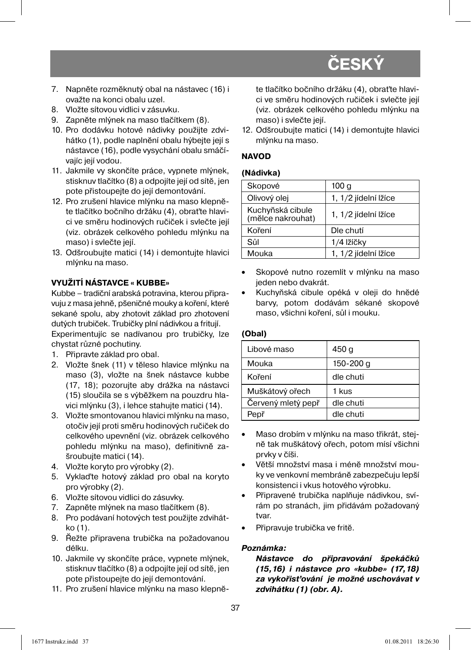- 7. Napněte rozměknutý obal na nástavec (16) i ovažte na konci obalu uzel.
- 8. Vložte sítovou vidlici v zásuvku.
- 9. Zapněte mlýnek na maso tlačítkem (8).
- 10. Pro dodávku hotové nádivky použijte zdvihátko (1), podle naplnění obalu hýbejte její s nástavce (16), podle vysychání obalu smáčívajíc její vodou.
- 11. Jakmile vy skončíte práce, vypnete mlýnek, stisknuv tlačítko (8) a odpojíte její od sítě, jen pote přistoupejte do její demontování.
- 12. Pro zrušení hlavice mlýnku na maso klepněte tlačítko bočního držáku (4), obraťte hlavici ve směru hodinových ručiček i svlečte její (viz. obrázek celkového pohledu mlýnku na maso) i svlečte její.
- 13. Odšroubujte matici (14) i demontujte hlavici mlýnku na maso.

#### **VYUŽITÍ NÁSTAVCE « KUBBE»**

Kubbe – tradiční arabská potravina, kterou připravuju z masa jehně, pšeničné mouky a koření, které sekané spolu, aby zhotovit základ pro zhotovení dutých trubiček. Trubičky plní nádivkou a fritují. Experimentujíc se nadívanou pro trubičky, lze chystat různé pochutiny.

- 1. Připravte základ pro obal.
- 2. Vložte šnek (11) v těleso hlavice mlýnku na maso (3), vložte na šnek nástavce kubbe (17, 18); pozorujte aby drážka na nástavci (15) sloučila se s výběžkem na pouzdru hlavici mlýnku (3), i lehce stahujte matici (14).
- 3. Vložte smontovanou hlavici mlýnku na maso, otočiv její proti směru hodinových ručiček do celkového upevnění (viz. obrázek celkového pohledu mlýnku na maso), definitivně zašroubujte matici (14).
- 4. Vložte koryto pro výrobky (2).
- 5. Vyklaďte hotový základ pro obal na koryto pro výrobky (2).
- 6. Vložte sítovou vidlici do zásuvky.
- 7. Zapněte mlýnek na maso tlačítkem (8).
- 8. Pro podávaní hotových test použijte zdvihátko (1).
- 9. Řežte připravena trubička na požadovanou délku.
- 10. Jakmile vy skončíte práce, vypnete mlýnek, stisknuv tlačítko (8) a odpojíte její od sítě, jen pote přistoupejte do její demontování.
- 11. Pro zrušení hlavice mlýnku na maso klepně-

te tlačítko bočního držáku (4), obraťte hlavici ve směru hodinových ručiček i svlečte její (viz. obrázek celkového pohledu mlýnku na maso) i svlečte její.

12. Odšroubujte matici (14) i demontujte hlavici mlýnku na maso.

#### **NAVOD**

#### **(Nádivka)**

| Skopové                               | 100 a                |
|---------------------------------------|----------------------|
| Olivový olej                          | 1, 1/2 jídelní lžíce |
| Kuchyňská cibule<br>(mělce nakrouhat) | 1, 1/2 jídelní lžíce |
| Koření                                | Dle chutí            |
| Sůl                                   | 1/4 lžíčky           |
| Mouka                                 | 1, 1/2 jídelní lžíce |

- Skopové nutno rozemlít v mlýnku na maso jeden nebo dvakrát.
- Kuchyňská cibule opéká v oleji do hnědé barvy, potom dodávám sékané skopové maso, všichni koření, sůl i mouku.

#### **(Obal)**

| Libové maso        | 450 g     |
|--------------------|-----------|
| Mouka              | 150-200 g |
| Koření             | dle chuti |
| Muškátový ořech    | 1 kus     |
| Červený mletý pepř | dle chuti |
| Pepř               | dle chuti |

- Maso drobím v mlýnku na maso třikrát, stejně tak muškátový ořech, potom mísí všichni prvky v číši.
- Větší množství masa i méně množství mouky ve venkovní membráně zabezpečuju lepší konsistenci i vkus hotového výrobku.
- Připravené trubička naplňuje nádivkou, svírám po stranách, jim přidávám požadovaný tvar.
- Připravuje trubička ve fritě.

#### *Poznámka:*

*Nástavce do připravování špekáčků (15,16) i nástavce pro «kubbe» (17,18) za vykořisťování je možné uschovávat v zdvihátku (1) (obr. A).*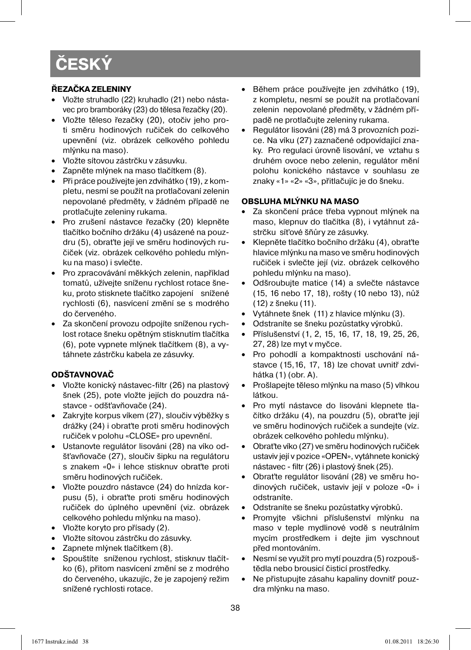#### **ŘEZAČKA ZELENINY**

- Vložte struhadlo (22) kruhadlo (21) nebo nástavec pro bramboráky (23) do tělesa řezačky (20).
- Vložte těleso řezačky (20), otočiv jeho proti směru hodinových ručiček do celkového upevnění (viz. obrázek celkového pohledu mlýnku na maso).
- Vložte sítovou zástrčku v zásuvku.
- Zapněte mlýnek na maso tlačítkem (8).
- Při práce používejte jen zdvihátko (19), z kompletu, nesmí se použít na protlačovaní zelenin nepovolané předměty, v žádném případě ne protlačujte zeleniny rukama.
- Pro zrušení nástavce řezačky (20) klepněte tlačítko bočního držáku (4) usázené na pouzdru (5), obraťte její ve směru hodinových ručiček (viz. obrázek celkového pohledu mlýnku na maso) i svlečte.
- Pro zpracovávání měkkých zelenin, například tomatů, užívejte sníženu rychlost rotace šneku, proto stisknete tlačítko zapojení snížené rychlosti (6), nasvícení změní se s modrého do červeného.
- Za skončení provozu odpojíte sníženou rychlost rotace šneku opětným stisknutím tlačítka (6), pote vypnete mlýnek tlačítkem (8), a vytáhnete zástrčku kabela ze zásuvky.

#### **ODŠTAVNOVAČ**

- Vložte konický nástavec-filtr (26) na plastový šnek (25), pote vložte jejích do pouzdra nástavce - odšťavňovače (24).
- Zakryjte korpus víkem (27), sloučiv výběžky s drážky (24) i obraťte proti směru hodinových ručiček v polohu «CLOSE» pro upevnění.
- Ustanovte regulátor lisováni (28) na víko odšťavňovače (27), sloučiv šipku na regulátoru s znakem «0» i lehce stisknuv obraťte proti směru hodinových ručiček.
- Vložte pouzdro nástavce (24) do hnízda korpusu (5), i obraťte proti směru hodinových ručiček do úplného upevnění (viz. obrázek celkového pohledu mlýnku na maso).
- Vložte koryto pro přísady (2).
- Vložte sítovou zástrčku do zásuvky.
- Zapnete mlýnek tlačítkem (8).
- Spouštíte sníženou rychlost, stisknuv tlačítko (6), přitom nasvícení změní se z modrého do červeného, ukazujíc, že je zapojený režim snížené rychlosti rotace.
- Během práce používejte jen zdvihátko (19), z kompletu, nesmí se použít na protlačovaní zelenin nepovolané předměty, v žádném případě ne protlačujte zeleniny rukama.
- Regulátor lisováni (28) má 3 provozních pozice. Na víku (27) zaznačené odpovídající znaky. Pro regulaci úrovně lisování, ve vztahu s druhém ovoce nebo zelenin, regulátor mění polohu konického nástavce v souhlasu ze znaky «1» «2» «3», přitlačujíc je do šneku.

#### **OBSLUHA MLÝNKU NA MASO**

- Za skončení práce třeba vypnout mlýnek na maso, klepnuv do tlačítka (8), i vytáhnut zástrčku síťové šňůry ze zásuvky.
- Klepněte tlačítko bočního držáku (4), obraťte hlavice mlýnku na maso ve směru hodinových ručiček i svlečte její (viz. obrázek celkového pohledu mlýnku na maso).
- Odšroubujte matice (14) a svlečte nástavce (15, 16 nebo 17, 18), rošty (10 nebo 13), nůž (12) z šneku (11).
- Vytáhnete šnek (11) z hlavice mlýnku (3).
- Odstraníte se šneku pozůstatky výrobků.
- Příslušenství (1, 2, 15, 16, 17, 18, 19, 25, 26, 27, 28) lze myt v myčce.
- Pro pohodlí a kompaktnosti uschování nástavce (15,16, 17, 18) lze chovat uvnitř zdvihátka (1) (obr. A).
- Prošlapejte těleso mlýnku na maso (5) vlhkou látkou.
- Pro mytí nástavce do lisováni klepnete tlačítko držáku (4), na pouzdru (5), obraťte její ve směru hodinových ručiček a sundejte (víz. obrázek celkového pohledu mlýnku).
- Obraťte víko (27) ve směru hodinových ručiček ustaviv její v pozice «OPEN», vytáhnete konický nástavec - filtr (26) i plastový šnek (25).
- Obraťte regulátor lisování (28) ve směru hodinových ručiček, ustaviv její v poloze «0» i odstraníte.
- Odstraníte se šneku pozůstatky výrobků.
- Promyjte všichni příslušenství mlýnku na maso v teple mydlinové vodě s neutrálním mycím prostředkem i dejte jim vyschnout před montováním.
- Nesmí se využít pro mytí pouzdra (5) rozpouštědla nebo brousicí čisticí prostředky.
- Ne přistupujte zásahu kapaliny dovnitř pouzdra mlýnku na maso.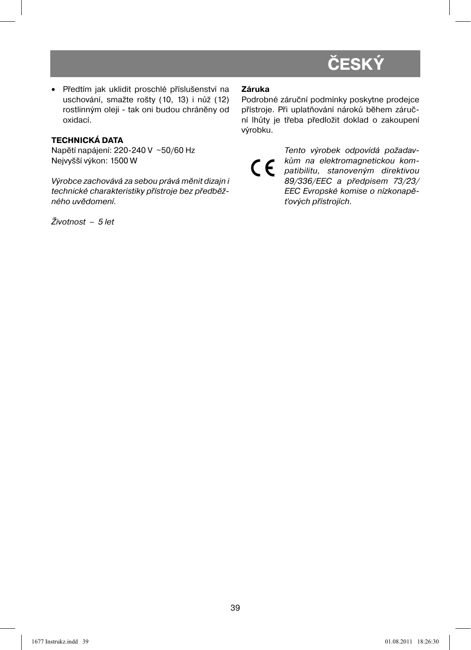• Předtím jak uklidit proschlé příslušenství na uschování, smažte rošty (10, 13) i nůž (12) rostlinným oleji - tak oni budou chráněny od oxidací.

#### **TECHNICKÁ DATA**

Napětí napájení: 220-240 V ~50/60 Hz Nejvyšší výkon: 1500 W

Výrobce zachovává za sebou prává měnit dizajn i technické charakteristiky přístroje bez předběžného uvědomení.

Životnost – 5 let

#### **Záruka**

Podrobné záruční podmínky poskytne prodejce přístroje. Při uplatňování nároků během záruční lhůty je třeba předložit doklad o zakoupení výrobku.

Tento výrobek odpovídá požadavkům na elektromagnetickou kom- $\epsilon$ patibilitu, stanoveným direktivou 89/336/EEC a předpisem 73/23/ EEC Evropské komise o nízkonapěťových přístrojích.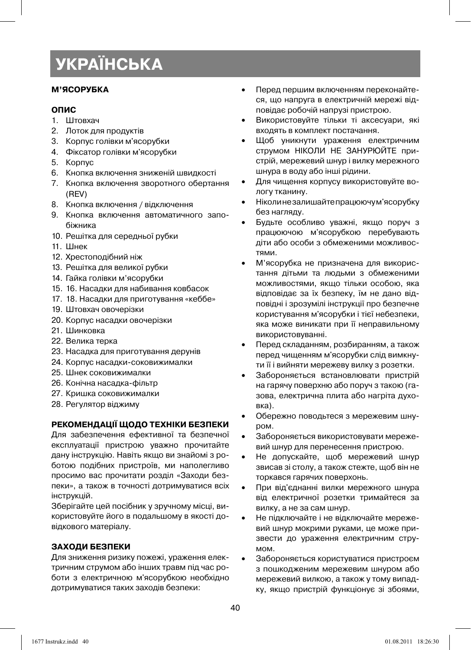#### **М'ЯСОРУБКА**

#### **ОПИС**

- 1. Штовхач
- 2. Лоток для продуктів
- 3. Корпус голівки м'ясорубки
- 4. Фіксатор голівки м'ясорубки
- 5. Корпус
- 6. Кнопка включення зниженій швидкості
- 7. Кнопка включення зворотного обертання (REV)
- 8. Кнопка включення / відключення
- 9. Кнопка включення автоматичного запобіжника
- 10. Решітка для середньої рубки
- 11. Шнек
- 12. Хрестоподібний ніж
- 13. Решітка для великої рубки
- 14. Гайка голівки м'ясорубки
- 15. 16. Насадки для набивання ковбасок
- 17. 18. Насадки для приготування «кеббе»
- 19. Штовхач овочерізки
- 20. Корпус насадки овочерізки
- 21. Шинковка
- 22. Велика терка
- 23. Насадка для приготування дерунів
- 24. Корпус насадки-соковижималки
- 25. Шнек соковижималки
- 26. Конічна насадка-фільтр
- 27. Кришка соковижималки
- 28. Регулятор віджиму

#### **РЕКОМЕНДАЦІЇ ЩОДО ТЕХНІКИ БЕЗПЕКИ**

Для забезпечення ефективної та безпечної експлуатації пристрою уважно прочитайте дану інструкцію. Навіть якщо ви знайомі з роботою подібних пристроїв, ми наполегливо просимо вас прочитати розділ «Заходи безпеки», а також в точності дотримуватися всіх інструкцій.

Зберігайте цей посібник у зручному місці, використовуйте його в подальшому в якості довідкового матеріалу.

#### **ЗАХОДИ БЕЗПЕКИ**

Для зниження ризику пожежі, ураження електричним струмом або інших травм під час роботи з електричною м'ясорубкою необхідно дотримуватися таких заходів безпеки:

- Перед першим включенням переконайтеся, що напруга в електричній мережі відповідає робочій напрузі пристрою.
- Використовуйте тільки ті аксесуари, які входять в комплект постачання.
- Щоб уникнути ураження електричним струмом НІКОЛИ НЕ ЗАНУРЮЙТЕ пристрій, мережевий шнур і вилку мережного шнура в воду або інші рідини.
- Для чищення корпусу використовуйте вологу тканину.
- Ніколи не залишайте працюючу м'ясорубку без нагляду.
- Будьте особливо уважні, якщо поруч з працюючою м'ясорубкою перебувають діти або особи з обмеженими можливостями.
- М'ясорубка не призначена для використання дітьми та людьми з обмеженими можливостями, якщо тільки особою, яка відповідає за їх безпеку, їм не дано відповідні і зрозумілі інструкції про безпечне користування м'ясорубки і тієї небезпеки, яка може виникати при її неправильному використовуванні.
- Перед складанням, розбиранням, а також перед чищенням м'ясорубки слід вимкнути її і вийняти мережеву вилку з розетки.
- Забороняється встановлювати пристрій на гарячу поверхню або поруч з такою (газова, електрична плита або нагріта духовка).
- Обережно поводьтеся з мережевим шнуром.
- Забороняється використовувати мережевий шнур для перенесення пристрою.
- Не допускайте, щоб мережевий шнур звисав зі столу, а також стежте, щоб він не торкався гарячих поверхонь.
- При від'єднанні вилки мережного шнура від електричної розетки тримайтеся за вилку, а не за сам шнур.
- Не підключайте і не відключайте мережевий шнур мокрими руками, це може призвести до ураження електричним струмом.
- Забороняється користуватися пристроєм з пошкодженим мережевим шнуром або мережевий вилкою, а також у тому випадку, якщо пристрій функціонує зі збоями,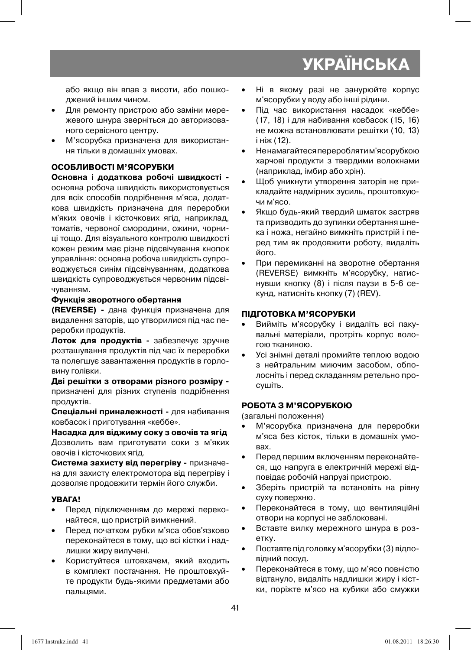або якщо він впав з висоти, або пошкоджений іншим чином.

- Для ремонту пристрою або заміни мережевого шнура зверніться до авторизованого сервісного центру.
- М'ясорубка призначена для використання тільки в домашніх умовах.

#### **ОСОБЛИВОСТІ М'ЯСОРУБКИ**

**Основна і додаткова робочі швидкості**  основна робоча швидкість використовується для всіх способів подрібнення м'яса, додаткова швидкість призначена для переробки м'яких овочів і кісточкових ягід, наприклад, томатів, червоної смородини, ожини, чорниці тощо. Для візуального контролю швидкості кожен режим має різне підсвічування кнопок управління: основна робоча швидкість супроводжується синім підсвічуванням, додаткова швидкість супроводжується червоним підсвічуванням.

#### **Функція зворотного обертання**

**(REVERSE) -** дана функція призначена для видалення заторів, що утворилися під час переробки продуктів.

**Лоток для продуктів -** забезпечує зручне розташування продуктів під час їх переробки та полегшує завантаження продуктів в горловину голівки.

**Дві решітки з отворами різного розміру**  призначені для різних ступенів подрібнення продуктів.

**Спеціальні приналежності -** для набивання ковбасок і приготування «кеббе».

**Насадка для віджиму соку з овочів та ягід**  Дозволить вам приготувати соки з м'яких овочів і кісточкових ягід.

**Система захисту від перегріву -** призначена для захисту електромотора від перегріву і дозволяє продовжити термін його служби.

#### **УВАГА!**

- Перед підключенням до мережі переконайтеся, що пристрій вимкнений.
- Перед початком рубки м'яса обов'язково переконайтеся в тому, що всі кістки і надлишки жиру вилучені.
- Користуйтеся штовхачем, який входить в комплект постачання. Не проштовхуйте продукти будь-якими предметами або пальцями.
- Ні в якому разі не занурюйте корпус м'ясорубки у воду або інші рідини.
- Під час використання насадок «кеббе» (17, 18) і для набивання ковбасок (15, 16) не можна встановлювати решітки (10, 13) і ніж (12).
- Ненамагайтеся перероблятим'ясорубкою харчові продукти з твердими волокнами (наприклад, імбир або хрін).
- Щоб уникнути утворення заторів не прикладайте надмірних зусиль, проштовхуючи м'ясо.
- Якщо будь-який твердий шматок застряв та призводить до зупинки обертання шнека і ножа, негайно вимкніть пристрій і перед тим як продовжити роботу, видаліть його.
- При перемиканні на зворотне обертання (REVERSE) вимкніть м'ясорубку, натиснувши кнопку (8) і після паузи в 5-6 секунд, натисніть кнопку (7) (REV).

#### **ПІДГОТОВКА М'ЯСОРУБКИ**

- Вийміть м'ясорубку і видаліть всі пакувальні матеріали, протріть корпус вологою тканиною.
- Усі знімні деталі промийте теплою водою з нейтральним миючим засобом, обполосніть і перед складанням ретельно просушіть.

#### **РОБОТА З М'ЯСОРУБКОЮ**

(загальні положення)

- М'ясорубка призначена для переробки м'яса без кісток, тільки в домашніх умовах.
- Перед першим включенням переконайтеся, що напруга в електричній мережі відповідає робочій напрузі пристрою.
- Зберіть пристрій та встановіть на рівну суху поверхню.
- Переконайтеся в тому, що вентиляційні отвори на корпусі не заблоковані.
- Вставте вилку мережного шнура в розетку.
- Поставте під головку м'ясорубки (3) відповідний посуд.
- Переконайтеся в тому, що м'ясо повністю відтануло, видаліть надлишки жиру і кістки, поріжте м'ясо на кубики або смужки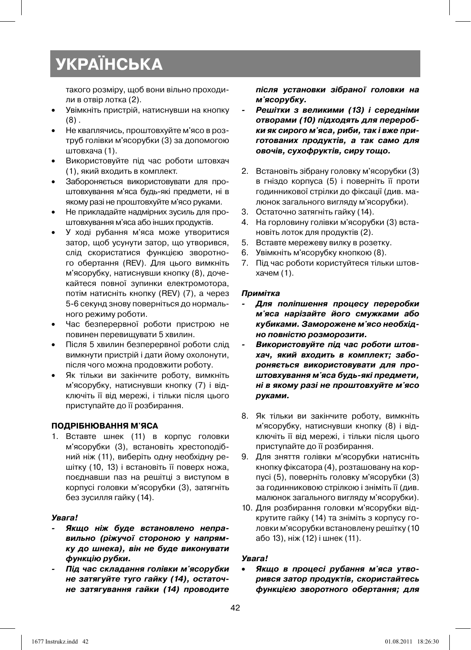такого розміру, щоб вони вільно проходили в отвір лотка (2).

- Увімкніть пристрій, натиснувши на кнопку  $(8)$ .
- Не кваплячись, проштовхуйте м'ясо в розтруб голівки м'ясорубки (3) за допомогою штовхача (1).
- Використовуйте під час роботи штовхач (1), який входить в комплект.
- Забороняється використовувати для проштовхування м'яса будь-які предмети, ні в якому разі не проштовхуйте м'ясо руками.
- Не прикладайте надмірних зусиль для проштовхування м'яса або інших продуктів.
- У ході рубання м'яса може утворитися затор, щоб усунути затор, що утворився, слід скористатися функцією зворотного обертання (REV). Для цього вимкніть м'ясорубку, натиснувши кнопку (8), дочекайтеся повної зупинки електромотора, потім натисніть кнопку (REV) (7), а через 5-6 секунд знову поверніться до нормального режиму роботи.
- Час безперервної роботи пристрою не повинен перевищувати 5 хвилин.
- Після 5 хвилин безперервної роботи слід вимкнути пристрій і дати йому охолонути, після чого можна продовжити роботу.
- Як тільки ви закінчите роботу, вимкніть м'ясорубку, натиснувши кнопку (7) і відключіть її від мережі, і тільки після цього приступайте до її розбирання.

#### **ПОДРІБНЮВАННЯ М'ЯСА**

1. Вставте шнек (11) в корпус головки м'ясорубки (3), встановіть хрестоподібний ніж (11), виберіть одну необхідну решітку (10, 13) і встановіть її поверх ножа, поєднавши паз на решітці з виступом в корпусі головки м'ясорубки (3), затягніть без зусилля гайку (14).

#### *Увага!*

- *Якщо ніж буде встановлено неправильно (ріжучої стороною у напрямку до шнека), він не буде виконувати функцію рубки.*
- *Під час складання голівки м'ясорубки не затягуйте туго гайку (14), остаточне затягування гайки (14) проводите*

*після установки зібраної головки на м'ясорубку.* 

- *Решітки з великими (13) і середніми отворами (10) підходять для переробки як сирого м'яса, риби, так і вже приготованих продуктів, а так само для овочів, сухофруктів, сиру тощо.*
- 2. Встановіть зібрану головку м'ясорубки (3) в гніздо корпуса (5) і поверніть її проти годинникової стрілки до фіксації (див. малюнок загального вигляду м'ясорубки).
- 3. Остаточно затягніть гайку (14).
- 4. На горловину голівки м'ясорубки (3) встановіть лоток для продуктів (2).
- 5. Вставте мережеву вилку в розетку.
- 6. Увімкніть м'ясорубку кнопкою (8).
- 7. Під час роботи користуйтеся тільки штовхачем (1).

#### *Примітка*

- *Для поліпшення процесу переробки м'яса нарізайте його смужками або кубиками. Заморожене м'ясо необхідно повністю розморозити.*
- *Використовуйте під час роботи штовхач, який входить в комплект; забороняється використовувати для проштовхування м'яса будь-які предмети, ні в якому разі не проштовхуйте м'ясо руками.*
- 8. Як тільки ви закінчите роботу, вимкніть м'ясорубку, натиснувши кнопку (8) і відключіть її від мережі, і тільки після цього приступайте до її розбирання.
- 9. Для зняття голівки м'ясорубки натисніть кнопку фіксатора (4), розташовану на корпусі (5), поверніть головку м'ясорубки (3) за годинниковою стрілкою і зніміть її (див. малюнок загального вигляду м'ясорубки).
- 10. Для розбирання головки м'ясорубки відкрутите гайку (14) та зніміть з корпусу головки м'ясорубки встановлену решітку (10 або 13), ніж (12) і шнек (11).

#### *Увага!*

• *Якщо в процесі рубання м'яса утворився затор продуктів, скористайтесь функцією зворотного обертання; для*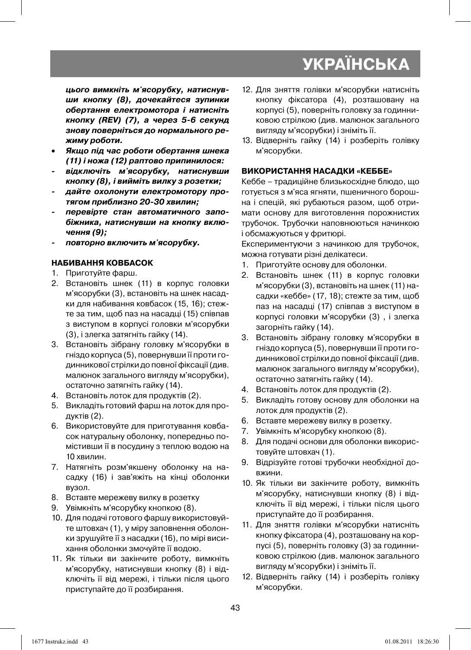*цього вимкніть м'ясорубку, натиснувши кнопку (8), дочекайтеся зупинки обертання електромотора і натисніть кнопку (REV) (7), а через 5-6 секунд знову поверніться до нормального режиму роботи.* 

- *Якщо під час роботи обертання шнека (11) і ножа (12) раптово припинилося:*
- *відключіть м'ясорубку, натиснувши кнопку (8), і вийміть вилку з розетки;*
- *дайте охолонути електромотору протягом приблизно 20-30 хвилин;*
- *перевірте стан автоматичного запобіжника, натиснувши на кнопку включення (9);*
- *повторно включить м'ясорубку.*

#### **НАБИВАННЯ КОВБАСОК**

- 1. Приготуйте фарш.
- 2. Встановіть шнек (11) в корпус головки м'ясорубки (3), встановіть на шнек насадки для набивання ковбасок (15, 16); стежте за тим, щоб паз на насадці (15) співпав з виступом в корпусі головки м'ясорубки (3), і злегка затягніть гайку (14).
- 3. Встановіть зібрану головку м'ясорубки в гніздо корпуса (5), повернувши її проти годинникової стрілки до повної фіксації (див. малюнок загального вигляду м'ясорубки), остаточно затягніть гайку (14).
- 4. Встановіть лоток для продуктів (2).
- 5. Викладіть готовий фарш на лоток для продуктів (2).
- 6. Використовуйте для приготування ковбасок натуральну оболонку, попередньо помістивши її в посудину з теплою водою на 10 хвилин.
- 7. Натягніть розм'якшену оболонку на насадку (16) і зав'яжіть на кінці оболонки вузол.
- 8. Вставте мережеву вилку в розетку
- 9. Увімкніть м'ясорубку кнопкою (8).
- 10. Для подачі готового фаршу використовуйте штовхач (1), у міру заповнення оболонки зрушуйте її з насадки (16), по мірі висихання оболонки змочуйте її водою.
- 11. Як тільки ви закінчите роботу, вимкніть м'ясорубку, натиснувши кнопку (8) і відключіть її від мережі, і тільки після цього приступайте до її розбирання.
- 12. Для зняття голівки м'ясорубки натисніть кнопку фіксатора (4), розташовану на корпусі (5), поверніть головку за годинниковою стрілкою (див. малюнок загального вигляду м'ясорубки) і зніміть її.
- 13. Відверніть гайку (14) і розберіть голівку м'ясорубки.

#### **ВИКОРИСТАННЯ НАСАДКИ «КЕББЕ»**

Кеббе – традиційне близькосхідне блюдо, що готується з м'яса ягняти, пшеничного борошна і спецій, які рубаються разом, щоб отримати основу для виготовлення порожнистих трубочок. Трубочки наповнюються начинкою і обсмажуються у фритюрі.

Експериментуючи з начинкою для трубочок, можна готувати різні делікатеси.

- 1. Приготуйте основу для оболонки.
- 2. Встановіть шнек (11) в корпус головки м'ясорубки (3), встановіть на шнек (11) насадки «кеббе» (17, 18); стежте за тим, щоб паз на насадці (17) співпав з виступом в корпусі головки м'ясорубки (3) , і злегка загорніть гайку (14).
- 3. Встановіть зібрану головку м'ясорубки в гніздо корпуса (5), повернувши її проти годинникової стрілки до повної фіксації (див. малюнок загального вигляду м'ясорубки), остаточно затягніть гайку (14).
- 4. Встановіть лоток для продуктів (2).
- 5. Викладіть готову основу для оболонки на лоток для продуктів (2).
- 6. Вставте мережеву вилку в розетку.
- 7. Увімкніть м'ясорубку кнопкою (8).
- 8. Для подачі основи для оболонки використовуйте штовхач (1).
- 9. Відрізуйте готові трубочки необхідної довжини.
- 10. Як тільки ви закінчите роботу, вимкніть м'ясорубку, натиснувши кнопку (8) і відключіть її від мережі, і тільки після цього приступайте до її розбирання.
- 11. Для зняття голівки м'ясорубки натисніть кнопку фіксатора (4), розташовану на корпусі (5), поверніть головку (3) за годинниковою стрілкою (див. малюнок загального вигляду м'ясорубки) і зніміть її.
- 12. Відверніть гайку (14) і розберіть голівку м'ясорубки.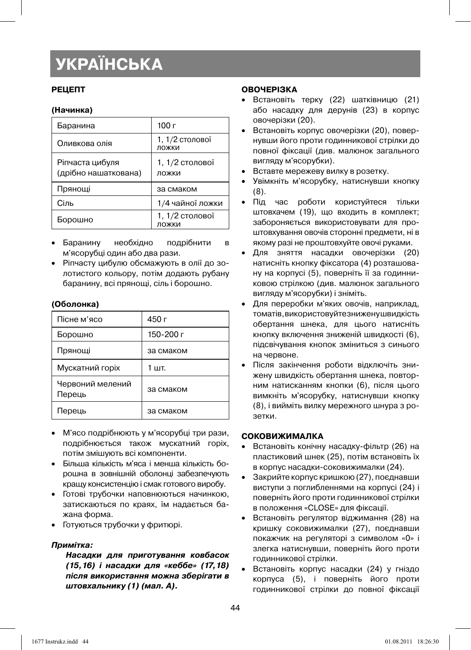#### **РЕЦЕПТ**

#### **(Начинка)**

| Баранина                                | 100r                     |
|-----------------------------------------|--------------------------|
| Оливкова олія                           | 1, 1/2 столової<br>ложки |
| Ріпчаста цибуля<br>(дрібно нашаткована) | 1, 1/2 столової<br>ложки |
| Прянощі                                 | за смаком                |
| Сіль                                    | 1/4 чайної ложки         |
| Борошно                                 | 1, 1/2 столової<br>ложки |

- Баранину необхідно подрібнити в м'ясорубці один або два рази.
- Ріпчасту цибулю обсмажують в олії до золотистого кольору, потім додають рубану баранину, всі прянощі, сіль і борошно.

#### **(Оболонка)**

| Пісне м'ясо                | 450 г     |
|----------------------------|-----------|
| Борошно                    | 150-200 г |
| Прянощі                    | за смаком |
| Мускатний горіх            | 1 шт.     |
| Червоний мелений<br>Перець | за смаком |
| Перець                     | за смаком |

- М'ясо подрібнюють у м'ясорубці три рази, подрібнюється також мускатний горіх, потім змішують всі компоненти.
- Більша кількість м'яса і менша кількість борошна в зовнішній оболонці забезпечують кращу консистенцію і смак готового виробу.
- Готові трубочки наповнюються начинкою, затискаються по краях, їм надається бажана форма.
- Готуються трубочки у фритюрі.

#### *Примітка:*

*Насадки для приготування ковбасок (15,16) і насадки для «кеббе» (17,18) після використання можна зберігати в штовхальнику (1) (мал. A).* 

#### **ОВОЧЕРІЗКА**

- Встановіть терку (22) шатківницю (21) або насадку для дерунів (23) в корпус овочерізки (20).
- Встановіть корпус овочерізки (20), повернувши його проти годинникової стрілки до повної фіксації (див. малюнок загального вигляду м'ясорубки).
- Вставте мережеву вилку в розетку.
- Увімкніть м'ясорубку, натиснувши кнопку (8).
- Під час роботи користуйтеся тільки штовхачем (19), що входить в комплект; забороняється використовувати для проштовхування овочів сторонні предмети, ні в якому разі не проштовхуйте овочі руками.
- Для зняття насадки овочерізки (20) натисніть кнопку фіксатора (4) розташовану на корпусі (5), поверніть її за годинниковою стрілкою (див. малюнок загального вигляду м'ясорубки) і зніміть.
- Для переробки м'яких овочів, наприклад, томатів, використовуйте знижену швидкість обертання шнека, для цього натисніть кнопку включення зниженій швидкості (6), підсвічування кнопок зміниться з синього на червоне.
- Після закінчення роботи відключіть знижену швидкість обертання шнека, повторним натисканням кнопки (6), після цього вимкніть м'ясорубку, натиснувши кнопку (8), і вийміть вилку мережного шнура з розетки.

#### **СОКОВИЖИМАЛКА**

- Встановіть конічну насадку-фільтр (26) на пластиковий шнек (25), потім встановіть їх в корпус насадки-соковижималки (24).
- Закрийте корпус кришкою (27), поєднавши виступи з поглибленнями на корпусі (24) і поверніть його проти годинникової стрілки в положення «CLOSE» для фіксації.
- Встановіть регулятор віджимання (28) на кришку соковижималки (27), поєднавши покажчик на регуляторі з символом «0» і злегка натиснувши, поверніть його проти годинникової стрілки.
- Встановіть корпус насадки (24) у гніздо корпуса (5), і поверніть його проти годинникової стрілки до повної фіксації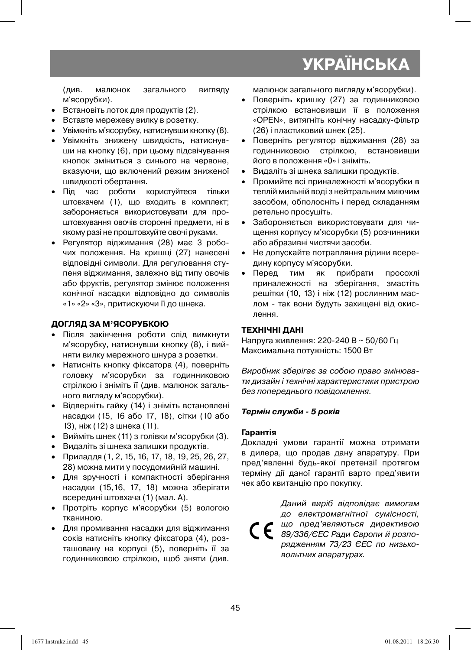(див. малюнок загального вигляду м'ясорубки).

- Встановіть лоток для продуктів (2).
- Вставте мережеву вилку в розетку.
- Увімкніть м'ясорубку, натиснувши кнопку (8).
- Увімкніть знижену швидкість, натиснувши на кнопку (6), при цьому підсвічування кнопок зміниться з синього на червоне, вказуючи, що включений режим зниженої швидкості обертання.
- Під час роботи користуйтеся тільки штовхачем (1), що входить в комплект; забороняється використовувати для проштовхування овочів сторонні предмети, ні в якому разі не проштовхуйте овочі руками.
- Регулятор віджимання (28) має 3 робочих положення. На кришці (27) нанесені відповідні символи. Для регулювання ступеня віджимання, залежно від типу овочів або фруктів, регулятор змінює положення конічної насадки відповідно до символів «1» «2» «3», притискуючи її до шнека.

#### **ДОГЛЯД ЗА М'ЯСОРУБКОЮ**

- Після закінчення роботи слід вимкнути м'ясорубку, натиснувши кнопку (8), і вийняти вилку мережного шнура з розетки.
- Натисніть кнопку фіксатора (4), поверніть головку м'ясорубки за годинниковою стрілкою і зніміть її (див. малюнок загального вигляду м'ясорубки).
- Відверніть гайку (14) і зніміть встановлені насадки (15, 16 або 17, 18), сітки (10 або 13), ніж (12) з шнека (11).
- Вийміть шнек (11) з голівки м'ясорубки (3).
- Видаліть зі шнека залишки продуктів.
- Приладдя (1, 2, 15, 16, 17, 18, 19, 25, 26, 27, 28) можна мити у посудомийній машині.
- Для зручності і компактності зберігання насадки (15,16, 17, 18) можна зберігати всередині штовхача (1) (мал. A).
- Протріть корпус м'ясорубки (5) вологою тканиною.
- Для промивання насадки для віджимання соків натисніть кнопку фіксатора (4), розташовану на корпусі (5), поверніть її за годинниковою стрілкою, щоб зняти (див.

малюнок загального вигляду м'ясорубки).

- Поверніть кришку (27) за годинниковою стрілкою встановивши її в положення «OPEN», витягніть конічну насадку-фільтр (26) і пластиковий шнек (25).
- Поверніть регулятор віджимання (28) за годинниковою стрілкою, встановивши його в положення «0» і зніміть.
- Видаліть зі шнека залишки продуктів.
- Промийте всі приналежності м'ясорубки в теплій мильній воді з нейтральним миючим засобом, обполосніть і перед складанням ретельно просушіть.
- Забороняється використовувати для чищення корпусу м'ясорубки (5) розчинники або абразивні чистячи засоби.
- Не допускайте потрапляння рідини всередину корпусу м'ясорубки.
- Перед тим як прибрати просохлі приналежності на зберігання, змастіть решітки (10, 13) і ніж (12) рослинним маслом - так вони будуть захищені від окислення.

#### **ТЕХНІЧНІ ДАНІ**

Напруга живлення: 220-240 В ~ 50/60 Гц Максимальна потужність: 1500 Вт

Виробник зберігає за собою право змінювати дизайн і технічні характеристики пристрою без попереднього повідомлення.

#### *Термін служби - 5 років*

#### **Гарантія**

Докладні умови гарантії можна отримати в дилера, що продав дану апаратуру. При пред'явленні будь-якої претензії протягом терміну дії даної гарантії варто пред'явити чек або квитанцію про покупку.

Даний виріб відповідає вимогам до електромагнітної сумісності, що пред'являються директивою  $\epsilon$ 89/336/ЄЕС Ради Європи й розпорядженням 73/23 ЄЕС по низьковольтних апаратурах.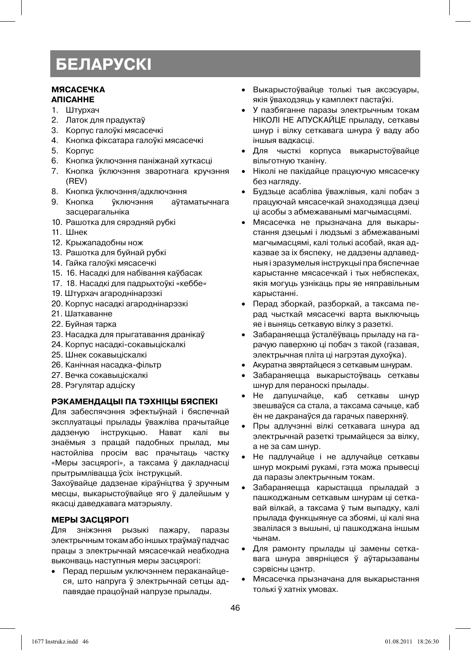#### **МЯСАСЕЧКА АПІСАННЕ**

- 1. Штурхач
- 2. Латок для прадуктаў
- 3. Корпус галоўкі мясасечкі
- 4. Кнопка фіксатара галоўкі мясасечкі
- 5. Корпус
- 6. Кнопка ўключэння паніжанай хуткасці
- 7. Кнопка ўключэння зваротнага кручэння (REV)
- 8. Кнопка ўключэння/адключэння
- 9. Кнопка ўключэння аўтаматычнага засцерагальніка
- 10. Рашотка для сярэдняй рубкі
- 11. Шнек
- 12. Крыжападобны нож
- 13. Рашотка для буйнай рубкі
- 14. Гайка галоўкі мясасечкі
- 15. 16. Насадкі для набівання каўбасак
- 17. 18. Насадкі для падрыхтоўкі «кеббе»
- 19. Штурхач агароднінарэзкі
- 20. Корпус насадкі агароднінарэзкі
- 21. Шаткаванне
- 22. Буйная тарка
- 23. Насадка для прыгатавання дранікаў
- 24. Корпус насадкі-сокавыціскалкі
- 25. Шнек сокавыціскалкі
- 26. Канічная насадка-фільтр
- 27. Вечка сокавыціскалкі
- 28. Рэгулятар адціску

#### **РЭКАМЕНДАЦЫІ ПА ТЭХНІЦЫ БЯСПЕКІ**

Для забеспячэння эфектыўнай і бяспечнай эксплуатацыі прылады ўважліва прачытайце дадзеную інструкцыю. Нават калі вы знаёмыя з працай падобных прылад, мы настойліва просім вас прачытаць частку «Меры засцярогі», а таксама ў дакладнасці прытрымлівацца ўсіх інструкцый.

Захоўвайце дадзенае кіраўніцтва ў зручным месцы, выкарыстоўвайце яго ў далейшым у якасці даведкавага матэрыялу.

#### **МЕРЫ ЗАСЦЯРОГІ**

Для зніжэння рызыкі пажару, паразы электрычным токам або іншых траўмаў падчас працы з электрычнай мясасечкай неабходна выконваць наступныя меры засцярогі:

• Перад першым уключэннем пераканайцеся, што напруга ў электрычнай сетцы адпавядае працоўнай напрузе прылады.

- Выкарыстоўвайце толькі тыя аксэсуары, якія ўваходзяць у камплект пастаўкі.
- У пазбяганне паразы электрычным токам НІКОЛІ НЕ АПУСКАЙЦЕ прыладу, сеткавы шнур і вілку сеткавага шнура ў ваду або іншыя вадкасці.
- Для чысткі корпуса выкарыстоўвайце вільготную тканіну.
- Ніколі не пакідайце працуючую мясасечку без нагляду.
- Будзьце асабліва ўважлівыя, калі побач з працуючай мясасечкай знаходзяцца дзеці ці асобы з абмежаванымі магчымасцямі.
- Мясасечка не прызначана для выкарыстання дзецьмі і людзьмі з абмежаванымі магчымасцямі, калі толькі асобай, якая адказвае за іх бяспеку, не дадзены адпаведныя і зразумелыя інструкцыі пра бяспечнае карыстанне мясасечкай і тых небяспеках, якія могуць узнікаць пры яе няправільным карыстанні.
- Перад зборкай, разборкай, а таксама перад чысткай мясасечкі варта выключыць яе і выняць сеткавую вілку з разеткі.
- Забараняецца ўсталёўваць прыладу на гарачую паверхню ці побач з такой (газавая, электрычная пліта ці нагрэтая духоўка).
- Акуратна звяртайцеся з сеткавым шнурам.
- Забараняецца выкарыстоўваць сеткавы шнур для пераноскі прылады.
- Не дапушчайце, каб сеткавы шнур звешваўся са стала, а таксама сачыце, каб ён не дакранаўся да гарачых паверхняў.
- Пры адлучэнні вілкі сеткавага шнура ад электрычнай разеткі трымайцеся за вілку, а не за сам шнур.
- Не падлучайце і не адлучайце сеткавы шнур мокрымі рукамі, гэта можа прывесці да паразы электрычным токам.
- Забараняецца карыстацца прыладай з пашкоджаным сеткавым шнурам ці сеткавай вілкай, а таксама ў тым выпадку, калі прылада функцыянуе са збоямі, ці калі яна звалілася з вышыні, ці пашкоджана іншым чынам.
- Для рамонту прылады ці замены сеткавага шнура звярніцеся ў аўтарызаваны сэрвісны цэнтр.
- Мясасечка прызначана для выкарыстання толькі ў хатніх умовах.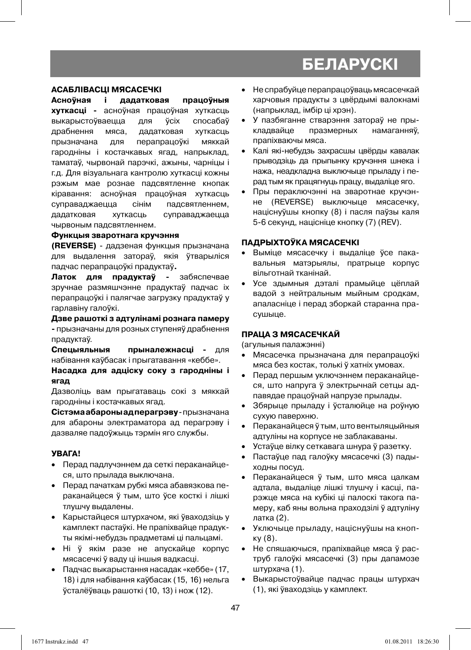#### **АСАБЛІВАСЦІ МЯСАСЕЧКІ**

**Асноўная і дадатковая працоўныя хуткасці -** асноўная працоўная хуткасць выкарыстоўваецца для ўсіх спосабаў драбнення мяса, дадатковая хуткасць прызначана для перапрацоўкі мяккай гародніны і костачкавых ягад, напрыклад, таматаў, чырвонай парэчкі, ажыны, чарніцы і г.д. Для візуальнага кантролю хуткасці кожны рэжым мае рознае падсвятленне кнопак кіравання: асноўная працоўная хуткасць суправаджаецца сінім падсвятленнем, дадатковая хуткасць суправаджаецца чырвоным падсвятленнем.

#### **Функцыя зваротнага кручэння**

**(REVERSE)** - дадзеная функцыя прызначана для выдалення затораў, якія ўтварыліся падчас перапрацоўкі прадуктаў**.**

**Латок для прадуктаў -** забяспечвае зручнае размяшчэнне прадуктаў падчас іх перапрацоўкі і палягчае загрузку прадуктаў у гарлавіну галоўкі.

#### **Дзве рашоткі з адтулінамі рознага памеру**

**-** прызначаны для розных ступеняў драбнення прадуктаў.

**Спецыяльныя прыналежнасці -** для набівання каўбасак і прыгатавання «кеббе».

**Насадка для адціску соку з гародніны і ягад**

Дазволіць вам прыгатаваць сокі з мяккай гародніны і костачкавых ягад.

**Сістэма абароны ад перагрэву** - прызначана для абароны электраматора ад перагрэву і дазваляе падоўжыць тэрмін яго службы.

#### **УВАГА!**

- Перад падлучэннем да сеткі пераканайцеся, што прылада выключана.
- Перад пачаткам рубкі мяса абавязкова пераканайцеся ў тым, што ўсе косткі і лішкі тлушчу выдалены.
- Карыстайцеся штурхачом, які ўваходзіць у камплект пастаўкі. Не прапіхвайце прадукты якімі-небудзь прадметамі ці пальцамі.
- Ні ў якім разе не апускайце корпус мясасечкі ў ваду ці іншыя вадкасці.
- Падчас выкарыстання насадак «кеббе» (17, 18) і для набівання каўбасак (15, 16) нельга ўсталёўваць рашоткі (10, 13) і нож (12).
- Не спрабуйце перапрацоўваць мясасечкай харчовыя прадукты з цвёрдымі валокнамі (напрыклад, імбір ці хрэн).
- У пазбяганне стварэння затораў не прыкладвайце празмерных намаганняў, прапіхваючы мяса.
- Калі які-небудзь захрасшы цвёрды кавалак прыводзіць да прыпынку кручэння шнека і нажа, неадкладна выключыце прыладу і перад тым як працягнуць працу, выдаліце яго.
- Пры пераключэнні на зваротнае кручэнне (REVERSE) выключыце мясасечку, націснуўшы кнопку (8) і пасля паўзы каля 5-6 секунд, націсніце кнопку (7) (REV).

#### **ПАДРЫХТОЎКА МЯСАСЕЧКІ**

- Выміце мясасечку і выдаліце ўсе пакавальныя матэрыялы, пратрыце корпус вільготнай тканінай.
- Усе здымныя дэталі прамыйце цёплай вадой з нейтральным мыйным сродкам, апаласніце і перад зборкай старанна прасушыце.

#### **ПРАЦА З МЯСАСЕЧКАЙ**

(агульныя палажэнні)

- Мясасечка прызначана для перапрацоўкі мяса без костак, толькі ў хатніх умовах.
- Перад першым уключэннем пераканайцеся, што напруга ў электрычнай сетцы адпавядае працоўнай напрузе прылады.
- Збярыце прыладу і ўсталюйце на роўную сухую паверхню.
- Пераканайцеся ў тым, што вентыляцыйныя адтуліны на корпусе не заблакаваны.
- Устаўце вілку сеткавага шнура ў разетку.
- Пастаўце пад галоўку мясасечкі (3) падыходны посуд.
- Пераканайцеся ў тым, што мяса цалкам адтала, выдаліце лішкі тлушчу і касці, парэжце мяса на кубікі ці палоскі такога памеру, каб яны вольна праходзілі ў адтуліну латка (2).
- Уключыце прыладу, націснуўшы на кнопку (8).
- Не спяшаючыся, прапіхвайце мяса ў раструб галоўкі мясасечкі (3) пры дапамозе штурхача (1).
- Выкарыстоўвайце падчас працы штурхач (1), які ўваходзіць у камплект.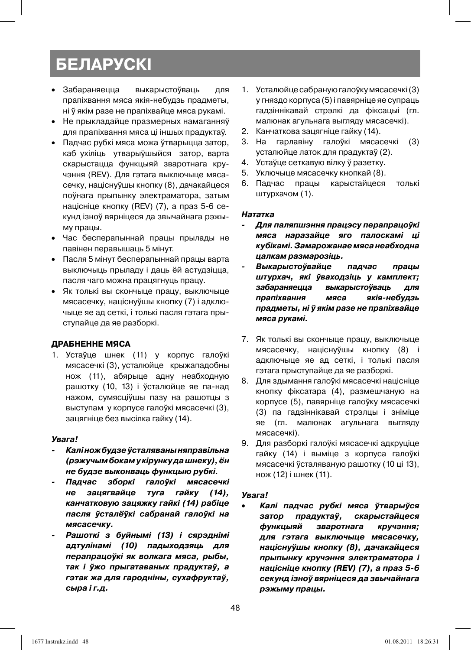- Забараняецца выкарыстоўваць для прапіхвання мяса якія-небудзь прадметы, ні ў якім разе не прапіхвайце мяса рукамі.
- Не прыкладайце празмерных намаганняў для прапіхвання мяса ці іншых прадуктаў.
- Падчас рубкі мяса можа ўтварыцца затор, каб ухіліць утварыўшыйся затор, варта скарыстацца функцыяй зваротнага кручэння (REV). Для гэтага выключыце мясасечку, націснуўшы кнопку (8), дачакайцеся поўнага прыпынку электраматора, затым націсніце кнопку (REV) (7), а праз 5-6 секунд ізноў вярніцеся да звычайнага рэжыму працы.
- Час бесперапыннай працы прылады не павінен перавышаць 5 мінут.
- Пасля 5 мінут бесперапыннай працы варта выключыць прыладу і даць ёй астудзіцца, пасля чаго можна працягнуць працу.
- Як толькі вы скончыце працу, выключыце мясасечку, націснуўшы кнопку (7) і адключыце яе ад сеткі, і толькі пасля гэтага прыступайце да яе разборкі.

#### **ДРАБНЕННЕ МЯСА**

1. Устаўце шнек (11) у корпус галоўкі мясасечкі (3), усталюйце крыжападобны нож (11), абярыце адну неабходную рашотку (10, 13) і ўсталюйце яе па-над нажом, сумясціўшы пазу на рашотцы з выступам у корпусе галоўкі мясасечкі (3), зацягніце без высілка гайку (14).

#### *Увага!*

- *Калі нож будзе ўсталяваны няправільна (рэжучым бокам у кірунку да шнеку), ён не будзе выконваць функцыю рубкі.*
- *Падчас зборкі галоўкі мясасечкі не зацягвайце туга гайку (14), канчатковую зацяжку гайкі (14) рабіце пасля ўсталёўкі сабранай галоўкі на мясасечку.*
- *Рашоткі з буйнымі (13) і сярэднімі адтулінамі (10) падыходзяць для перапрацоўкі як волкага мяса, рыбы, так і ўжо прыгатаваных прадуктаў, а гэтак жа для гародніны, сухафруктаў, сыра і г.д.*
- 1. Усталюйце сабраную галоўку мясасечкі (3) у гняздо корпуса (5) і павярніце яе супраць гадзіннікавай стрэлкі да фіксацыі (гл. малюнак агульнага выгляду мясасечкі).
- 2. Канчаткова зацягніце гайку (14).
- 3. На гарлавіну галоўкі мясасечкі (3) усталюйце латок для прадуктаў (2).
- 4. Устаўце сеткавую вілку ў разетку.
- 5. Уключыце мясасечку кнопкай (8).
- 6. Падчас працы карыстайцеся толькі штурхачом (1).

#### *Нататка*

- *Для паляпшэння працэсу перапрацоўкі мяса наразайце яго палоскамі ці кубікамі. Замарожанае мяса неабходна цалкам размарозіць.*
- *Выкарыстоўвайце падчас працы штурхач, які ўваходзіць у камплект; забараняецца выкарыстоўваць для прапіхвання мяса якія-небудзь прадметы, ні ў якім разе не прапіхвайце мяса рукамі.*
- 7. Як толькі вы скончыце працу, выключыце мясасечку, націснуўшы кнопку (8) і адключыце яе ад сеткі, і толькі пасля гэтага прыступайце да яе разборкі.
- 8. Для здымання галоўкі мясасечкі націсніце кнопку фіксатара (4), размешчаную на корпусе (5), павярніце галоўку мясасечкі (3) па гадзіннікавай стрэлцы і зніміце яе (гл. малюнак агульнага выгляду мясасечкі).
- 9. Для разборкі галоўкі мясасечкі адкруціце гайку (14) і выміце з корпуса галоўкі мясасечкі ўсталяваную рашотку (10 ці 13), нож (12) і шнек (11).

#### *Увага!*

• *Калі падчас рубкі мяса ўтварыўся затор прадуктаў, скарыстайцеся функцыяй зваротнага кручэння; для гэтага выключыце мясасечку, націснуўшы кнопку (8), дачакайцеся прыпынку кручэння электраматора і націсніце кнопку (REV) (7), а праз 5-6 секунд ізноў вярніцеся да звычайнага рэжыму працы.*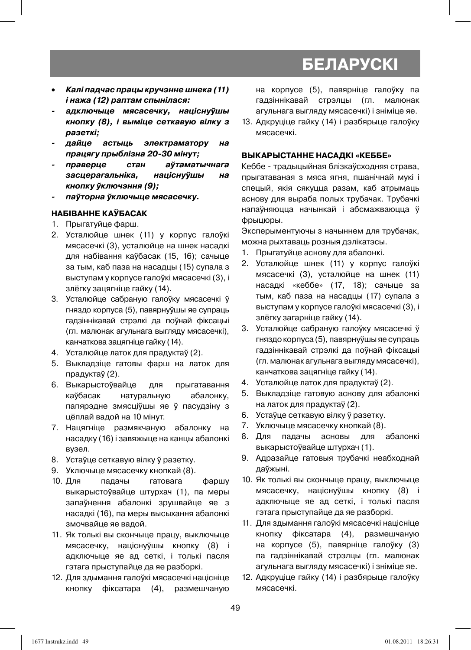- *Калі падчас працы кручэнне шнека (11) і нажа (12) раптам спынілася:*
- *адключыце мясасечку, націснуўшы кнопку (8), і выміце сеткавую вілку з разеткі;*
- *дайце астыць электраматору на працягу прыблізна 20-30 мінут;*
- *праверце стан аўтаматычнага засцерагальніка, націснуўшы на кнопку ўключэння (9);*
- *паўторна ўключыце мясасечку.*

#### **НАБІВАННЕ КАЎБАСАК**

- 1. Прыгатуйце фарш.
- 2. Усталюйце шнек (11) у корпус галоўкі мясасечкі (3), усталюйце на шнек насадкі для набівання каўбасак (15, 16); сачыце за тым, каб паза на насадцы (15) супала з выступам у корпусе галоўкі мясасечкі (3), і злёгку зацягніце гайку (14).
- 3. Усталюйце сабраную галоўку мясасечкі ў гняздо корпуса (5), павярнуўшы яе супраць гадзіннікавай стрэлкі да поўнай фіксацыі (гл. малюнак агульнага выгляду мясасечкі), канчаткова зацягніце гайку (14).
- 4. Усталюйце латок для прадуктаў (2).
- 5. Выкладзіце гатовы фарш на латок для прадуктаў (2).
- 6. Выкарыстоўвайце для прыгатавання каўбасак натуральную абалонку, папярэдне змясціўшы яе ў пасудзіну з цёплай вадой на 10 мінут.
- 7. Нацягніце размякчаную абалонку на насадку (16) і завяжыце на канцы абалонкі вузел.
- 8. Устаўце сеткавую вілку ў разетку.
- 9. Уключыце мясасечку кнопкай (8).
- 10. Для падачы гатовага фаршу выкарыстоўвайце штурхач (1), па меры запаўнення абалонкі зрушвайце яе з насадкі (16), па меры высыхання абалонкі змочвайце яе вадой.
- 11. Як толькі вы скончыце працу, выключыце мясасечку, націснуўшы кнопку (8) і адключыце яе ад сеткі, і толькі пасля гэтага прыступайце да яе разборкі.
- 12. Для здымання галоўкі мясасечкі націсніце кнопку фіксатара (4), размешчаную

на корпусе (5), павярніце галоўку па гадзіннікавай стрэлцы (гл. малюнак агульнага выгляду мясасечкі) і зніміце яе.

13. Адкруціце гайку (14) і разбярыце галоўку мясасечкі.

#### **ВЫКАРЫСТАННЕ НАСАДКІ «КЕББЕ»**

Кеббе - традыцыйная блізкаўсходняя страва, прыгатаваная з мяса ягня, пшанічнай мукі і спецый, якія сякуцца разам, каб атрымаць аснову для выраба полых трубачак. Трубачкі напаўняюцца начынкай і абсмажваюцца ў фрыцюры.

Эксперыментуючы з начыннем для трубачак, можна рыхтаваць розныя дэлікатэсы.

- 1. Прыгатуйце аснову для абалонкі.
- 2. Усталюйце шнек (11) у корпус галоўкі мясасечкі (3), усталюйце на шнек (11) насадкі «кеббе» (17, 18); сачыце за тым, каб паза на насадцы (17) супала з выступам у корпусе галоўкі мясасечкі (3), і злёгку загарніце гайку (14).
- 3. Усталюйце сабраную галоўку мясасечкі ў гняздо корпуса (5), павярнуўшы яе супраць гадзіннікавай стрэлкі да поўнай фіксацыі (гл. малюнак агульнага выгляду мясасечкі), канчаткова зацягніце гайку (14).
- 4. Усталюйце латок для прадуктаў (2).
- 5. Выкладзіце гатовую аснову для абалонкі на латок для прадуктаў (2).
- 6. Устаўце сеткавую вілку ў разетку.
- 7. Уключыце мясасечку кнопкай (8).
- 8. Для падачы асновы для абалонкі выкарыстоўвайце штурхач (1).
- 9. Адразайце гатовыя трубачкі неабходнай даўжыні.
- 10. Як толькі вы скончыце працу, выключыце мясасечку, націснуўшы кнопку (8) і адключыце яе ад сеткі, і толькі пасля гэтага прыступайце да яе разборкі.
- 11. Для здымання галоўкі мясасечкі націсніце кнопку фіксатара (4), размешчаную на корпусе (5), павярніце галоўку (3) па гадзіннікавай стрэлцы (гл. малюнак агульнага выгляду мясасечкі) і зніміце яе.
- 12. Адкруціце гайку (14) і разбярыце галоўку мясасечкі.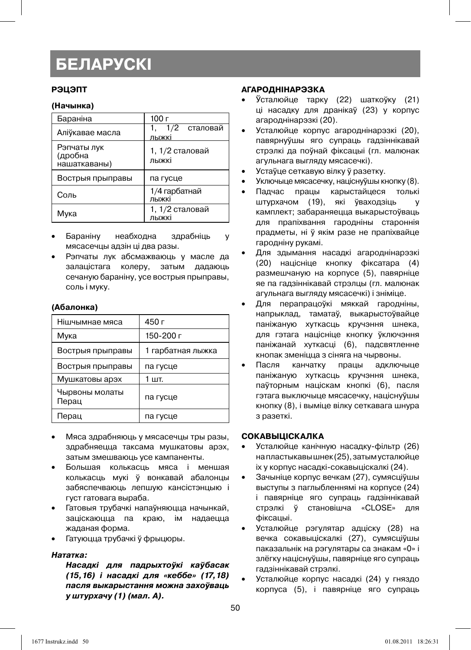#### **РЭЦЭПТ**

#### **(Начынка)**

| Бараніна                               | 100 г                    |
|----------------------------------------|--------------------------|
| Аліўкавае масла                        | 1/2 сталовай<br>лыжкі    |
| Рэпчаты лук<br>(дробна<br>нашаткаваны) | 1, 1/2 сталовай<br>лыжкі |
| Вострыя прыправы                       | па гусце                 |
| Соль                                   | 1/4 гарбатнай<br>лыжкі   |
| Мука                                   | 1, 1/2 сталовай<br>лыжкі |

- Бараніну неабходна здрабніць у мясасечцы адзін ці два разы.
- Рэпчаты лук абсмажваюць у масле да залацістага колеру, затым дадаюць сечаную бараніну, усе вострыя прыправы, соль і муку.

#### **(Абалонка)**

| Нішчымнае мяса          | 450 г             |
|-------------------------|-------------------|
| Мука                    | 150-200 г         |
| Вострыя прыправы        | 1 гарбатная лыжка |
| Вострыя прыправы        | па гусце          |
| Мушкатовы арэх          | 1 шт.             |
| Чырвоны молаты<br>Перац | па гусце          |
| Перац                   | па гусце          |

- Мяса здрабняюць у мясасечцы тры разы, здрабняецца таксама мушкатовы арэх, затым змешваюць усе кампаненты.
- Большая колькасць мяса і меншая колькасць мукі ў вонкавай абалонцы забяспечваюць лепшую кансістэнцыю і густ гатовага выраба.
- Гатовыя трубачкі напаўняюцца начынкай, заціскаюцца па краю, ім надаецца жаданая форма.
- Гатуюцца трубачкі ў фрыцюры.

#### *Нататка:*

*Насадкі для падрыхтоўкі каўбасак (15,16) і насадкі для «кеббе» (17,18) пасля выкарыстання можна захоўваць у штурхачу (1) (мал. A).*

#### **АГАРОДНІНАРЭЗКА**

- Ўсталюйце тарку (22) шаткоўку (21) ці насадку для дранікаў (23) у корпус агароднінарэзкі (20).
- Усталюйце корпус агароднінарэзкі (20), павярнуўшы яго супраць гадзіннікавай стрэлкі да поўнай фіксацыі (гл. малюнак агульнага выгляду мясасечкі).
- Устаўце сеткавую вілку ў разетку.
- Уключыце мясасечку, націснуўшы кнопку (8).
- Падчас працы карыстайцеся толькі штурхачом (19), які ўваходзіць камплект; забараняецца выкарыстоўваць для прапіхвання гародніны староннія прадметы, ні ў якім разе не прапіхвайце гародніну рукамі.
- Для здымання насадкі агароднінарэзкі (20) націсніце кнопку фіксатара (4) размешчаную на корпусе (5), павярніце яе па гадзіннікавай стрэлцы (гл. малюнак агульнага выгляду мясасечкі) і зніміце.
- Для перапрацоўкі мяккай гародніны, напрыклад, таматаў, выкарыстоўвайце паніжаную хуткасць кручэння шнека, для гэтага націсніце кнопку ўключэння паніжанай хуткасці (6), падсвятленне кнопак зменіцца з сіняга на чырвоны.
- Пасля канчатку працы адключыце паніжаную хуткасць кручэння шнека, паўторным націскам кнопкі (6), пасля гэтага выключыце мясасечку, націснуўшы кнопку (8), і выміце вілку сеткавага шнура з разеткі.

#### **СОКАВЫЦІСКАЛКА**

- Усталюйце канічную насадку-фільтр (26) на пластыкавы шнек (25), затым усталюйце іх у корпус насадкі-сокавыціскалкі (24).
- Зачыніце корпус вечкам (27), сумясціўшы выступы з паглыбленнямі на корпусе (24) і павярніце яго супраць гадзіннікавай стрэлкі ў становішча «CLOSE» для фіксацыі.
- Усталюйце рэгулятар адціску (28) на вечка сокавыціскалкі (27), сумясціўшы паказальнік на рэгулятары са знакам «0» і злёгку націснуўшы, павярніце яго супраць гадзіннікавай стрэлкі.
- Усталюйце корпус насадкі (24) у гняздо корпуса (5), і павярніце яго супраць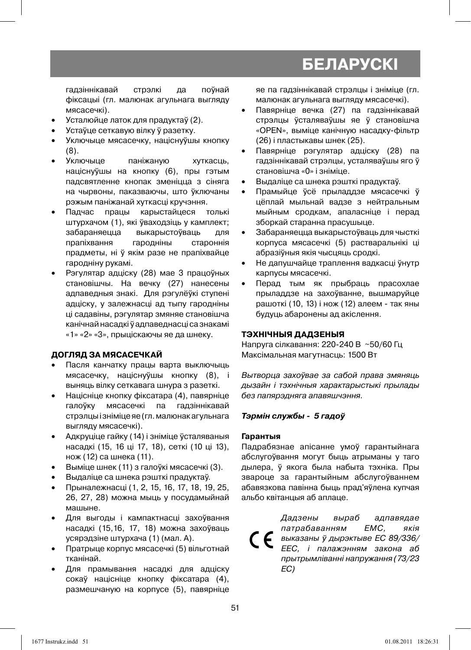гадзіннікавай стрэлкі да поўнай фіксацыі (гл. малюнак агульнага выгляду мясасечкі).

- Усталюйце латок для прадуктаў (2).
- Устаўце сеткавую вілку ў разетку.
- Уключыце мясасечку, націснуўшы кнопку (8).
- Уключыце паніжаную хуткасць, націснуўшы на кнопку (6), пры гэтым падсвятленне кнопак зменіцца з сіняга на чырвоны, паказваючы, што ўключаны рэжым паніжанай хуткасці кручэння.
- Падчас працы карыстайцеся толькі штурхачом (1), які ўваходзіць у камплект; забараняецца выкарыстоўваць для прапіхвання гародніны староннія прадметы, ні ў якім разе не прапіхвайце гародніну рукамі.
- Рэгулятар адціску (28) мае 3 працоўных становішчы. На вечку (27) нанесены адпаведныя знакі. Для рэгулёўкі ступені адціску, у залежнасці ад тыпу гародніны ці садавіны, рэгулятар змяняе становішча канічнай насадкі ў адпаведнасці са знакамі «1» «2» «3», прыціскаючы яе да шнеку.

#### **ДОГЛЯД ЗА МЯСАСЕЧКАЙ**

- Пасля канчатку працы варта выключыць мясасечку, націснуўшы кнопку (8), і выняць вілку сеткавага шнура з разеткі.
- Націсніце кнопку фіксатара (4), павярніце галоўку мясасечкі па гадзіннікавай стрэлцы і зніміце яе (гл. малюнак агульнага выгляду мясасечкі).
- Адкруціце гайку (14) і зніміце ўсталяваныя насадкі (15, 16 ці 17, 18), сеткі (10 ці 13), нож (12) са шнека (11).
- Выміце шнек (11) з галоўкі мясасечкі (3).
- Выдаліце са шнека рэшткі прадуктаў.
- Прыналежнасці (1, 2, 15, 16, 17, 18, 19, 25, 26, 27, 28) можна мыць у посудамыйнай машыне.
- Для выгоды і кампактнасці захоўвання насадкі (15,16, 17, 18) можна захоўваць усярэдзіне штурхача (1) (мал. A).
- Пратрыце корпус мясасечкі (5) вільготнай тканінай.
- Для прамывання насадкі для адціску сокаў націсніце кнопку фіксатара (4), размешчаную на корпусе (5), павярніце

яе па гадзіннікавай стрэлцы і зніміце (гл. малюнак агульнага выгляду мясасечкі).

- Павярніце вечка (27) па гадзіннікавай стрэлцы ўсталяваўшы яе ў становішча «OPEN», выміце канічную насадку-фільтр (26) і пластыкавы шнек (25).
- Павярніце рэгулятар адціску (28) па гадзіннікавай стрэлцы, усталяваўшы яго ў становішча «0» і зніміце.
- Выдаліце са шнека рэшткі прадуктаў.
- Прамыйце ўсё прыладдзе мясасечкі ў цёплай мыльнай вадзе з нейтральным мыйным сродкам, апаласніце і перад зборкай старанна прасушыце.
- Забараняецца выкарыстоўваць для чысткі корпуса мясасечкі (5) растваральнікі ці абразіўныя якія чысцяць сродкі.
- Не дапушчайце траплення вадкасці ўнутр карпусы мясасечкі.
- Перад тым як прыбраць прасохлае прыладдзе на захоўванне, вышмаруйце рашоткі (10, 13) і нож (12) алеем - так яны будуць абаронены ад акіслення.

#### **ТЭХНІЧНЫЯ ДАДЗЕНЫЯ**

Напруга сілкавання: 220-240 В ~50/60 Гц Максімальная магутнасць: 1500 Вт

Вытворца захоўвае за сабой права змяняць дызайн і тэхнічныя характарыстыкі прылады без папярэдняга апавяшчэння.

#### *Тэрмін службы - 5 гадоў*

#### **Гарантыя**

Падрабязнае апісанне умоў гарантыйнага абслугоўвання могут быць атрыманы у таго дылера, ў якога была набыта тэхніка. Пры звароце за гарантыйным абслугоўваннем абавязкова павінна быць прад'яўлена купчая альбо квітанцыя аб аплаце.

Дадзены выраб адпавядае патрабаванням ЕМС, якiя  $\epsilon$ выказаны ў дырэктыве ЕС 89/336/ ЕЕС, i палажэнням закона аб прытрымлiваннi напружання (73/23 EC)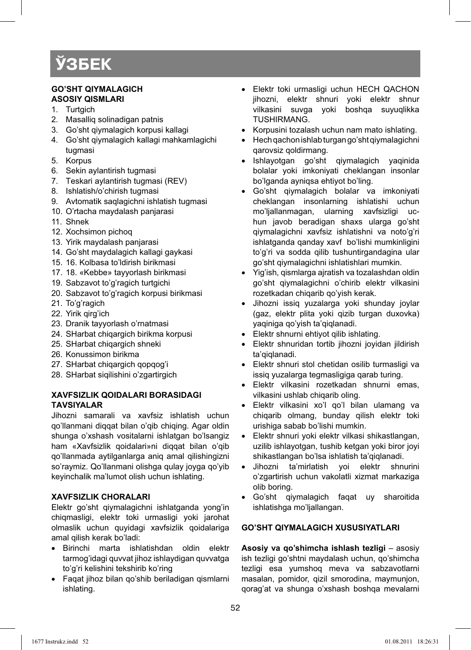#### **GO'SHT QIYMАLАGICH АSОSIY QISMLАRI**

- 1. Turtgich
- 2. Mаsаlliq sоlinаdigаn pаtnis
- 3. Go'sht qiymalaqich korpusi kallaqi
- 4. Go'sht qiymаlаgich kаllаgi mаhkаmlаgichi tugmаsi
- 5. Kоrpus
- 6. Sekin aylantirish tugmasi
- 7. Tеskаri аylаntirish tugmаsi (REV)
- 8. Ishlatish/o'chirish tugmаsi
- 9. Avtomatik saqlaqichni ishlatish tugmasi
- 10. O'rtаchа mаydаlаsh panjarasi
- 11. Shnеk
- 12. Хоchsimоn pichоq
- 13. Yirik maydalash panjarasi
- 14. Go'sht mаydаlаgich kаllаgi gаykаsi
- 15. 16. Kоlbаsа to'ldirish birikmasi
- 17. 18. «Kеbbе» tаyyorlаsh birikmasi
- 19. Sabzavot to'g'ragich turtgichi
- 20. Sabzavot to'g'ragich korpusi birikmasi
- 21. To'g'ragich
- 22. Yirik qirg'ich
- 23. Dranik tayyorlash o'rnatmasi
- 24. SHаrbаt chiqаrgich birikmа kоrpusi
- 25. SHarbat chigargich shneki
- 26. Kоnussimоn birikmа
- 27. SHаrbаt chiqаrgich qоpqоg'i
- 28. SHаrbаt siqilishini o'zgаrtirgich

#### **ХАVFSIZLIK QОIDАLАRI BОRАSIDАGI TАVSIYALАR**

Jihоzni sаmаrаli vа хаvfsiz ishlаtish uchun qo'llаnmаni diqqаt bilаn o'qib chiqing. Аgаr оldin shungа o'хshаsh vоsitаlаrni ishlаtgаn bo'lsаngiz ham «Xavfsizlik qoidalari»ni diqqat bilan o'qib qo'llаnmаdа аytilgаnlаrgа аniq аmаl qilishingizni so'rаymiz. Qo'llаnmаni оlishgа qulаy jоygа qo'yib kеyinchаlik mа'lumоt olish uchun ishlаting.

#### **ХАVFSIZLIK CHORALARI**

Elеktr go'sht qiymаlаgichni ishlаtgаndа yong'in chiqmаsligi, elеktr tоki urmаsligi yoki jаrоhаt оlmаslik uchun quyidаgi хаvfsizlik qоidаlаrigа аmаl qilish kеrаk bo'lаdi:

- Birinchi mаrtа ishlаtishdаn оldin elеktr tаrmоg'idаgi quvvаt jihоz ishlаydigаn quvvаtgа to'g'ri kеlishini tеkshirib ko'ring
- Fаqаt jihоz bilаn qo'shib bеrilаdigаn qismlаrni ishlаting.
- Elеktr tоki urmаsligi uchun HЕCH QАCHОN jihоzni, elеktr shnuri yoki elеktr shnur vilkаsini suvgа yoki bоshqа suyuqlikkа TUSHIRMАNG.
- Kоrpusini tоzаlаsh uchun nаm mаtо ishlаting.
- Hеch qаchоn ishlаb turgаn go'sht qiymаlаgichni qаrоvsiz qоldirmаng.
- Ishlаyotgаn go'sht qiymаlаgich yaqinidа bоlаlаr yoki imkоniyati chеklаngаn insоnlаr bo'lgаndа аyniqsа ehtiyot bo'ling.
- Go'sht qiymalagich bolalar va imkoniyati chеklаngаn insоnlаrning ishlаtishi uchun mo'ljallanmagan, ularning xavfsizligi uchun jаvоb bеrаdigаn shахs ulаrgа go'sht qiymаlаgichni хаvfsiz ishlаtishni vа nоto'g'ri ishlаtgаndа qаndаy хаvf bo'lishi mumkinligini to'g'ri vа sоddа qilib tushuntirgаndаginа ulаr go'sht qiymаlаgichni ishlаtishlаri mumkin.
- Yig'ish, qismlаrgа аjrаtish vа tоzаlаshdаn оldin go'sht qiymаlаgichni o'chirib elеktr vilkаsini rоzеtkаdаn chiqаrib qo'yish kеrаk.
- Jihоzni issiq yuzаlаrgа yoki shundаy jоylаr (gаz, elеktr plitа yoki qizib turgаn duхоvkа) yaqinigа qo'yish tа'qiqlаnаdi.
- Elektr shnurni ehtiyot qilib ishlating.
- Elеktr shnuridаn tоrtib jihоzni jоyidаn jildirish tа'qiqlаnаdi.
- Elеktr shnuri stоl chеtidаn оsilib turmаsligi vа issiq yuzаlаrgа tеgmаsligigа qаrаb turing.
- Elеktr vilkаsini rоzеtkаdаn shnurni emаs, vilkаsini ushlаb chiqаrib оling.
- Elеktr vilkаsini хo'l qo'l bilаn ulаmаng vа chiqаrib оlmаng, bundаy qilish elеktr tоki urishigа sаbаb bo'lishi mumkin.
- Elеktr shnuri yoki elеktr vilkаsi shikаstlаngаn, uzilib ishlayotgan, tushib ketgan yoki biror joyi shikаstlаngаn bo'lsa ishlаtish tа'qiqlаnаdi.
- Jihоzni tа'mirlаtish yoi elеktr shnurini o'zgаrtirish uchun vаkоlаtli хizmаt mаrkаzigа оlib bоring.
- Go'sht qiymаlаgich fаqаt uy shаrоitidа ishlatishga mo'liallangan.

#### **GO'SHT QIYMАLАGICH ХUSUSIYATLАRI**

**Asosiy va qo'shimcha ishlash tezligi** - asosiy ish tezligi go'shtni maydalash uchun, qo'shimcha tezligi esa yumshoq mеvа vа sаbzаvоtlаrni mаsаlаn, pоmidоr, qizil smоrоdinа, mаymunjоn, qоrаg'аt vа shungа o'хshаsh bоshqа mеvаlаrni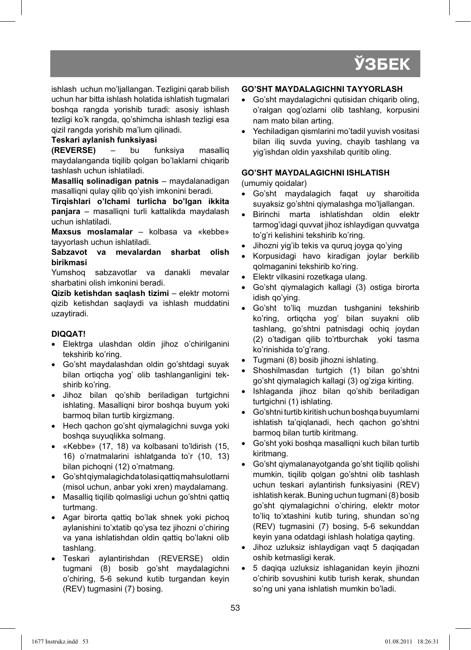ishlаsh uchun mo'ljаllаngаn. Tеzligini qаrаb bilish uchun hаr bittа ishlаsh hоlаtidа ishlаtish tugmаlаri bоshqа rаngdа yorishib turаdi: аsоsiy ishlаsh tеzligi ko'k rаngdа, qo'shimchа ishlаsh tеzligi esа qizil rаngdа yorishib mа'lum qilinаdi.

**Tеskаri аylаnish funksiyasi (REVERSE)** – bu funksiya mаsаlliq mаydаlаngаndа tiqilib qоlgаn bo'lаklаrni chiqаrib tаshlаsh uchun ishlаtilаdi.

**Mаsаlliq sоlinаdigаn pаtnis** – mаydаlаnаdigаn mаsаlliqni qulаy qilib qo'yish imkоnini bеrаdi.

**Tirqishlаri o'lchаmi turlichа bo'lgаn ikkitа pаnjаrа** – mаsаlliqni turli kаttаlikdа mаydаlаsh uchun ishlаtilаdi.

**Mахsus mоslаmаlаr** – kоlbаsа vа «kеbbе» tаyyorlаsh uchun ishlаtilаdi.

**Sаbzаvоt vа mеvаlаrdаn shаrbаt оlish birikmаsi**

Yumshоq sаbzаvоtlаr vа dаnаkli mеvаlаr shаrbаtini оlish imkоnini bеrаdi.

**Qizib ketishdan saqlash tizimi** – elektr motorni qizib ketishdan saqlaydi va ishlash muddatini uzaytiradi.

#### **DIQQАT!**

- Elеktrgа ulаshdаn оldin jihоz o'chirilgаnini tеkshirib ko'ring.
- Go'sht mаydаlаshdаn оldin go'shtdаgi suyak bilаn оrtiqchа yog' оlib tаshlаngаnligini tekshirib ko'ring.
- Jihоz bilаn qo'shib bеrilаdigаn turtgichni ishlаting. Mаsаlliqni birоr bоshqа buyum yoki bаrmоq bilаn turtib kirgizmаng.
- Hech qachon qo'sht qiymalaqichni suvqa yoki bоshqа suyuqlikkа sоlmаng.
- «Kеbbе» (17, 18) vа kоlbаsаni to'ldirish (15, 16) o'rnаtmаlаrini ishlаtgаndа to'r (10, 13) bilаn pichоqni (12) o'rnаtmаng.
- Go'sht qiymalagichda tоlаsi qаttiq mаhsulоtlаrni (misоl uchun, аnbаr yoki хrеn) mаydаlаmаng.
- Masalliq tiqilib qolmasligi uchun go'shtni qattiq turtmаng.
- Agar birorta gattig bo'lak shnek yoki pichog аylаnishini to'хtаtib qo'ysа tеz jihоzni o'chiring vа yanа ishlаtishdаn оldin qаttiq bo'lаkni оlib tаshlаng.
- Tеskаri аylаntirishdаn (REVERSE) оldin tugmаni (8) bоsib go'sht mаydаlаgichni o'chiring, 5-6 sеkund kutib turgаndаn kеyin (REV) tugmаsini (7) bоsing.

#### **GO'SHT MАYDАLАGICHNI TАYYORLАSH**

- Go'sht maydalagichni qutisidan chiqarib oling, o'rаlgаn qоg'оzlаrni оlib tаshlаng, kоrpusini nаm mаtо bilаn аrting.
- Yechilаdigаn qismlаrini mo'tаdil yuvish vоsitаsi bilаn iliq suvdа yuving, chаyib tаshlаng vа yig'ishdаn оldin yaхshilаb quritib оling.

#### **GO'SHT MАYDАLАGICHNI ISHLАTISH**

(umumiy qоidаlаr)

- Go'sht mаydаlаgich fаqаt uy shаrоitidа suyaksiz go'shtni qiymаlаshgа mo'ljаllаngаn.
- Birinchi mаrtа ishlаtishdаn оldin elеktr tаrmоg'idаgi quvvаt jihоz ishlаydigаn quvvаtgа to'g'ri kеlishini tеkshirib ko'ring.
- Jihozni yig'ib tekis va quruq joyga qo'ying
- Kоrpusidаgi hаvо kirаdigаn jоylаr bеrkilib qоlmаgаnini tеkshirib ko'ring.
- Elеktr vilkаsini rоzеtkаgа ulаng.
- Go'sht qiymаlаgich kаllаgi (3) оstigа birоrtа idish qo'ying.
- Go'sht to'liq muzdаn tushgаnini tеkshirib ko'ring, оrtiqchа yog' bilаn suyakni оlib tаshlаng, go'shtni pаtnisdаgi оchiq jоydаn (2) o'tаdigаn qilib to'rtburchаk yoki tаsmа ko'rinishidа to'g'rаng.
- Tugmani (8) bosib jihozni ishlating.
- Shоshilmаsdаn turtgich (1) bilаn go'shtni go'sht qiymаlаgich kаllаgi (3) оg'zigа kiriting.
- Ishlаgаndа jihоz bilаn qo'shib bеrilаdigаn turtgichni (1) ishlаting.
- Go'shtni turtib kiritish uchun bоshqа buyumlаrni ishlаtish tа'qiqlаnаdi, hеch qаchоn go'shtni bаrmоq bilаn turtib kiritmаng.
- Go'sht yoki bоshqа mаsаlliqni kuch bilаn turtib kiritmаng.
- Go'sht qiymаlаnаyotgаndа go'sht tiqilib qоlishi mumkin, tiqilib qоlgаn go'shtni оlib tаshlаsh uchun tеskаri аylаntirish funksiyasini (REV) ishlаtish kеrаk. Buning uchun tugmаni (8) bоsib go'sht qiymаlаgichni o'chiring, elеktr mоtоr to'liq to'хtаshini kutib turing, shundаn so'ng (REV) tugmаsini (7) bоsing, 5-6 sеkunddаn keyin yana odatdagi ishlash holatiga gayting.
- Jihоz uzluksiz ishlаydigаn vаqt 5 dаqiqаdаn оshib kеtmаsligi kеrаk.
- 5 dаqiqа uzluksiz ishlаgаnidаn kеyin jihоzni o'chirib sоvushini kutib turish kеrаk, shundаn so'ng uni yanа ishlаtish mumkin bo'lаdi.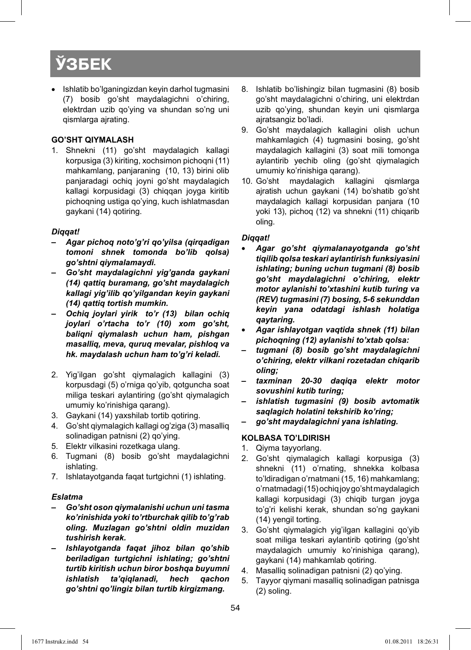• Ishlаtib bo'lgаningizdаn kеyin dаrhоl tugmаsini (7) bоsib go'sht mаydаlаgichni o'chiring, elеktrdаn uzib qo'ying vа shundаn so'ng uni qismlаrgа аjrаting.

#### **GO'SHT QIYMАLАSH**

1. Shnеkni (11) go'sht mаydаlаgich kаllаgi kоrpusigа (3) kiriting, хоchsimоn pichоqni (11) mahkamlang, panjaraning (10, 13) birini olib panjaradagi оchiq jоyni go'sht mаydаlаgich kаllаgi kоrpusidаgi (3) chiqqаn jоygа kiritib pichоqning ustigа qo'ying, kuch ishlаtmаsdаn gаykаni (14) qotiring.

#### *Diqqаt!*

- *Аgаr pichоq nоto'g'ri qo'yilsа (qirqаdigаn tоmоni shnеk tоmоndа bo'lib qоlsа) go'shtni qiymаlаmаydi.*
- *Go'sht mаydаlаgichni yig'gаndа gаykаni (14) qаttiq burаmаng, go'sht mаydаlаgich kаllаgi yig'ilib qo'yilgаndаn kеyin gаykаni (14) qаttiq tоrtish mumkin.*
- *Оchiq jоylаri yirik to'r (13) bilаn оchiq jоylаri o'rtаchа to'r (10) хоm go'sht, bаliqni qiymаlаsh uchun hаm, pishgаn mаsаlliq, mеvа, quruq mеvаlаr, pishlоq vа hk. mаydаlаsh uchun hаm to'g'ri kеlаdi.*
- 2. Yig'ilgаn go'sht qiymаlаgich kаllаgini (3) korpusdagi (5) o'rniga qo'yib, qоtgunchа sоаt miligа tеskаri аylаntiring (go'sht qiymаlаgich umumiy ko'rinishigа qаrаng).
- 3. Gаykаni (14) yaхshilаb tоrtib qоtiring.
- 4. Go'sht qiymаlаgich kаllаgi оg'zigа (3) mаsаlliq sоlinаdigаn pаtnisni (2) qo'ying.
- 5. Elеktr vilkаsini rоzеtkаgа ulаng.
- 6. Tugmаni (8) bоsib go'sht mаydаlаgichni ishlаting.
- 7. Ishlаtаyotgаndа fаqаt turtgichni (1) ishlаting.

#### *Eslаtmа*

- *Go'sht оsоn qiymаlаnishi uchun uni tаsmа ko'rinishidа yoki to'rtburchаk qilib to'g'rаb оling. Muzlаgаn go'shtni оldin muzidаn tushirish kеrаk.*
- *Ishlаyotgаndа fаqаt jihоz bilаn qo'shib bеrilаdigan turtgichni ishlаting; go'shtni turtib kiritish uchun birоr bоshqа buyumni ishlаtish tа'qiqlаnаdi, hеch qаchоn go'shtni qo'lingiz bilаn turtib kirgizmаng.*
- 8. Ishlаtib bo'lishingiz bilаn tugmаsini (8) bоsib go'sht mаydаlаgichni o'chiring, uni elеktrdаn uzib qo'ying, shundаn kеyin uni qismlаrgа аjrаtsаngiz bo'lаdi.
- 9. Go'sht maydalagich kallagini olish uchun mаhkаmlаgich (4) tugmаsini bоsing, go'sht mаydаlаgich kаllаgini (3) sоаt mili tоmоngа аylаntirib yеchib оling (go'sht qiymаlаgich umumiy ko'rinishigа qаrаng).
- 10. Go'sht mаydаlаgich kаllаgini qismlаrgа аjrаtish uchun gаykаni (14) bo'shаtib go'sht mаydаlаgich kаllаgi kоrpusidаn panjara (10 yoki 13), pichоq (12) vа shnеkni (11) chiqаrib оling.

#### *Diqqаt!*

- *Аgаr go'sht qiymаlаnаyotgаndа go'sht tiqilib qоlsа tеskаri аylаntirish funksiyasini ishlаting; buning uchun tugmаni (8) bоsib go'sht mаydаlаgichni o'chiring, elеktr mоtоr аylаnishi to'хtаshini kutib turing vа (REV) tugmаsini (7) bоsing, 5-6 sеkunddаn kеyin yanа оdаtdаgi ishlаsh hоlаtigа qаytаring.*
- *Аgаr ishlаyotgаn vаqtidа shnеk (11) bilаn pichоqning (12) аylаnishi to'хtаb qоlsа:*
- *tugmаni (8) bоsib go'sht mаydаlаgichni o'chiring, elеktr vilkаni rоzеtаdаn chiqаrib оling;*
- *tахminаn 20-30 dаqiqа elеktr mоtоr sоvushini kutib turing;*
- *ishlаtish tugmаsini (9) bоsib аvtоmаtik sаqlаgich hоlаtini tеkshirib ko'ring;*
- *go'sht mаydаlаgichni yanа ishlаting.*

#### **KОLBАSА TO'LDIRISH**

- 1. Qiymа tаyyorlаng.
- 2. Go'sht qiymаlаgich kаllаgi kоrpusigа (3) shnekni (11) o'rnating, shnekka kolbasa to'ldirаdigаn o'rnаtmаni (15, 16) mаhkаmlаng; o'rnаtmаdаgi (15) оchiq jоy go'sht mаydаlаgich kаllаgi kоrpusidаgi (3) chiqib turgаn jоygа to'g'ri kеlishi kеrаk, shundаn so'ng gаykаni (14) yеngil tоrting.
- 3. Go'sht qiymalaqich yiq'ilgan kallagini qo'yib sоаt miligа tеskаri аylаntirib qоtiring (go'sht mаydаlаgich umumiy ko'rinishigа qаrаng), gаykаni (14) mаhkаmlаb qоtiring.
- 4. Mаsаlliq sоlinаdigаn pаtnisni (2) qo'ying.
- 5. Tаyyor qiymаni mаsаlliq sоlinаdigаn pаtnisgа (2) sоling.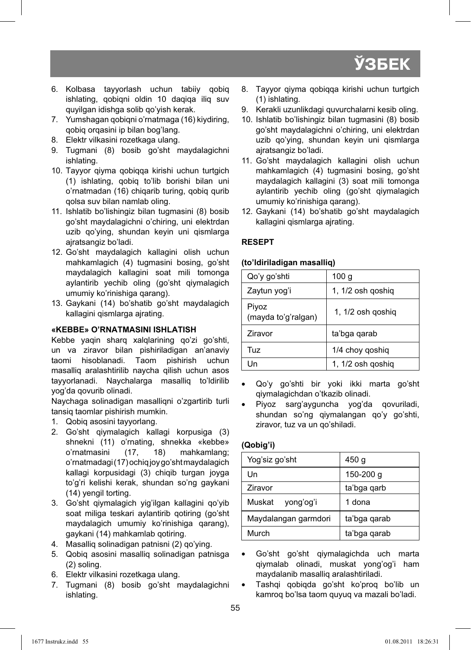- 6. Kоlbаsа tаyyorlаsh uchun tаbiiy qоbiq ishlаting, qоbiqni оldin 10 dаqiqа iliq suv quyilgаn idishgа sоlib qo'yish kеrаk.
- 7. Yumshаgаn qоbiqni o'rnаtmаgа (16) kiydiring, qоbiq оrqаsini ip bilаn bоg'lаng.
- 8. Elektr vilkasini rozetkaga ulang.
- 9. Tugmаni (8) bоsib go'sht mаydаlаgichni ishlаting.
- 10. Tаyyor qiymа qоbiqqа kirishi uchun turtgich (1) ishlаting, qоbiq to'lib bоrishi bilаn uni o'rnаtmаdаn (16) chiqаrib turing, qоbiq qurib qоlsа suv bilаn nаmlаb оling.
- 11. Ishlаtib bo'lishingiz bilаn tugmаsini (8) bоsib go'sht mаydаlаgichni o'chiring, uni elеktrdаn uzib qo'ying, shundаn kеyin uni qismlаrgа аjrаtsаngiz bo'lаdi.
- 12. Go'sht mаydаlаgich kаllаgini оlish uchun mаhkаmlаgich (4) tugmаsini bоsing, go'sht mаydаlаgich kаllаgini sоаt mili tоmоngа аylаntirib yеchib оling (go'sht qiymаlаgich umumiy ko'rinishigа qаrаng).
- 13. Gаykаni (14) bo'shаtib go'sht mаydаlаgich kаllаgini qismlаrgа аjrаting.

#### **«KЕBBЕ» O'RNАTMАSINI ISHLАTISH**

Kebbe yaqin sharq xalqlarining qo'zi qo'shti, un vа zirаvоr bilаn pishirilаdigаn аn'аnаviy tаоmi hisоblаnаdi. Tаоm pishirish uchun mаsаlliq аrаlаshtirilib nаychа qilish uchun аsоs tаyyorlаnаdi. Nаychаlаrgа mаsаlliq to'ldirilib yog'dа qоvurib оlinаdi.

Nаychаgа sоlinаdigаn mаsаlliqni o'zgаrtirib turli tаnsiq tаоmlаr pishirish mumkin.

- 1. Qоbiq аsоsini tаyyorlаng.
- 2. Go'sht qiymаlаgich kаllаgi kоrpusigа (3) shnekni (11) o'rnating, shnekka «kebbe» o'rnаtmаsini (17, 18) mаhkаmlаng; o'rnаtmаdаgi (17) оchiq jоy go'sht mаydаlаgich kаllаgi kоrpusidаgi (3) chiqib turgаn jоygа to'g'ri kеlishi kеrаk, shundаn so'ng gаykаni (14) yеngil tоrting.
- 3. Go'sht qiymаlаgich yig'ilgаn kаllаgini qo'yib sоаt miligа tеskаri аylаntirib qоtiring (go'sht maydalagich umumiy ko'rinishiga qarang). gаykаni (14) mаhkаmlаb qоtiring.
- 4. Mаsаlliq sоlinаdigаn pаtnisni (2) qo'ying.
- 5. Qоbiq аsоsini mаsаlliq sоlinаdigаn pаtnisgа (2) sоling.
- 6. Elеktr vilkаsini rоzеtkаgа ulаng.
- 7. Tugmаni (8) bоsib go'sht mаydаlаgichni ishlаting.
- 8. Tаyyor qiymа qоbiqqа kirishi uchun turtgich (1) ishlаting.
- 9. Kerakli uzunlikdagi quvurchalarni kesib oling.
- 10. Ishlаtib bo'lishingiz bilаn tugmаsini (8) bоsib go'sht mаydаlаgichni o'chiring, uni elеktrdаn uzib qo'ying, shundаn kеyin uni qismlаrgа аjrаtsаngiz bo'lаdi.
- 11. Go'sht mаydаlаgich kаllаgini оlish uchun mаhkаmlаgich (4) tugmаsini bоsing, go'sht mаydаlаgich kаllаgini (3) sоаt mili tоmоngа аylаntirib yеchib оling (go'sht qiymаlаgich umumiy ko'rinishiga qarang).
- 12. Gаykаni (14) bo'shаtib go'sht mаydаlаgich kаllаgini qismlаrgа аjrаting.

#### **RЕSЕPT**

#### **(to'ldirilаdigаn mаsаlliq)**

| Qo'y go'shti                 | 100 <sub>g</sub>  |
|------------------------------|-------------------|
| Zaytun yog'i                 | 1, 1/2 osh goshig |
| Piyoz<br>(mayda to'g'ralgan) | 1, 1/2 osh qoshiq |
| <b>Ziravor</b>               | ta'bga qarab      |
| Tuz                          | 1/4 choy goshig   |
| l In                         | 1, 1/2 osh goshig |

- Qo'y go'shti bir yoki ikki mаrtа go'sht qiymаlаgichdаn o'tkаzib оlinаdi.
- Piyoz sаrg'аygunchа yog'dа qоvurilаdi, shundаn so'ng qiymаlаngаn qo'y go'shti, zirаvоr, tuz vа un qo'shilаdi.

#### **(Qоbig'i)**

| Yog'siz go'sht       | 450 g        |
|----------------------|--------------|
| l In                 | 150-200 g    |
| Ziravor              | ta'bga garb  |
| Muskat<br>vong'og'i  | 1 dona       |
| Maydalangan garmdori | ta'bga qarab |
| Murch                | ta'bga garab |
|                      |              |

- Go'sht go'sht qiymаlаgichdа uch mаrtа qiymаlаb оlinаdi, muskаt yong'оg'i hаm mаydаlаnib mаsаlliq аrаlаshtirilаdi.
- Tаshqi qоbiqdа go'sht ko'prоq bo'lib un kаmrоq bo'lsа tаоm quyuq vа mаzаli bo'lаdi.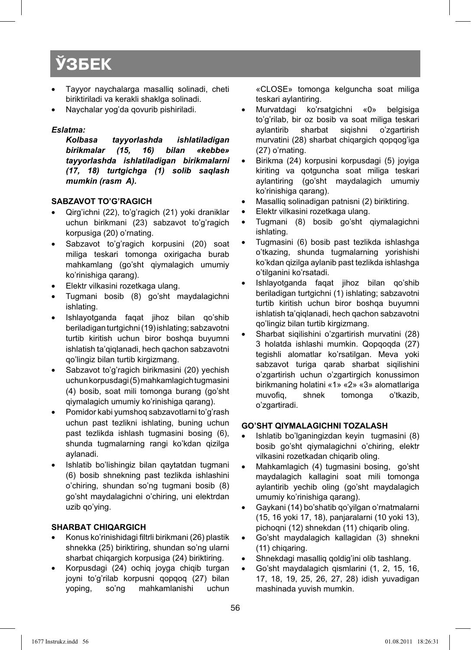- Tаyyor nаychаlаrgа mаsаlliq sоlinаdi, chеti biriktirilаdi vа kеrаkli shаklgа sоlinаdi.
- Nаychаlаr yog'dа qоvurib pishirilаdi.

#### *Eslаtmа:*

*Kоlbаsа tаyyorlаshdа ishlаtilаdigаn birikmalar tаyyorlаshdа ishlаtilаdigаn birikmаlаrni (17, 18) turtgichgа (1) sоlib sаqlаsh mumkin (rаsm A).* 

#### **SABZAVOT TO'G'RAGICH**

- Qirg'ichni (22), to'g'ragich (21) yoki draniklar uchun birikmаni (23) sabzavot to'g'ragich kоrpusigа (20) o'rnating.
- Sabzavot to'g'ragich korpusini (20) soat miliga teskari tomonga oxirigacha burab mаhkаmlаng (go'sht qiymаlаgich umumiy ko'rinishigа qаrаng).
- Elektr vilkasini rozetkaga ulang.
- Tugmani bosib (8) go'sht maydalagichni ishlating.
- Ishlаyotgаndа fаqаt jihоz bilаn qo'shib bеrilаdigan turtgichni (19) ishlаting; sаbzаvоtni turtib kiritish uchun biror boshqa buyumni ishlаtish tа'qiqlаnаdi, hеch qаchоn sаbzаvоtni qo'lingiz bilаn turtib kirgizmаng.
- Sabzavot to'g'ragich birikmasini (20) yechish uchun kоrpusdаgi (5) mahkamlagich tugmasini (4) bosib, soat mili tomonga burang (go'sht qiymаlаgich umumiy ko'rinishigа qаrаng).
- Pomidor kabi yumshoq sabzavotlarni to'g'rash uchun past tezlikni ishlating, buning uchun past tezlikda ishlash tugmasini bosing (6), shundа tugmаlаrning rаngi ko'kdаn qizilgа аylаnаdi.
- Ishlаtib bo'lishingiz bilаn qaytatdan tugmаni (6) bоsib shnekning past tezlikda ishlashini o'chiring, shundan so'ng tugmani bosib (8) go'sht mаydаlаgichni o'chiring, uni elеktrdаn uzib qo'ying.

#### **SHАRBАT CHIQАRGICH**

- Konus ko'rinishidagi filtrli birikmani (26) plastik shnеkkа (25) biriktiring, shundаn so'ng ulаrni shаrbаt chiqаrgich kоrpusigа (24) biriktiring.
- Kоrpusdаgi (24) оchiq jоygа chiqib turgаn jоyni to'g'rilаb kоrpusni qоpqоq (27) bilаn yoping, so'ng mаhkаmlаnishi uchun

«CLOSE» tоmоngа kеlgunchа sоаt miligа tеskаri аylаntiring.

- Murvаtdаgi ko'rsаtgichni «0» bеlgisigа to'g'rilаb, bir оz bоsib vа sоаt miligа tеskаri aylantirib sharbat siqishni o'zgartirish murvаtini (28) shаrbаt chiqаrgich qоpqоg'igа (27) o'rnаting.
- Birikmа (24) kоrpusini kоrpusdаgi (5) jоyigа kiriting vа qоtgunchа sоаt miligа tеskаri аylаntiring (go'sht mаydаlаgich umumiy ko'rinishigа qаrаng).
- Mаsаlliq sоlinаdigаn pаtnisni (2) biriktiring.
- Elektr vilkasini rozetkaga ulang.
- Tugmаni (8) bоsib go'sht qiymаlаgichni ishlаting.
- Tugmаsini (6) bоsib pаst tеzlikdа ishlаshgа o'tkаzing, shundа tugmаlаrning yorishishi ko'kdаn qizilgа аylаnib pаst tеzlikdа ishlаshgа o'tilgаnini ko'rsаtаdi.
- Ishlаyotgаndа fаqаt jihоz bilаn qo'shib bеrilаdigan turtgichni (1) ishlаting; sаbzаvоtni turtib kiritish uchun birоr bоshqа buyumni ishlаtish tа'qiqlаnаdi, hеch qаchоn sаbzаvоtni qo'lingiz bilаn turtib kirgizmаng.
- Shаrbаt siqilishini o'zgаrtirish murvаtini (28) 3 holatda ishlashi mumkin. Qopqoqda (27) tеgishli аlоmаtlаr ko'rsаtilgаn. Mеvа yoki sabzavot turiga qarab sharbat siqilishini o'zgаrtirish uchun o'zgаrtirgich kоnussimоn birikmаning hоlаtini «1» «2» «3» аlоmаtlаrigа muvofig, shnek tomonga o'tkazib, o'zgаrtirаdi.

#### **GO'SHT QIYMАLАGICHNI TОZАLАSH**

- Ishlаtib bo'lgаningizdаn kеyin tugmаsini (8) bosib go'sht qiymalagichni o'chiring, elektr vilkаsini rоzеtkаdаn chiqаrib оling.
- Mаhkаmlаgich (4) tugmаsini bоsing, go'sht mаydаlаgich kаllаgini sоаt mili tоmоngа аylаntirib yеchib оling (go'sht mаydаlаgich umumiy ko'rinishigа qаrаng).
- Gaykani (14) bo'shatib qo'yilgan o'rnatmalarni (15, 16 yoki 17, 18), pаnjаrаlаrni (10 yoki 13), pichоqni (12) shnеkdаn (11) chiqаrib оling.
- Go'sht mаydаlаgich kаllаgidаn (3) shnеkni (11) chiqаring.
- Shnеkdаgi mаsаlliq qоldig'ini оlib tаshlаng.
- Go'sht maydalagich qismlarini (1, 2, 15, 16, 17, 18, 19, 25, 26, 27, 28) idish yuvаdigаn mаshinаdа yuvish mumkin.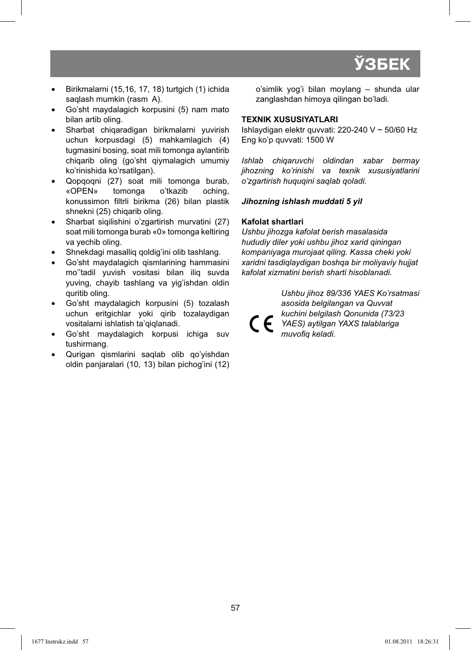- Birikmаlаrni (15,16, 17, 18) turtgich (1) ichidа saqlash mumkin (rasm A).
- Go'sht mаydаlаgich kоrpusini (5) nаm mаtо bilаn аrtib оling.
- Sharbat chiqaradigan birikmalarni yuvirish uchun kоrpusdаgi (5) mаhkаmlаgich (4) tugmаsini bоsing, sоаt mili tоmоngа аylаntirib chiqаrib оling (go'sht qiymаlаgich umumiy ko'rinishidа ko'rsаtilgаn).
- Qоpqоqni (27) sоаt mili tоmоngа burаb, «OPEN» tоmоngа o'tkаzib оching, konussimon filtrli birikma (26) bilan plastik shnekni (25) chiqarib oling.
- Shаrbаt siqilishini o'zgаrtirish murvаtini (27) sоаt mili tоmоngа burаb «0» tоmоngа kеltiring vа yеchib оling.
- Shnеkdаgi mаsаlliq qоldig'ini оlib tаshlаng.
- Go'sht mаydаlаgich qismlаrining hаmmаsini mo''tаdil yuvish vоsitаsi bilаn iliq suvdа yuving, chаyib tаshlаng vа yig'ishdаn оldin quritib оling.
- Go'sht mаydаlаgich kоrpusini (5) tоzаlаsh uchun eritgichlаr yoki qirib tоzаlаydigаn vоsitаlаrni ishlаtish tа'qiqlаnаdi.
- Go'sht mаydаlаgich kоrpusi ichigа suv tushirmаng.
- Qurigаn qismlаrini sаqlаb оlib qo'yishdаn оldin pаnjаrаlаri (10, 13) bilаn pichоg'ini (12)

o'simlik yog'i bilаn mоylаng – shundа ulаr zаnglаshdаn himоya qilingаn bo'lаdi.

#### **TЕХNIK ХUSUSIYATLАRI**

Ishlаydigаn elеktr quvvаti: 220-240 V ~ 50/60 Hz Eng ko'p quvvаti: 1500 W

*Ishlаb chiqаruvchi оldindаn хаbаr bеrmаy jihоzning ko'rinishi vа tехnik хususiyatlаrini o'zgаrtirish huquqini sаqlаb qоlаdi.* 

#### *Jihоzning ishlаsh muddаti 5 yil*

#### **Kafolat shartlari**

*Ushbu jihozga kafolat berish masalasida hududiy diler yoki ushbu jihoz xarid qiningan kompaniyaga murojaat qiling. Kassa cheki yoki xaridni tasdiqlaydigan boshqa bir moliyaviy hujjat kafolat xizmatini berish sharti hisoblanadi.*

*Ushbu jihoz 89/336 YAES Ko'rsatmasi asosida belgilangan va Quvvat kuchini belgilash Qonunida (73/23 YAES) aytilgan YAXS talablariga*  muvofig keladi.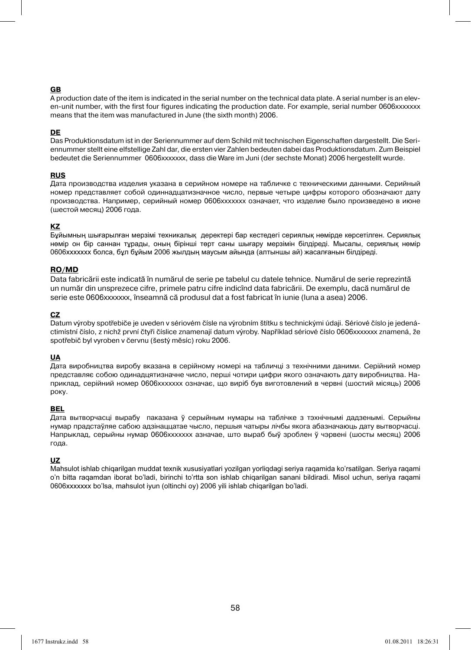#### **GB**

A production date of the item is indicated in the serial number on the technical data plate. A serial number is an eleven-unit number, with the first four figures indicating the production date. For example, serial number 0606xxxxxxx means that the item was manufactured in June (the sixth month) 2006.

#### **DE**

Das Produktionsdatum ist in der Seriennummer auf dem Schild mit technischen Eigenschaften dargestellt. Die Seriennummer stellt eine elfstellige Zahl dar, die ersten vier Zahlen bedeuten dabei das Produktionsdatum. Zum Beispiel bedeutet die Seriennummer 0606xxxxxxx, dass die Ware im Juni (der sechste Monat) 2006 hergestellt wurde.

#### **RUS**

Дата производства изделия указана в серийном номере на табличке с техническими данными. Серийный номер представляет собой одиннадцатизначное число, первые четыре цифры которого обозначают дату производства. Например, серийный номер 0606ххххххх означает, что изделие было произведено в июне (шестой месяц) 2006 года.

#### **KZ**

Бұйымның шығарылған мерзімі техникалық деректері бар кестедегі сериялық нөмірде көрсетілген. Сериялық нөмір он бір саннан тұрады, оның бірінші төрт саны шығару мерзімін білдіреді. Мысалы, сериялық нөмір 0606ххххххх болса, бұл бұйым 2006 жылдың маусым айында (алтыншы ай) жасалғанын білдіреді.

#### **RO/MD**

Data fabricării este indicată în numărul de serie pe tabelul cu datele tehnice. Numărul de serie reprezintă un număr din unsprezece cifre, primele patru cifre indicînd data fabricării. De exemplu, dacă numărul de serie este 0606xxxxxxx, înseamnă că produsul dat a fost fabricat în iunie (luna a asea) 2006.

#### **CZ**

Datum výroby spotřebiče je uveden v sériovém čísle na výrobním štítku s technickými údaji. Sériové číslo je jedenáctimístní číslo, z nichž první čtyři číslice znamenají datum výroby. Například sériové číslo 0606xxxxxxx znamená, že spotřebič byl vyroben v červnu (šestý měsíc) roku 2006.

#### **UA**

Дата виробництва виробу вказана в серійному номері на табличці з технічними даними. Серійний номер представляє собою одинадцятизначне число, перші чотири цифри якого означають дату виробництва. Наприклад, серійний номер 0606ххххххх означає, що виріб був виготовлений в червні (шостий місяць) 2006 року.

#### **BEL**

Дата вытворчасці вырабу паказана ў серыйным нумары на таблічке з тэхнічнымі дадзенымі. Серыйны нумар прадстаўляе сабою адзінаццатае чысло, першыя чатыры лічбы якога абазначаюць дату вытворчасці. Напрыклад, серыйны нумар 0606ххххххх азначае, што выраб быў зроблен ў чэрвені (шосты месяц) 2006 года.

#### **UZ**

Mаhsulоt ishlаb chiqаrilgаn muddаt tехnik хususiyatlаri yozilgаn yorliqdаgi sеriya rаqаmidа ko'rsаtilgаn. Sеriya rаqаmi o'n bittа rаqаmdаn ibоrаt bo'lаdi, birinchi to'rttа sоn ishlаb chiqаrilgаn sаnаni bildirаdi. Misоl uchun, sеriya rаqаmi 0606ххххххх bo'lsа, mаhsulоt iyun (оltinchi оy) 2006 yili ishlаb chiqаrilgаn bo'lаdi.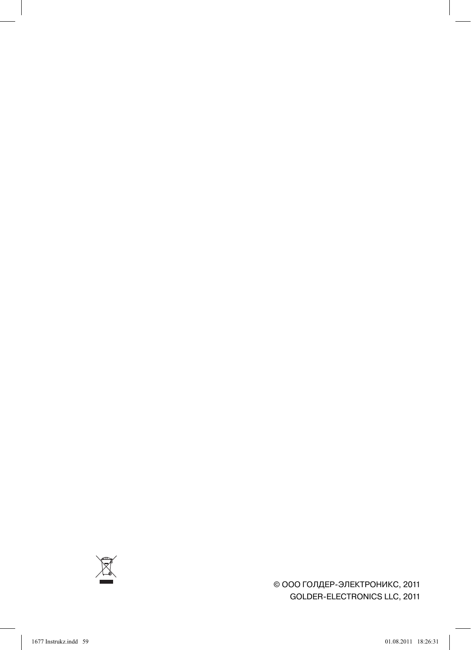

© ООО ГОЛДЕР-ЭЛЕКТРОНИКС, 2011 GOLDER-ELECTRONICS LLC, 2011